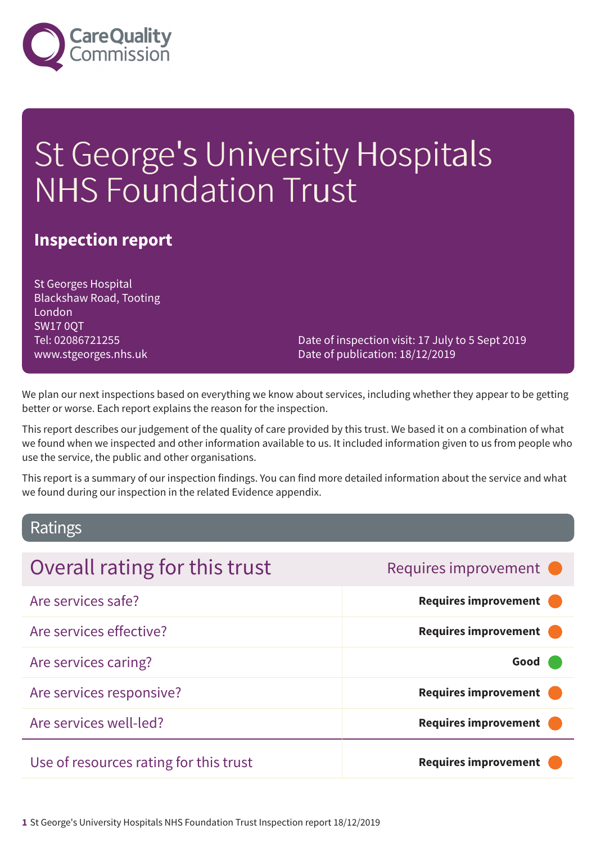

# St George's University Hospitals NHS Foundation Trust

### **Inspection report**

St Georges Hospital Blackshaw Road, Tooting London SW17 0QT Tel: 02086721255 www.stgeorges.nhs.uk

Date of inspection visit: 17 July to 5 Sept 2019 Date of publication: 18/12/2019

We plan our next inspections based on everything we know about services, including whether they appear to be getting better or worse. Each report explains the reason for the inspection.

This report describes our judgement of the quality of care provided by this trust. We based it on a combination of what we found when we inspected and other information available to us. It included information given to us from people who use the service, the public and other organisations.

This report is a summary of our inspection findings. You can find more detailed information about the service and what we found during our inspection in the related Evidence appendix.

### Ratings

| Overall rating for this trust          | Requires improvement •      |
|----------------------------------------|-----------------------------|
| Are services safe?                     | <b>Requires improvement</b> |
| Are services effective?                | <b>Requires improvement</b> |
| Are services caring?                   | Good                        |
| Are services responsive?               | <b>Requires improvement</b> |
| Are services well-led?                 | <b>Requires improvement</b> |
| Use of resources rating for this trust | <b>Requires improvement</b> |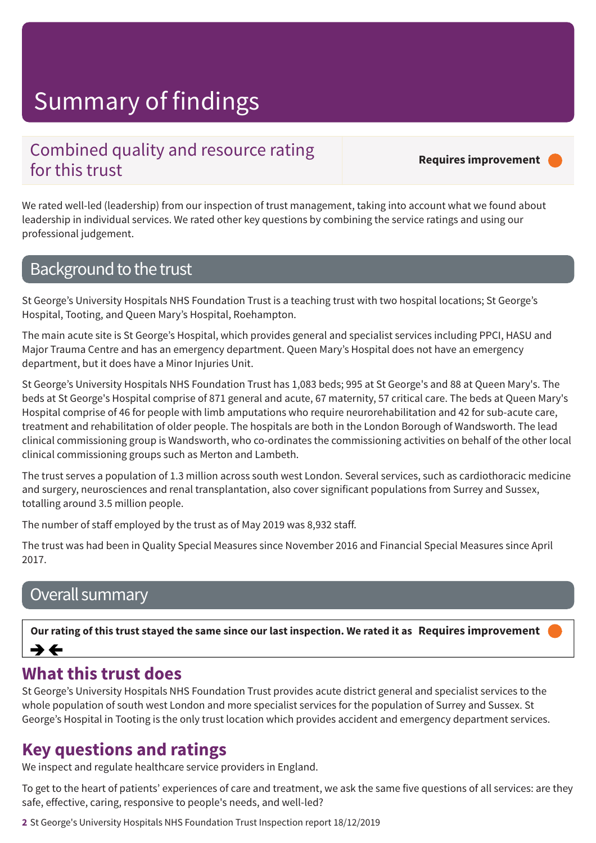### Combined quality and resource rating for this trust

**Requires improvement –––**

We rated well-led (leadership) from our inspection of trust management, taking into account what we found about leadership in individual services. We rated other key questions by combining the service ratings and using our professional judgement.

### Background to the trust

St George's University Hospitals NHS Foundation Trust is a teaching trust with two hospital locations; St George's Hospital, Tooting, and Queen Mary's Hospital, Roehampton.

The main acute site is St George's Hospital, which provides general and specialist services including PPCI, HASU and Major Trauma Centre and has an emergency department. Queen Mary's Hospital does not have an emergency department, but it does have a Minor Injuries Unit.

St George's University Hospitals NHS Foundation Trust has 1,083 beds; 995 at St George's and 88 at Queen Mary's. The beds at St George's Hospital comprise of 871 general and acute, 67 maternity, 57 critical care. The beds at Queen Mary's Hospital comprise of 46 for people with limb amputations who require neurorehabilitation and 42 for sub-acute care, treatment and rehabilitation of older people. The hospitals are both in the London Borough of Wandsworth. The lead clinical commissioning group is Wandsworth, who co-ordinates the commissioning activities on behalf of the other local clinical commissioning groups such as Merton and Lambeth.

The trust serves a population of 1.3 million across south west London. Several services, such as cardiothoracic medicine and surgery, neurosciences and renal transplantation, also cover significant populations from Surrey and Sussex, totalling around 3.5 million people.

The number of staff employed by the trust as of May 2019 was 8,932 staff.

The trust was had been in Quality Special Measures since November 2016 and Financial Special Measures since April 2017.

### Overall summary

Our rating of this trust stayed the same since our last inspection. We rated it as Requires improvement ⇛←

### **What this trust does**

St George's University Hospitals NHS Foundation Trust provides acute district general and specialist services to the whole population of south west London and more specialist services for the population of Surrey and Sussex. St George's Hospital in Tooting is the only trust location which provides accident and emergency department services.

### **Key questions and ratings**

We inspect and regulate healthcare service providers in England.

To get to the heart of patients' experiences of care and treatment, we ask the same five questions of all services: are they safe, effective, caring, responsive to people's needs, and well-led?

**2** St George's University Hospitals NHS Foundation Trust Inspection report 18/12/2019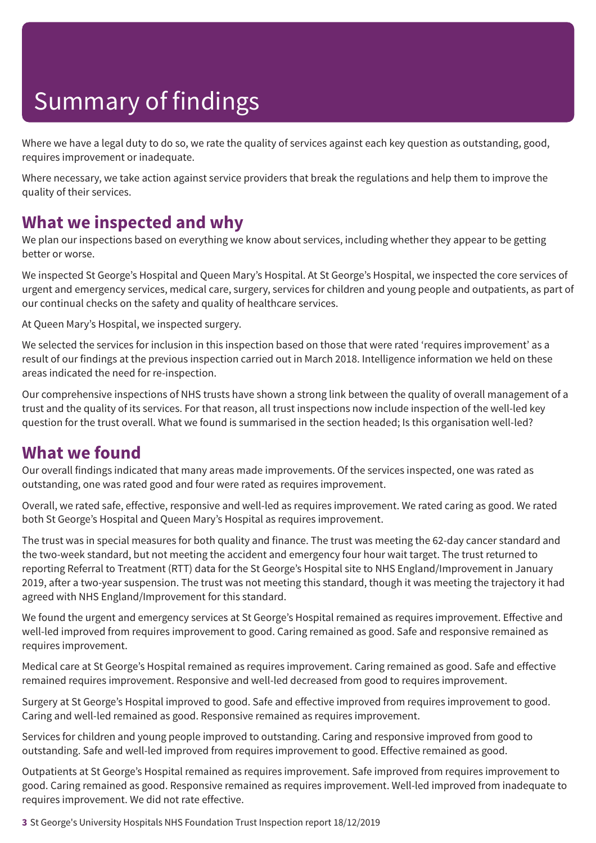Where we have a legal duty to do so, we rate the quality of services against each key question as outstanding, good, requires improvement or inadequate.

Where necessary, we take action against service providers that break the regulations and help them to improve the quality of their services.

### **What we inspected and why**

We plan our inspections based on everything we know about services, including whether they appear to be getting better or worse.

We inspected St George's Hospital and Queen Mary's Hospital. At St George's Hospital, we inspected the core services of urgent and emergency services, medical care, surgery, services for children and young people and outpatients, as part of our continual checks on the safety and quality of healthcare services.

At Queen Mary's Hospital, we inspected surgery.

We selected the services for inclusion in this inspection based on those that were rated 'requires improvement' as a result of our findings at the previous inspection carried out in March 2018. Intelligence information we held on these areas indicated the need for re-inspection.

Our comprehensive inspections of NHS trusts have shown a strong link between the quality of overall management of a trust and the quality of its services. For that reason, all trust inspections now include inspection of the well-led key question for the trust overall. What we found is summarised in the section headed; Is this organisation well-led?

### **What we found**

Our overall findings indicated that many areas made improvements. Of the services inspected, one was rated as outstanding, one was rated good and four were rated as requires improvement.

Overall, we rated safe, effective, responsive and well-led as requires improvement. We rated caring as good. We rated both St George's Hospital and Queen Mary's Hospital as requires improvement.

The trust was in special measures for both quality and finance. The trust was meeting the 62-day cancer standard and the two-week standard, but not meeting the accident and emergency four hour wait target. The trust returned to reporting Referral to Treatment (RTT) data for the St George's Hospital site to NHS England/Improvement in January 2019, after a two-year suspension. The trust was not meeting this standard, though it was meeting the trajectory it had agreed with NHS England/Improvement for this standard.

We found the urgent and emergency services at St George's Hospital remained as requires improvement. Effective and well-led improved from requires improvement to good. Caring remained as good. Safe and responsive remained as requires improvement.

Medical care at St George's Hospital remained as requires improvement. Caring remained as good. Safe and effective remained requires improvement. Responsive and well-led decreased from good to requires improvement.

Surgery at St George's Hospital improved to good. Safe and effective improved from requires improvement to good. Caring and well-led remained as good. Responsive remained as requires improvement.

Services for children and young people improved to outstanding. Caring and responsive improved from good to outstanding. Safe and well-led improved from requires improvement to good. Effective remained as good.

Outpatients at St George's Hospital remained as requires improvement. Safe improved from requires improvement to good. Caring remained as good. Responsive remained as requires improvement. Well-led improved from inadequate to requires improvement. We did not rate effective.

**3** St George's University Hospitals NHS Foundation Trust Inspection report 18/12/2019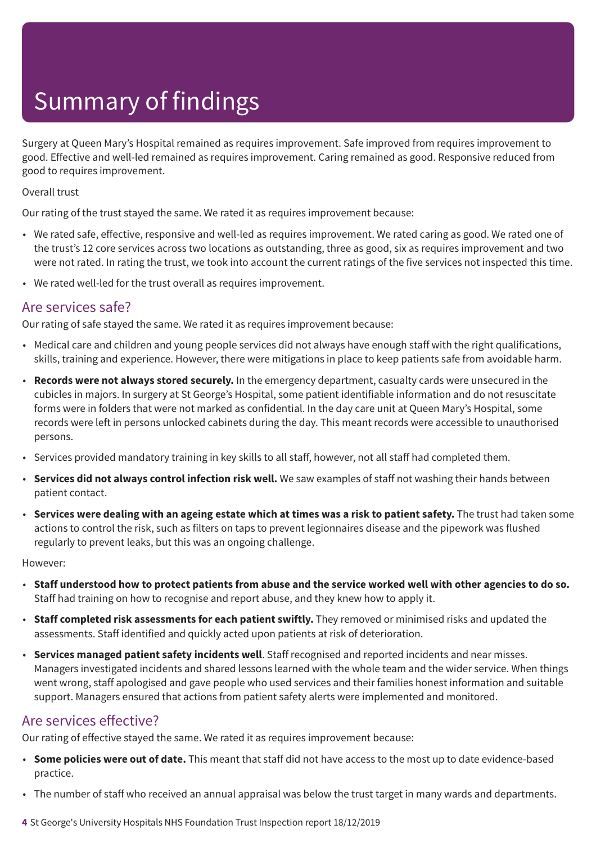Surgery at Queen Mary's Hospital remained as requires improvement. Safe improved from requires improvement to good. Effective and well-led remained as requires improvement. Caring remained as good. Responsive reduced from good to requires improvement.

#### Overall trust

Our rating of the trust stayed the same. We rated it as requires improvement because:

- We rated safe, effective, responsive and well-led as requires improvement. We rated caring as good. We rated one of the trust's 12 core services across two locations as outstanding, three as good, six as requires improvement and two were not rated. In rating the trust, we took into account the current ratings of the five services not inspected this time.
- We rated well-led for the trust overall as requires improvement.

### Are services safe?

Our rating of safe stayed the same. We rated it as requires improvement because:

- Medical care and children and young people services did not always have enough staff with the right qualifications, skills, training and experience. However, there were mitigations in place to keep patients safe from avoidable harm.
- **Records were not always stored securely.** In the emergency department, casualty cards were unsecured in the cubicles in majors. In surgery at St George's Hospital, some patient identifiable information and do not resuscitate forms were in folders that were not marked as confidential. In the day care unit at Queen Mary's Hospital, some records were left in persons unlocked cabinets during the day. This meant records were accessible to unauthorised persons.
- Services provided mandatory training in key skills to all staff, however, not all staff had completed them.
- **Services did not always control infection risk well.** We saw examples of staff not washing their hands between patient contact.
- Services were dealing with an ageing estate which at times was a risk to patient safety. The trust had taken some actions to control the risk, such as filters on taps to prevent legionnaires disease and the pipework was flushed regularly to prevent leaks, but this was an ongoing challenge.

#### However:

- Staff understood how to protect patients from abuse and the service worked well with other agencies to do so. Staff had training on how to recognise and report abuse, and they knew how to apply it.
- **Staff completed risk assessments for each patient swiftly.** They removed or minimised risks and updated the assessments. Staff identified and quickly acted upon patients at risk of deterioration.
- **Services managed patient safety incidents well**. Staff recognised and reported incidents and near misses. Managers investigated incidents and shared lessons learned with the whole team and the wider service. When things went wrong, staff apologised and gave people who used services and their families honest information and suitable support. Managers ensured that actions from patient safety alerts were implemented and monitored.

### Are services effective?

Our rating of effective stayed the same. We rated it as requires improvement because:

- **Some policies were out of date.** This meant that staff did not have access to the most up to date evidence-based practice.
- The number of staff who received an annual appraisal was below the trust target in many wards and departments.
- **4** St George's University Hospitals NHS Foundation Trust Inspection report 18/12/2019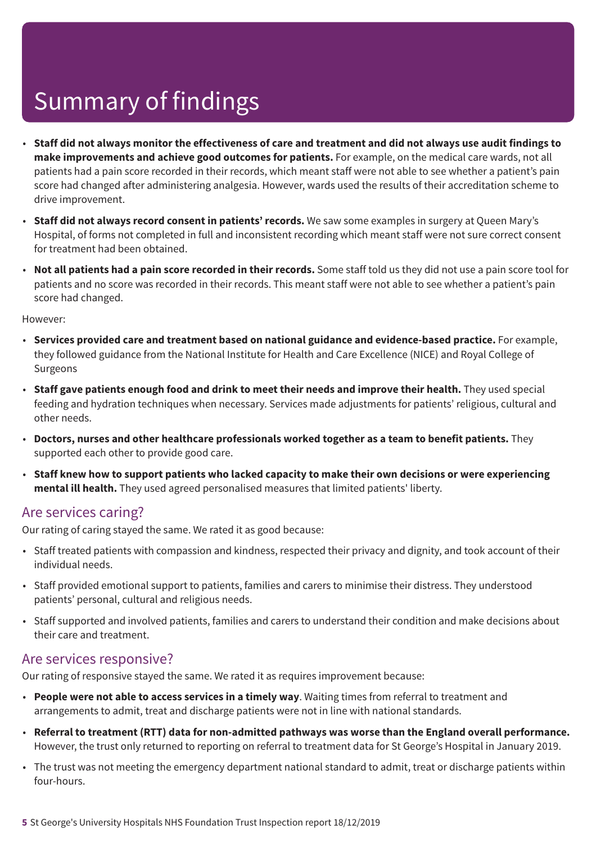- Staff did not always monitor the effectiveness of care and treatment and did not always use audit findings to **make improvements and achieve good outcomes for patients.** For example, on the medical care wards, not all patients had a pain score recorded in their records, which meant staff were not able to see whether a patient's pain score had changed after administering analgesia. However, wards used the results of their accreditation scheme to drive improvement.
- **Staff did not always record consent in patients' records.** We saw some examples in surgery at Queen Mary's Hospital, of forms not completed in full and inconsistent recording which meant staff were not sure correct consent for treatment had been obtained.
- **Not all patients had a pain score recorded in their records.** Some staff told us they did not use a pain score tool for patients and no score was recorded in their records. This meant staff were not able to see whether a patient's pain score had changed.

However:

- **Services provided care and treatment based on national guidance and evidence-based practice.** For example, they followed guidance from the National Institute for Health and Care Excellence (NICE) and Royal College of Surgeons
- **Staff gave patients enough food and drink to meet their needs and improve their health.** They used special feeding and hydration techniques when necessary. Services made adjustments for patients' religious, cultural and other needs.
- **Doctors, nurses and other healthcare professionals worked together as a team to benefit patients.** They supported each other to provide good care.
- **Staff knew how to support patients who lacked capacity to make their own decisions or were experiencing mental ill health.** They used agreed personalised measures that limited patients' liberty.

### Are services caring?

Our rating of caring stayed the same. We rated it as good because:

- Staff treated patients with compassion and kindness, respected their privacy and dignity, and took account of their individual needs.
- Staff provided emotional support to patients, families and carers to minimise their distress. They understood patients' personal, cultural and religious needs.
- Staff supported and involved patients, families and carers to understand their condition and make decisions about their care and treatment.

### Are services responsive?

Our rating of responsive stayed the same. We rated it as requires improvement because:

- **People were not able to access services in a timely way**. Waiting times from referral to treatment and arrangements to admit, treat and discharge patients were not in line with national standards.
- **Referral to treatment (RTT) data for non-admitted pathways was worse than the England overall performance.** However, the trust only returned to reporting on referral to treatment data for St George's Hospital in January 2019.
- The trust was not meeting the emergency department national standard to admit, treat or discharge patients within four-hours.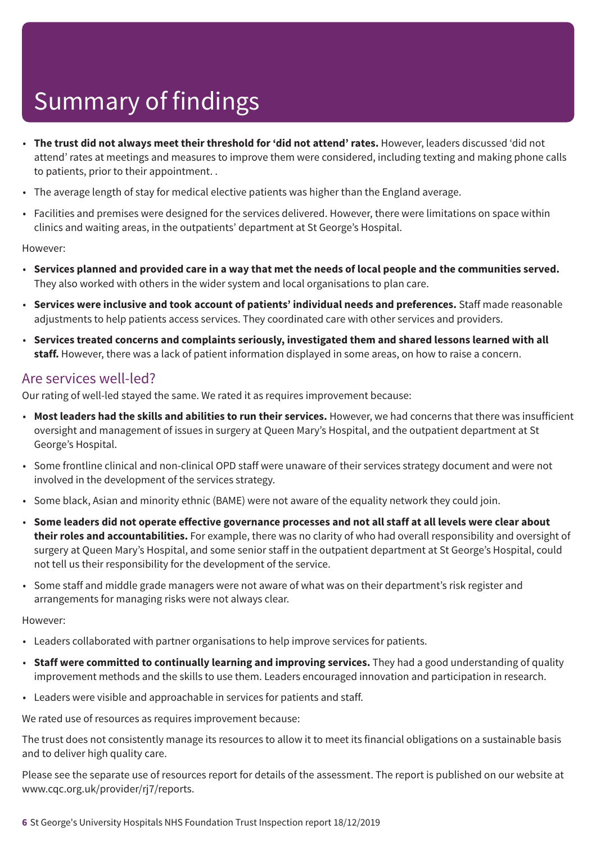- **The trust did not always meet their threshold for 'did not attend' rates.** However, leaders discussed 'did not attend' rates at meetings and measures to improve them were considered, including texting and making phone calls to patients, prior to their appointment. .
- The average length of stay for medical elective patients was higher than the England average.
- Facilities and premises were designed for the services delivered. However, there were limitations on space within clinics and waiting areas, in the outpatients' department at St George's Hospital.

#### However:

- Services planned and provided care in a way that met the needs of local people and the communities served. They also worked with others in the wider system and local organisations to plan care.
- **Services were inclusive and took account of patients' individual needs and preferences.** Staff made reasonable adjustments to help patients access services. They coordinated care with other services and providers.
- **Services treated concerns and complaints seriously, investigated them and shared lessons learned with all staff.** However, there was a lack of patient information displayed in some areas, on how to raise a concern.

### Are services well-led?

Our rating of well-led stayed the same. We rated it as requires improvement because:

- **Most leaders had the skills and abilities to run their services.** However, we had concerns that there was insufficient oversight and management of issues in surgery at Queen Mary's Hospital, and the outpatient department at St George's Hospital.
- Some frontline clinical and non-clinical OPD staff were unaware of their services strategy document and were not involved in the development of the services strategy.
- Some black, Asian and minority ethnic (BAME) were not aware of the equality network they could join.
- Some leaders did not operate effective governance processes and not all staff at all levels were clear about **their roles and accountabilities.** For example, there was no clarity of who had overall responsibility and oversight of surgery at Queen Mary's Hospital, and some senior staff in the outpatient department at St George's Hospital, could not tell us their responsibility for the development of the service.
- Some staff and middle grade managers were not aware of what was on their department's risk register and arrangements for managing risks were not always clear.

#### However:

- Leaders collaborated with partner organisations to help improve services for patients.
- **Staff were committed to continually learning and improving services.** They had a good understanding of quality improvement methods and the skills to use them. Leaders encouraged innovation and participation in research.
- Leaders were visible and approachable in services for patients and staff.

We rated use of resources as requires improvement because:

The trust does not consistently manage its resources to allow it to meet its financial obligations on a sustainable basis and to deliver high quality care.

Please see the separate use of resources report for details of the assessment. The report is published on our website at www.cqc.org.uk/provider/rj7/reports.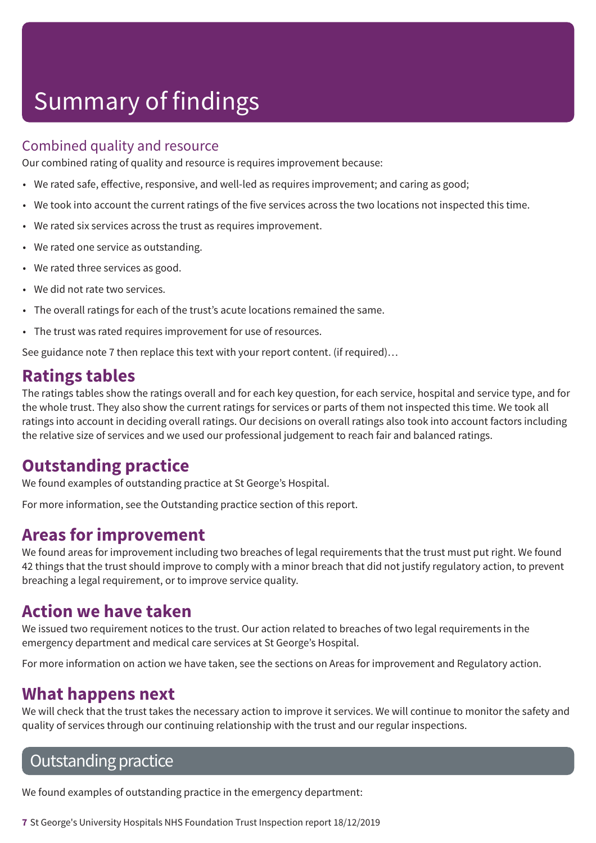### Combined quality and resource

Our combined rating of quality and resource is requires improvement because:

- We rated safe, effective, responsive, and well-led as requires improvement; and caring as good;
- We took into account the current ratings of the five services across the two locations not inspected this time.
- We rated six services across the trust as requires improvement.
- We rated one service as outstanding.
- We rated three services as good.
- We did not rate two services.
- The overall ratings for each of the trust's acute locations remained the same.
- The trust was rated requires improvement for use of resources.

See guidance note 7 then replace this text with your report content. (if required)…

### **Ratings tables**

The ratings tables show the ratings overall and for each key question, for each service, hospital and service type, and for the whole trust. They also show the current ratings for services or parts of them not inspected this time. We took all ratings into account in deciding overall ratings. Our decisions on overall ratings also took into account factors including the relative size of services and we used our professional judgement to reach fair and balanced ratings.

### **Outstanding practice**

We found examples of outstanding practice at St George's Hospital.

For more information, see the Outstanding practice section of this report.

### **Areas for improvement**

We found areas for improvement including two breaches of legal requirements that the trust must put right. We found 42 things that the trust should improve to comply with a minor breach that did not justify regulatory action, to prevent breaching a legal requirement, or to improve service quality.

### **Action we have taken**

We issued two requirement notices to the trust. Our action related to breaches of two legal requirements in the emergency department and medical care services at St George's Hospital.

For more information on action we have taken, see the sections on Areas for improvement and Regulatory action.

### **What happens next**

We will check that the trust takes the necessary action to improve it services. We will continue to monitor the safety and quality of services through our continuing relationship with the trust and our regular inspections.

### **Outstanding practice**

We found examples of outstanding practice in the emergency department:

**7** St George's University Hospitals NHS Foundation Trust Inspection report 18/12/2019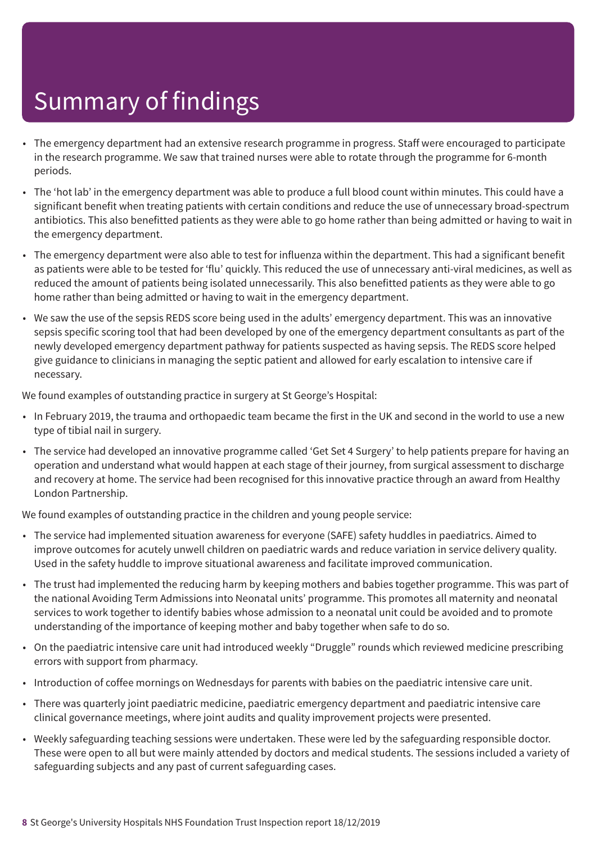- The emergency department had an extensive research programme in progress. Staff were encouraged to participate in the research programme. We saw that trained nurses were able to rotate through the programme for 6-month periods.
- The 'hot lab' in the emergency department was able to produce a full blood count within minutes. This could have a significant benefit when treating patients with certain conditions and reduce the use of unnecessary broad-spectrum antibiotics. This also benefitted patients as they were able to go home rather than being admitted or having to wait in the emergency department.
- The emergency department were also able to test for influenza within the department. This had a significant benefit as patients were able to be tested for 'flu' quickly. This reduced the use of unnecessary anti-viral medicines, as well as reduced the amount of patients being isolated unnecessarily. This also benefitted patients as they were able to go home rather than being admitted or having to wait in the emergency department.
- We saw the use of the sepsis REDS score being used in the adults' emergency department. This was an innovative sepsis specific scoring tool that had been developed by one of the emergency department consultants as part of the newly developed emergency department pathway for patients suspected as having sepsis. The REDS score helped give guidance to clinicians in managing the septic patient and allowed for early escalation to intensive care if necessary.

We found examples of outstanding practice in surgery at St George's Hospital:

- In February 2019, the trauma and orthopaedic team became the first in the UK and second in the world to use a new type of tibial nail in surgery.
- The service had developed an innovative programme called 'Get Set 4 Surgery' to help patients prepare for having an operation and understand what would happen at each stage of their journey, from surgical assessment to discharge and recovery at home. The service had been recognised for this innovative practice through an award from Healthy London Partnership.

We found examples of outstanding practice in the children and young people service:

- The service had implemented situation awareness for everyone (SAFE) safety huddles in paediatrics. Aimed to improve outcomes for acutely unwell children on paediatric wards and reduce variation in service delivery quality. Used in the safety huddle to improve situational awareness and facilitate improved communication.
- The trust had implemented the reducing harm by keeping mothers and babies together programme. This was part of the national Avoiding Term Admissions into Neonatal units' programme. This promotes all maternity and neonatal services to work together to identify babies whose admission to a neonatal unit could be avoided and to promote understanding of the importance of keeping mother and baby together when safe to do so.
- On the paediatric intensive care unit had introduced weekly "Druggle" rounds which reviewed medicine prescribing errors with support from pharmacy.
- Introduction of coffee mornings on Wednesdays for parents with babies on the paediatric intensive care unit.
- There was quarterly joint paediatric medicine, paediatric emergency department and paediatric intensive care clinical governance meetings, where joint audits and quality improvement projects were presented.
- Weekly safeguarding teaching sessions were undertaken. These were led by the safeguarding responsible doctor. These were open to all but were mainly attended by doctors and medical students. The sessions included a variety of safeguarding subjects and any past of current safeguarding cases.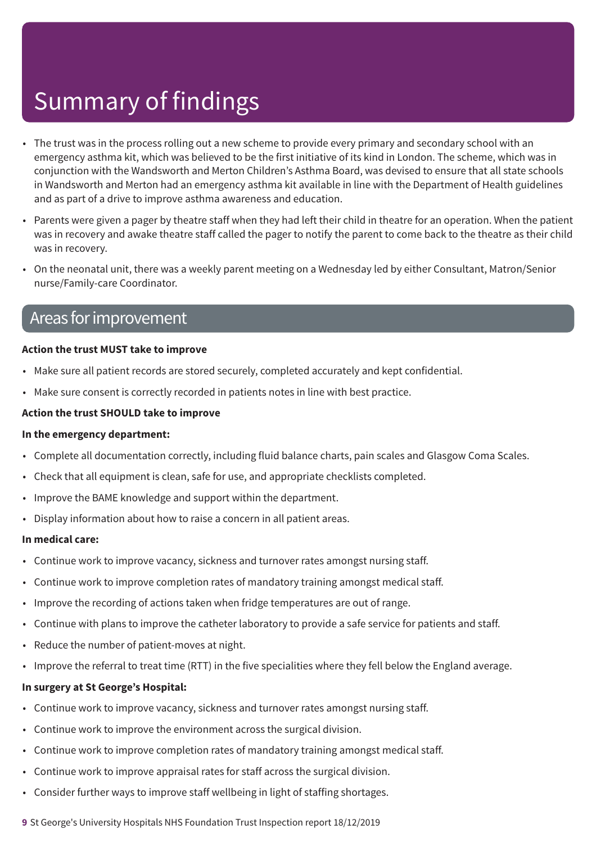- The trust was in the process rolling out a new scheme to provide every primary and secondary school with an emergency asthma kit, which was believed to be the first initiative of its kind in London. The scheme, which was in conjunction with the Wandsworth and Merton Children's Asthma Board, was devised to ensure that all state schools in Wandsworth and Merton had an emergency asthma kit available in line with the Department of Health guidelines and as part of a drive to improve asthma awareness and education.
- Parents were given a pager by theatre staff when they had left their child in theatre for an operation. When the patient was in recovery and awake theatre staff called the pager to notify the parent to come back to the theatre as their child was in recovery.
- On the neonatal unit, there was a weekly parent meeting on a Wednesday led by either Consultant, Matron/Senior nurse/Family-care Coordinator.

### Areas forimprovement

#### **Action the trust MUST take to improve**

- Make sure all patient records are stored securely, completed accurately and kept confidential.
- Make sure consent is correctly recorded in patients notes in line with best practice.

#### **Action the trust SHOULD take to improve**

#### **In the emergency department:**

- Complete all documentation correctly, including fluid balance charts, pain scales and Glasgow Coma Scales.
- Check that all equipment is clean, safe for use, and appropriate checklists completed.
- Improve the BAME knowledge and support within the department.
- Display information about how to raise a concern in all patient areas.

#### **In medical care:**

- Continue work to improve vacancy, sickness and turnover rates amongst nursing staff.
- Continue work to improve completion rates of mandatory training amongst medical staff.
- Improve the recording of actions taken when fridge temperatures are out of range.
- Continue with plans to improve the catheter laboratory to provide a safe service for patients and staff.
- Reduce the number of patient-moves at night.
- Improve the referral to treat time (RTT) in the five specialities where they fell below the England average.

#### **In surgery at St George's Hospital:**

- Continue work to improve vacancy, sickness and turnover rates amongst nursing staff.
- Continue work to improve the environment across the surgical division.
- Continue work to improve completion rates of mandatory training amongst medical staff.
- Continue work to improve appraisal rates for staff across the surgical division.
- Consider further ways to improve staff wellbeing in light of staffing shortages.

**9** St George's University Hospitals NHS Foundation Trust Inspection report 18/12/2019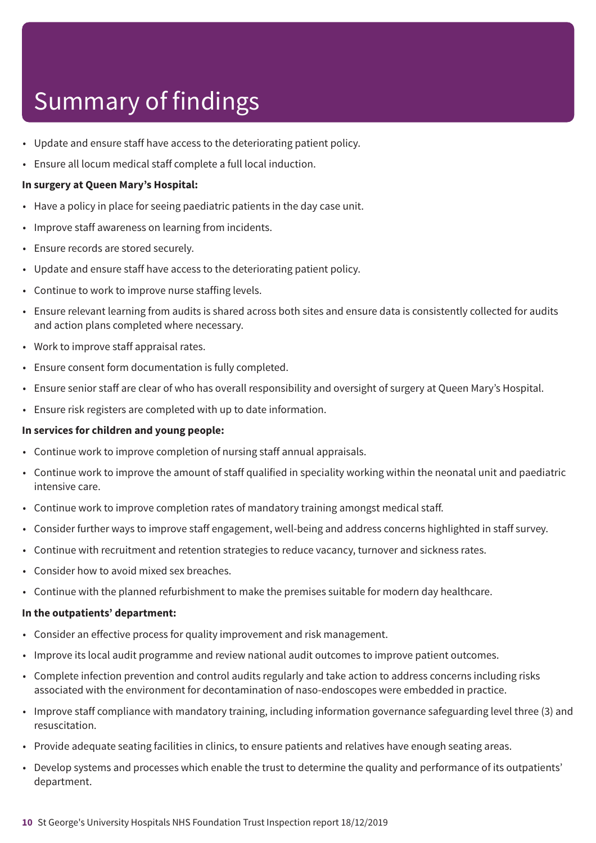- Update and ensure staff have access to the deteriorating patient policy.
- Ensure all locum medical staff complete a full local induction.

#### **In surgery at Queen Mary's Hospital:**

- Have a policy in place for seeing paediatric patients in the day case unit.
- Improve staff awareness on learning from incidents.
- Ensure records are stored securely.
- Update and ensure staff have access to the deteriorating patient policy.
- Continue to work to improve nurse staffing levels.
- Ensure relevant learning from audits is shared across both sites and ensure data is consistently collected for audits and action plans completed where necessary.
- Work to improve staff appraisal rates.
- Ensure consent form documentation is fully completed.
- Ensure senior staff are clear of who has overall responsibility and oversight of surgery at Queen Mary's Hospital.
- Ensure risk registers are completed with up to date information.

#### **In services for children and young people:**

- Continue work to improve completion of nursing staff annual appraisals.
- Continue work to improve the amount of staff qualified in speciality working within the neonatal unit and paediatric intensive care.
- Continue work to improve completion rates of mandatory training amongst medical staff.
- Consider further ways to improve staff engagement, well-being and address concerns highlighted in staff survey.
- Continue with recruitment and retention strategies to reduce vacancy, turnover and sickness rates.
- Consider how to avoid mixed sex breaches.
- Continue with the planned refurbishment to make the premises suitable for modern day healthcare.

#### **In the outpatients' department:**

- Consider an effective process for quality improvement and risk management.
- Improve its local audit programme and review national audit outcomes to improve patient outcomes.
- Complete infection prevention and control audits regularly and take action to address concerns including risks associated with the environment for decontamination of naso-endoscopes were embedded in practice.
- Improve staff compliance with mandatory training, including information governance safeguarding level three (3) and resuscitation.
- Provide adequate seating facilities in clinics, to ensure patients and relatives have enough seating areas.
- Develop systems and processes which enable the trust to determine the quality and performance of its outpatients' department.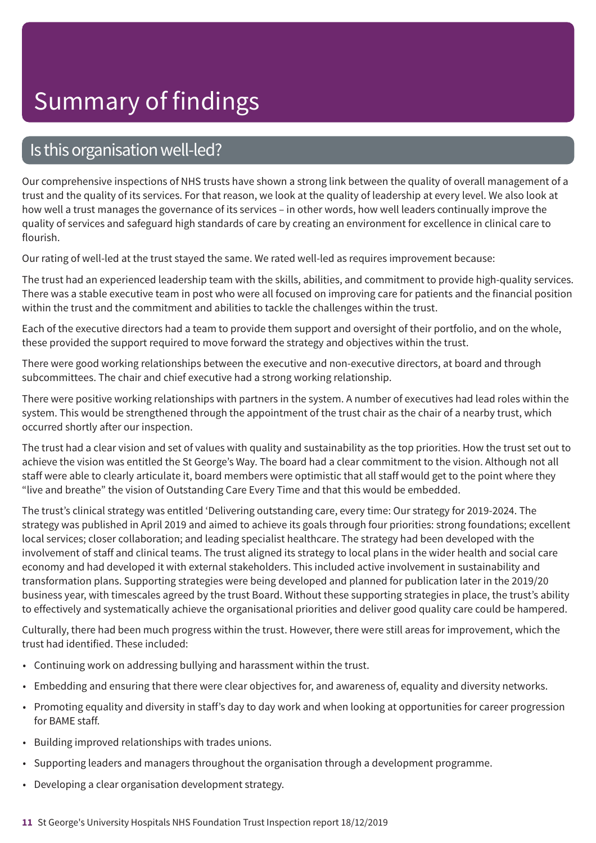### Is this organisation well-led?

Our comprehensive inspections of NHS trusts have shown a strong link between the quality of overall management of a trust and the quality of its services. For that reason, we look at the quality of leadership at every level. We also look at how well a trust manages the governance of its services – in other words, how well leaders continually improve the quality of services and safeguard high standards of care by creating an environment for excellence in clinical care to flourish.

Our rating of well-led at the trust stayed the same. We rated well-led as requires improvement because:

The trust had an experienced leadership team with the skills, abilities, and commitment to provide high-quality services. There was a stable executive team in post who were all focused on improving care for patients and the financial position within the trust and the commitment and abilities to tackle the challenges within the trust.

Each of the executive directors had a team to provide them support and oversight of their portfolio, and on the whole, these provided the support required to move forward the strategy and objectives within the trust.

There were good working relationships between the executive and non-executive directors, at board and through subcommittees. The chair and chief executive had a strong working relationship.

There were positive working relationships with partners in the system. A number of executives had lead roles within the system. This would be strengthened through the appointment of the trust chair as the chair of a nearby trust, which occurred shortly after our inspection.

The trust had a clear vision and set of values with quality and sustainability as the top priorities. How the trust set out to achieve the vision was entitled the St George's Way. The board had a clear commitment to the vision. Although not all staff were able to clearly articulate it, board members were optimistic that all staff would get to the point where they "live and breathe" the vision of Outstanding Care Every Time and that this would be embedded.

The trust's clinical strategy was entitled 'Delivering outstanding care, every time: Our strategy for 2019-2024. The strategy was published in April 2019 and aimed to achieve its goals through four priorities: strong foundations; excellent local services; closer collaboration; and leading specialist healthcare. The strategy had been developed with the involvement of staff and clinical teams. The trust aligned its strategy to local plans in the wider health and social care economy and had developed it with external stakeholders. This included active involvement in sustainability and transformation plans. Supporting strategies were being developed and planned for publication later in the 2019/20 business year, with timescales agreed by the trust Board. Without these supporting strategies in place, the trust's ability to effectively and systematically achieve the organisational priorities and deliver good quality care could be hampered.

Culturally, there had been much progress within the trust. However, there were still areas for improvement, which the trust had identified. These included:

- Continuing work on addressing bullying and harassment within the trust.
- Embedding and ensuring that there were clear objectives for, and awareness of, equality and diversity networks.
- Promoting equality and diversity in staff's day to day work and when looking at opportunities for career progression for BAME staff.
- Building improved relationships with trades unions.
- Supporting leaders and managers throughout the organisation through a development programme.
- Developing a clear organisation development strategy.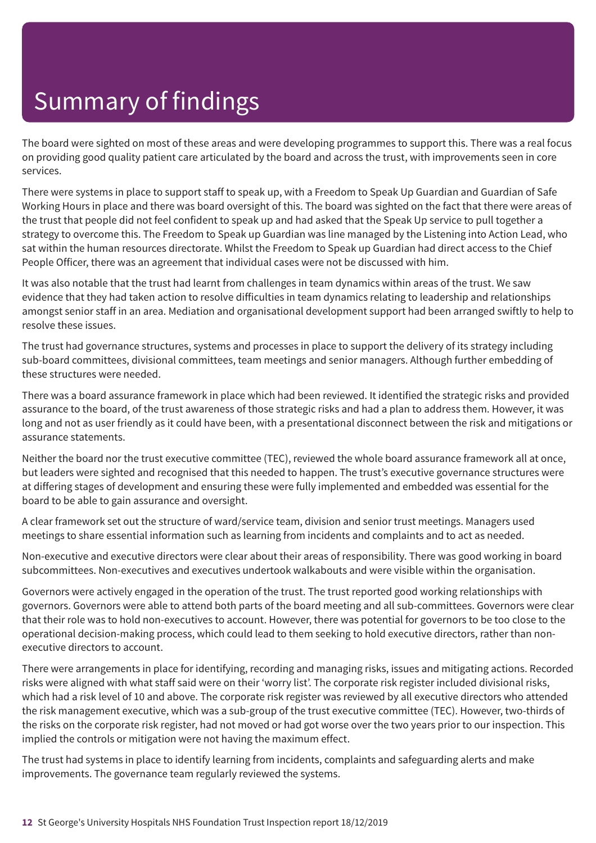The board were sighted on most of these areas and were developing programmes to support this. There was a real focus on providing good quality patient care articulated by the board and across the trust, with improvements seen in core services.

There were systems in place to support staff to speak up, with a Freedom to Speak Up Guardian and Guardian of Safe Working Hours in place and there was board oversight of this. The board was sighted on the fact that there were areas of the trust that people did not feel confident to speak up and had asked that the Speak Up service to pull together a strategy to overcome this. The Freedom to Speak up Guardian was line managed by the Listening into Action Lead, who sat within the human resources directorate. Whilst the Freedom to Speak up Guardian had direct access to the Chief People Officer, there was an agreement that individual cases were not be discussed with him.

It was also notable that the trust had learnt from challenges in team dynamics within areas of the trust. We saw evidence that they had taken action to resolve difficulties in team dynamics relating to leadership and relationships amongst senior staff in an area. Mediation and organisational development support had been arranged swiftly to help to resolve these issues.

The trust had governance structures, systems and processes in place to support the delivery of its strategy including sub-board committees, divisional committees, team meetings and senior managers. Although further embedding of these structures were needed.

There was a board assurance framework in place which had been reviewed. It identified the strategic risks and provided assurance to the board, of the trust awareness of those strategic risks and had a plan to address them. However, it was long and not as user friendly as it could have been, with a presentational disconnect between the risk and mitigations or assurance statements.

Neither the board nor the trust executive committee (TEC), reviewed the whole board assurance framework all at once, but leaders were sighted and recognised that this needed to happen. The trust's executive governance structures were at differing stages of development and ensuring these were fully implemented and embedded was essential for the board to be able to gain assurance and oversight.

A clear framework set out the structure of ward/service team, division and senior trust meetings. Managers used meetings to share essential information such as learning from incidents and complaints and to act as needed.

Non-executive and executive directors were clear about their areas of responsibility. There was good working in board subcommittees. Non-executives and executives undertook walkabouts and were visible within the organisation.

Governors were actively engaged in the operation of the trust. The trust reported good working relationships with governors. Governors were able to attend both parts of the board meeting and all sub-committees. Governors were clear that their role was to hold non-executives to account. However, there was potential for governors to be too close to the operational decision-making process, which could lead to them seeking to hold executive directors, rather than nonexecutive directors to account.

There were arrangements in place for identifying, recording and managing risks, issues and mitigating actions. Recorded risks were aligned with what staff said were on their 'worry list'. The corporate risk register included divisional risks, which had a risk level of 10 and above. The corporate risk register was reviewed by all executive directors who attended the risk management executive, which was a sub-group of the trust executive committee (TEC). However, two-thirds of the risks on the corporate risk register, had not moved or had got worse over the two years prior to our inspection. This implied the controls or mitigation were not having the maximum effect.

The trust had systems in place to identify learning from incidents, complaints and safeguarding alerts and make improvements. The governance team regularly reviewed the systems.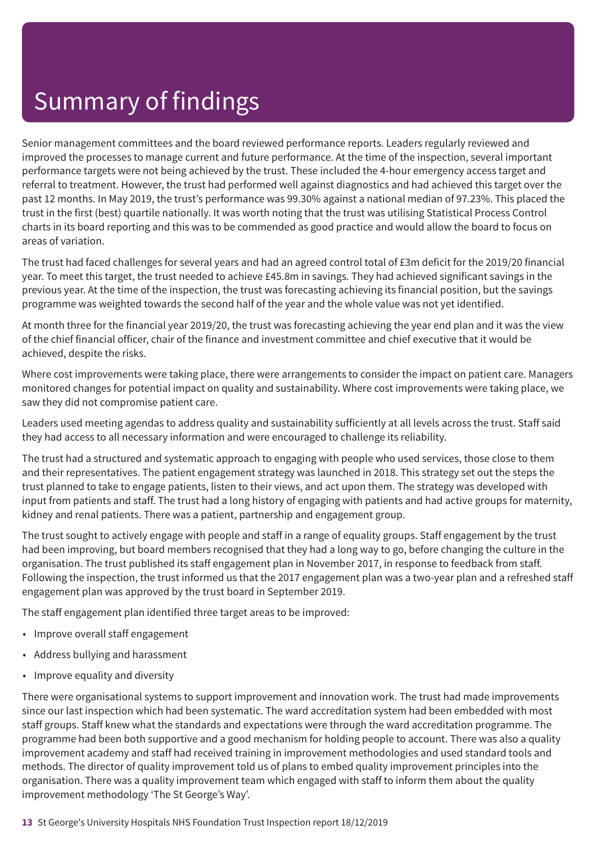Senior management committees and the board reviewed performance reports. Leaders regularly reviewed and improved the processes to manage current and future performance. At the time of the inspection, several important performance targets were not being achieved by the trust. These included the 4-hour emergency access target and referral to treatment. However, the trust had performed well against diagnostics and had achieved this target over the past 12 months. In May 2019, the trust's performance was 99.30% against a national median of 97.23%. This placed the trust in the first (best) quartile nationally. It was worth noting that the trust was utilising Statistical Process Control charts in its board reporting and this was to be commended as good practice and would allow the board to focus on areas of variation.

The trust had faced challenges for several years and had an agreed control total of £3m deficit for the 2019/20 financial year. To meet this target, the trust needed to achieve £45.8m in savings. They had achieved significant savings in the previous year. At the time of the inspection, the trust was forecasting achieving its financial position, but the savings programme was weighted towards the second half of the year and the whole value was not yet identified.

At month three for the financial year 2019/20, the trust was forecasting achieving the year end plan and it was the view of the chief financial officer, chair of the finance and investment committee and chief executive that it would be achieved, despite the risks.

Where cost improvements were taking place, there were arrangements to consider the impact on patient care. Managers monitored changes for potential impact on quality and sustainability. Where cost improvements were taking place, we saw they did not compromise patient care.

Leaders used meeting agendas to address quality and sustainability sufficiently at all levels across the trust. Staff said they had access to all necessary information and were encouraged to challenge its reliability.

The trust had a structured and systematic approach to engaging with people who used services, those close to them and their representatives. The patient engagement strategy was launched in 2018. This strategy set out the steps the trust planned to take to engage patients, listen to their views, and act upon them. The strategy was developed with input from patients and staff. The trust had a long history of engaging with patients and had active groups for maternity, kidney and renal patients. There was a patient, partnership and engagement group.

The trust sought to actively engage with people and staff in a range of equality groups. Staff engagement by the trust had been improving, but board members recognised that they had a long way to go, before changing the culture in the organisation. The trust published its staff engagement plan in November 2017, in response to feedback from staff. Following the inspection, the trust informed us that the 2017 engagement plan was a two-year plan and a refreshed staff engagement plan was approved by the trust board in September 2019.

The staff engagement plan identified three target areas to be improved:

- Improve overall staff engagement
- Address bullying and harassment
- Improve equality and diversity

There were organisational systems to support improvement and innovation work. The trust had made improvements since our last inspection which had been systematic. The ward accreditation system had been embedded with most staff groups. Staff knew what the standards and expectations were through the ward accreditation programme. The programme had been both supportive and a good mechanism for holding people to account. There was also a quality improvement academy and staff had received training in improvement methodologies and used standard tools and methods. The director of quality improvement told us of plans to embed quality improvement principles into the organisation. There was a quality improvement team which engaged with staff to inform them about the quality improvement methodology 'The St George's Way'.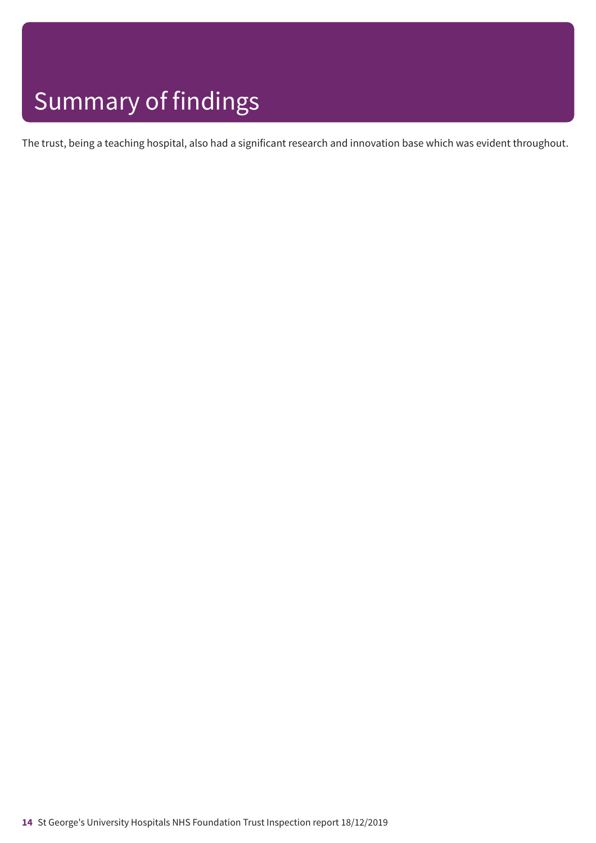The trust, being a teaching hospital, also had a significant research and innovation base which was evident throughout.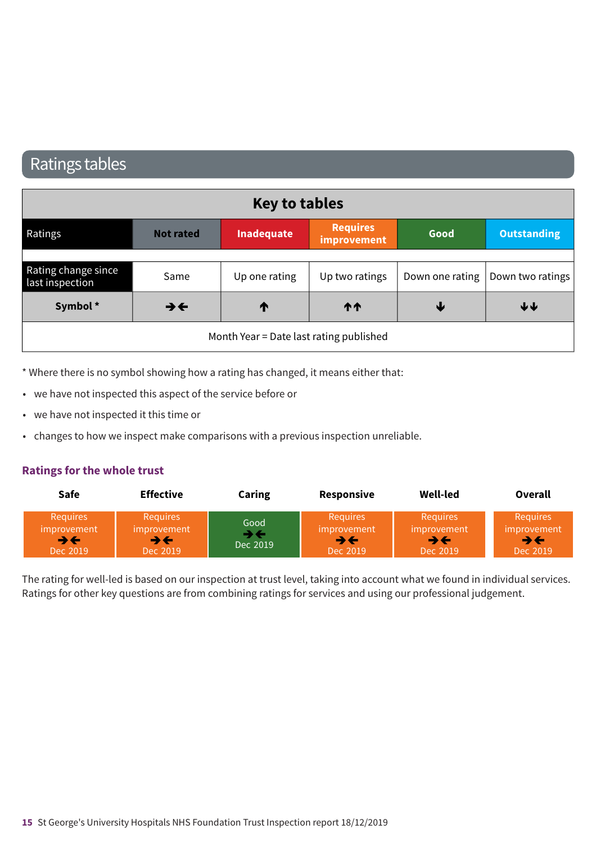### Ratings tables

| <b>Key to tables</b>                   |                          |                                         |                                |      |                                    |
|----------------------------------------|--------------------------|-----------------------------------------|--------------------------------|------|------------------------------------|
| Ratings                                | <b>Not rated</b>         | Inadequate                              | <b>Requires</b><br>improvement | Good | <b>Outstanding</b>                 |
|                                        |                          |                                         |                                |      |                                    |
| Rating change since<br>last inspection | Same                     | Up one rating                           | Up two ratings                 |      | Down one rating   Down two ratings |
| Symbol*                                | $\rightarrow \leftarrow$ | ↑                                       | <b>11</b>                      | ₩    | $\blacklozenge \blacklozenge$      |
|                                        |                          | Month Year = Date last rating published |                                |      |                                    |

\* Where there is no symbol showing how a rating has changed, it means either that:

- we have not inspected this aspect of the service before or
- we have not inspected it this time or
- changes to how we inspect make comparisons with a previous inspection unreliable.

#### **Ratings for the whole trust**

| <b>Safe</b>                                      | <b>Effective</b>                                 | Caring           | Responsive                                       | Well-led                                         | Overall                                    |
|--------------------------------------------------|--------------------------------------------------|------------------|--------------------------------------------------|--------------------------------------------------|--------------------------------------------|
| <b>Requires</b><br>improvement<br>∍←<br>Dec 2019 | <b>Requires</b><br>improvement<br>→←<br>Dec 2019 | Good<br>Dec 2019 | <b>Requires</b><br>improvement<br>→←<br>Dec 2019 | <b>Requires</b><br>improvement<br>→←<br>Dec 2019 | <b>Requires</b><br>improvement<br>Dec 2019 |

The rating for well-led is based on our inspection at trust level, taking into account what we found in individual services. Ratings for other key questions are from combining ratings for services and using our professional judgement.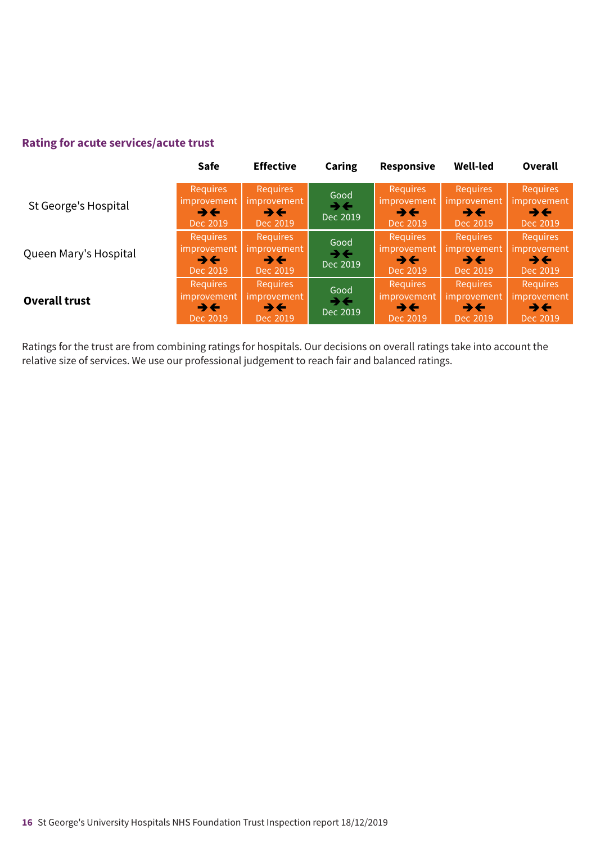### **Rating for acute services/acute trust**

|                       | <b>Safe</b>                                                              | <b>Effective</b>                                                              | Caring                                       | <b>Responsive</b>                                                      | <b>Well-led</b>                                                          | <b>Overall</b>                                                         |
|-----------------------|--------------------------------------------------------------------------|-------------------------------------------------------------------------------|----------------------------------------------|------------------------------------------------------------------------|--------------------------------------------------------------------------|------------------------------------------------------------------------|
| St George's Hospital  | <b>Requires</b><br>improvement<br>$\rightarrow$ $\leftarrow$<br>Dec 2019 | <b>Requires</b><br><i>improvement</i><br>$\rightarrow \leftarrow$<br>Dec 2019 | Good<br>$\rightarrow \leftarrow$<br>Dec 2019 | <b>Requires</b><br>improvement<br>$\rightarrow \leftarrow$<br>Dec 2019 | <b>Requires</b><br>improvement<br>$\rightarrow$ $\leftarrow$<br>Dec 2019 | <b>Requires</b><br>improvement<br>→←<br>Dec 2019                       |
| Queen Mary's Hospital | <b>Requires</b><br>improvement<br>$\rightarrow \leftarrow$<br>Dec 2019   | <b>Requires</b><br>improvement<br>$\rightarrow$ $\leftarrow$<br>Dec 2019      | Good<br>$\rightarrow \leftarrow$<br>Dec 2019 | Requires<br><i>improvement</i><br>$\rightarrow \leftarrow$<br>Dec 2019 | <b>Requires</b><br>improvement<br>$\rightarrow$ $\leftarrow$<br>Dec 2019 | Requires<br>improvement<br>$\rightarrow \leftarrow$<br>Dec 2019        |
| Overall trust         | <b>Requires</b><br>improvement<br>$\rightarrow$ $\leftarrow$<br>Dec 2019 | <b>Requires</b><br>improvement<br>$\rightarrow \leftarrow$<br>Dec 2019        | Good<br>$\rightarrow \leftarrow$<br>Dec 2019 | <b>Requires</b><br>improvement<br>$\rightarrow \leftarrow$<br>Dec 2019 | <b>Requires</b><br>improvement<br>$\rightarrow \leftarrow$<br>Dec 2019   | <b>Requires</b><br>improvement<br>$\rightarrow \leftarrow$<br>Dec 2019 |

Ratings for the trust are from combining ratings for hospitals. Our decisions on overall ratings take into account the relative size of services. We use our professional judgement to reach fair and balanced ratings.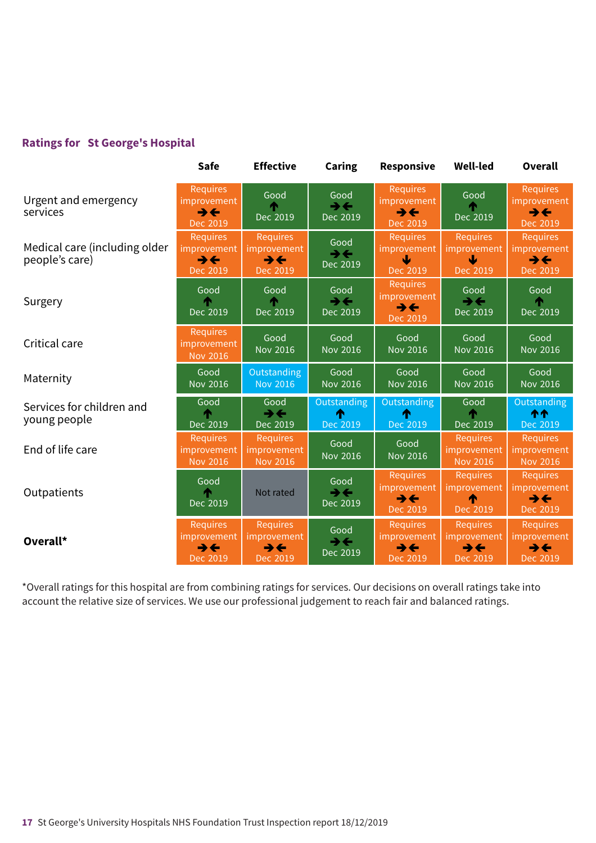### **Ratings for St George's Hospital**

|                                                 | <b>Safe</b>                                                            | <b>Effective</b>                                                              | Caring                                         | <b>Responsive</b>                                                             | <b>Well-led</b>                                                        | Overall                                                                       |
|-------------------------------------------------|------------------------------------------------------------------------|-------------------------------------------------------------------------------|------------------------------------------------|-------------------------------------------------------------------------------|------------------------------------------------------------------------|-------------------------------------------------------------------------------|
| Urgent and emergency<br>services                | <b>Requires</b><br>improvement<br>$\rightarrow \leftarrow$<br>Dec 2019 | Good<br>Dec 2019                                                              | Good<br>$\rightarrow \leftarrow$<br>Dec 2019   | <b>Requires</b><br><i>improvement</i><br>$\rightarrow \leftarrow$<br>Dec 2019 | Good<br>Dec 2019                                                       | <b>Requires</b><br>improvement<br>$\rightarrow \leftarrow$<br>Dec 2019        |
| Medical care (including older<br>people's care) | <b>Requires</b><br>improvement<br>$\rightarrow \leftarrow$<br>Dec 2019 | <b>Requires</b><br><i>improvement</i><br>$\rightarrow \leftarrow$<br>Dec 2019 | Good<br>$\rightarrow \leftarrow$<br>Dec 2019   | <b>Requires</b><br>improvement<br>Dec 2019                                    | <b>Requires</b><br>improvement<br>↓<br>Dec 2019                        | <b>Requires</b><br>improvement<br>$\rightarrow \leftarrow$<br>Dec 2019        |
| Surgery                                         | Good<br>Dec 2019                                                       | Good<br>Dec 2019                                                              | Good<br>$\rightarrow \leftarrow$<br>Dec 2019   | <b>Requires</b><br>improvement<br>$\rightarrow \leftarrow$<br>Dec 2019        | Good<br>$\rightarrow \leftarrow$<br>Dec 2019                           | Good<br>́↑<br>Dec 2019                                                        |
| Critical care                                   | Requires<br>improvement<br><b>Nov 2016</b>                             | Good<br><b>Nov 2016</b>                                                       | Good<br><b>Nov 2016</b>                        | Good<br><b>Nov 2016</b>                                                       | Good<br><b>Nov 2016</b>                                                | Good<br><b>Nov 2016</b>                                                       |
| Maternity                                       | Good<br><b>Nov 2016</b>                                                | Outstanding<br><b>Nov 2016</b>                                                | Good<br><b>Nov 2016</b>                        | Good<br>Nov 2016                                                              | Good<br>Nov 2016                                                       | Good<br>Nov 2016                                                              |
| Services for children and<br>young people       | Good<br>Dec 2019                                                       | Good<br>$\rightarrow \leftarrow$<br>Dec 2019                                  | Outstanding<br>T<br>Dec 2019                   | Outstanding<br>Dec 2019                                                       | Good<br>́∱∖<br>Dec 2019                                                | Outstanding<br><b>11</b><br>Dec 2019                                          |
| End of life care                                | <b>Requires</b><br>improvement<br><b>Nov 2016</b>                      | <b>Requires</b><br>mprovement<br>Nov 2016                                     | Good<br><b>Nov 2016</b>                        | Good<br><b>Nov 2016</b>                                                       | <b>Requires</b><br>improvement<br><b>Nov 2016</b>                      | <b>Requires</b><br><i>improvement</i><br><b>Nov 2016</b>                      |
| Outpatients                                     | Good<br>Dec 2019                                                       | Not rated                                                                     | Good<br>$\rightarrow$ $\leftarrow$<br>Dec 2019 | <b>Requires</b><br>improvement<br>$\rightarrow \leftarrow$<br>Dec 2019        | <b>Requires</b><br><i>improvement</i><br>↑<br>Dec 2019                 | <b>Requires</b><br>improvement<br>$\rightarrow \leftarrow$<br>Dec 2019        |
| Overall*                                        | <b>Requires</b><br>improvement<br>$\rightarrow \leftarrow$<br>Dec 2019 | <b>Requires</b><br>mprovement<br>$\rightarrow \leftarrow$<br>Dec 2019         | Good<br>$\rightarrow \leftarrow$<br>Dec 2019   | <b>Requires</b><br>improvement<br>$\rightarrow \leftarrow$<br>Dec 2019        | <b>Requires</b><br>improvement<br>$\rightarrow \leftarrow$<br>Dec 2019 | <b>Requires</b><br><i>improvement</i><br>$\rightarrow \leftarrow$<br>Dec 2019 |

\*Overall ratings for this hospital are from combining ratings for services. Our decisions on overall ratings take into account the relative size of services. We use our professional judgement to reach fair and balanced ratings.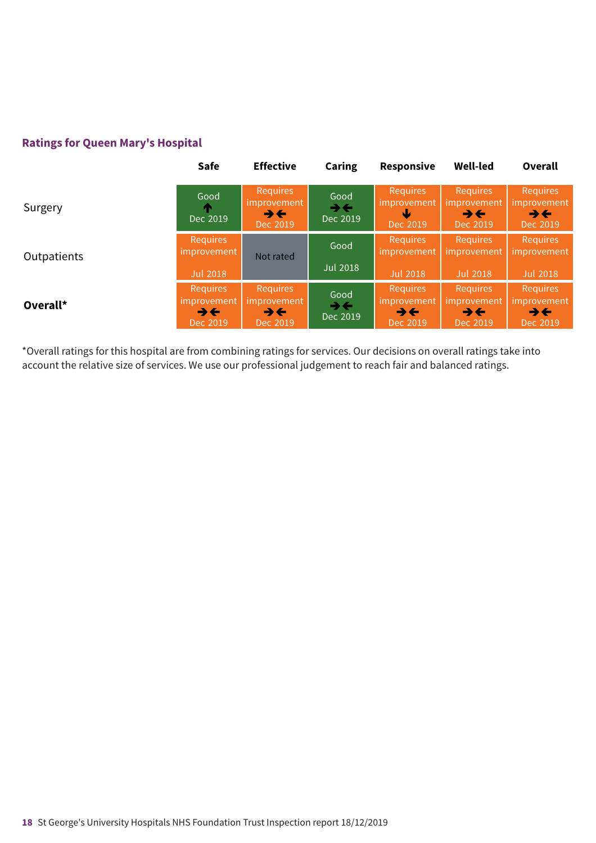### **Ratings for Queen Mary's Hospital**

|             | <b>Safe</b>                                                              | <b>Effective</b>                                                       | <b>Caring</b>                                | <b>Responsive</b>                                                      | <b>Well-led</b>                                                        | Overall                                                                |
|-------------|--------------------------------------------------------------------------|------------------------------------------------------------------------|----------------------------------------------|------------------------------------------------------------------------|------------------------------------------------------------------------|------------------------------------------------------------------------|
| Surgery     | Good<br>Dec 2019                                                         | <b>Requires</b><br>improvement<br>$\rightarrow \leftarrow$<br>Dec 2019 | Good<br>$\rightarrow \leftarrow$<br>Dec 2019 | <b>Requires</b><br>improvement<br>Dec 2019                             | <b>Requires</b><br>improvement<br>$\rightarrow \leftarrow$<br>Dec 2019 | <b>Requires</b><br>improvement<br>$\rightarrow \leftarrow$<br>Dec 2019 |
| Outpatients | Requires<br>improvement                                                  | Not rated                                                              | Good                                         | <b>Requires</b><br>improvement                                         | <b>Requires</b><br>improvement                                         | <b>Requires</b><br>improvement                                         |
|             | <b>Jul 2018</b>                                                          |                                                                        | <b>Jul 2018</b>                              | <b>Jul 2018</b>                                                        | <b>Jul 2018</b>                                                        | <b>Jul 2018</b>                                                        |
| Overall*    | <b>Requires</b><br>improvement<br>$\rightarrow$ $\leftarrow$<br>Dec 2019 | Requires<br><i>improvement</i><br>$\rightarrow \leftarrow$<br>Dec 2019 | Good<br>$\rightarrow \leftarrow$<br>Dec 2019 | <b>Requires</b><br>improvement<br>$\rightarrow \leftarrow$<br>Dec 2019 | <b>Requires</b><br>improvement<br>$\rightarrow \leftarrow$<br>Dec 2019 | <b>Requires</b><br>improvement<br>$\rightarrow \leftarrow$<br>Dec 2019 |

\*Overall ratings for this hospital are from combining ratings for services. Our decisions on overall ratings take into account the relative size of services. We use our professional judgement to reach fair and balanced ratings.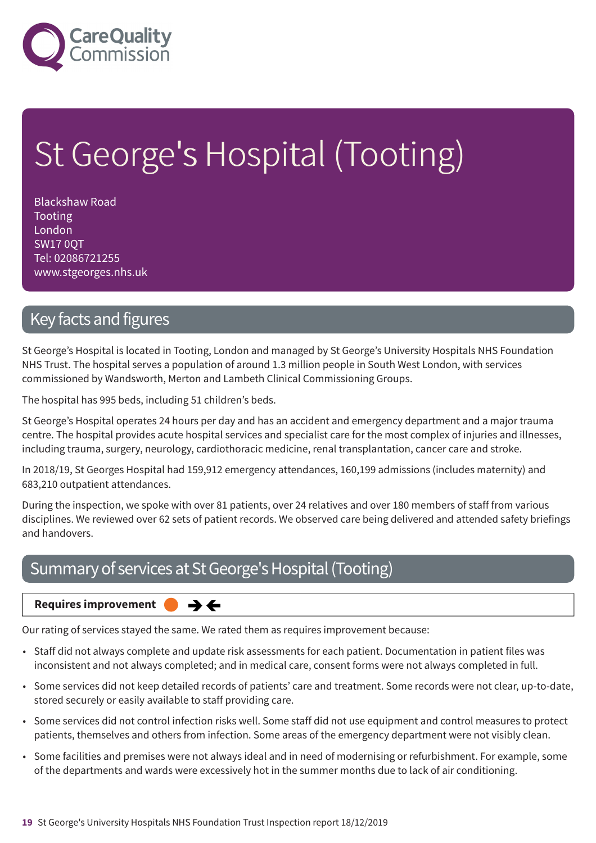

# St George's Hospital (Tooting)

Blackshaw Road Tooting London SW17 0QT Tel: 02086721255 www.stgeorges.nhs.uk

### Key facts and figures

St George's Hospital is located in Tooting, London and managed by St George's University Hospitals NHS Foundation NHS Trust. The hospital serves a population of around 1.3 million people in South West London, with services commissioned by Wandsworth, Merton and Lambeth Clinical Commissioning Groups.

The hospital has 995 beds, including 51 children's beds.

St George's Hospital operates 24 hours per day and has an accident and emergency department and a major trauma centre. The hospital provides acute hospital services and specialist care for the most complex of injuries and illnesses, including trauma, surgery, neurology, cardiothoracic medicine, renal transplantation, cancer care and stroke.

In 2018/19, St Georges Hospital had 159,912 emergency attendances, 160,199 admissions (includes maternity) and 683,210 outpatient attendances.

During the inspection, we spoke with over 81 patients, over 24 relatives and over 180 members of staff from various disciplines. We reviewed over 62 sets of patient records. We observed care being delivered and attended safety briefings and handovers.

### Summary of services at St George's Hospital (Tooting)

 $\rightarrow \leftarrow$ 

#### **Requires improvement**

Our rating of services stayed the same. We rated them as requires improvement because:

- Staff did not always complete and update risk assessments for each patient. Documentation in patient files was inconsistent and not always completed; and in medical care, consent forms were not always completed in full.
- Some services did not keep detailed records of patients' care and treatment. Some records were not clear, up-to-date, stored securely or easily available to staff providing care.
- Some services did not control infection risks well. Some staff did not use equipment and control measures to protect patients, themselves and others from infection. Some areas of the emergency department were not visibly clean.
- Some facilities and premises were not always ideal and in need of modernising or refurbishment. For example, some of the departments and wards were excessively hot in the summer months due to lack of air conditioning.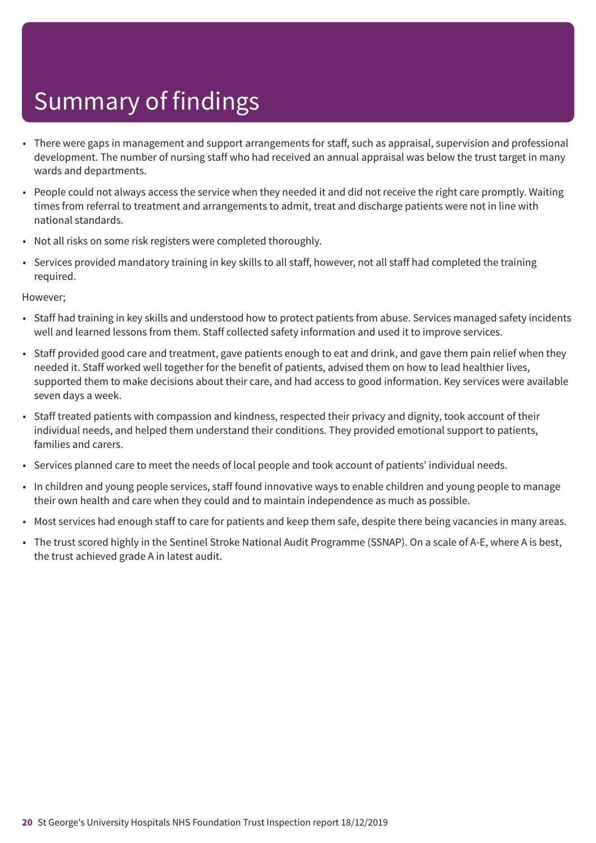- There were gaps in management and support arrangements for staff, such as appraisal, supervision and professional development. The number of nursing staff who had received an annual appraisal was below the trust target in many wards and departments.
- People could not always access the service when they needed it and did not receive the right care promptly. Waiting times from referral to treatment and arrangements to admit, treat and discharge patients were not in line with national standards.
- Not all risks on some risk registers were completed thoroughly.
- Services provided mandatory training in key skills to all staff, however, not all staff had completed the training required.

However;

- Staff had training in key skills and understood how to protect patients from abuse. Services managed safety incidents well and learned lessons from them. Staff collected safety information and used it to improve services.
- Staff provided good care and treatment, gave patients enough to eat and drink, and gave them pain relief when they needed it. Staff worked well together for the benefit of patients, advised them on how to lead healthier lives, supported them to make decisions about their care, and had access to good information. Key services were available seven days a week.
- Staff treated patients with compassion and kindness, respected their privacy and dignity, took account of their individual needs, and helped them understand their conditions. They provided emotional support to patients, families and carers.
- Services planned care to meet the needs of local people and took account of patients' individual needs.
- In children and young people services, staff found innovative ways to enable children and young people to manage their own health and care when they could and to maintain independence as much as possible.
- Most services had enough staff to care for patients and keep them safe, despite there being vacancies in many areas.
- The trust scored highly in the Sentinel Stroke National Audit Programme (SSNAP). On a scale of A-E, where A is best, the trust achieved grade A in latest audit.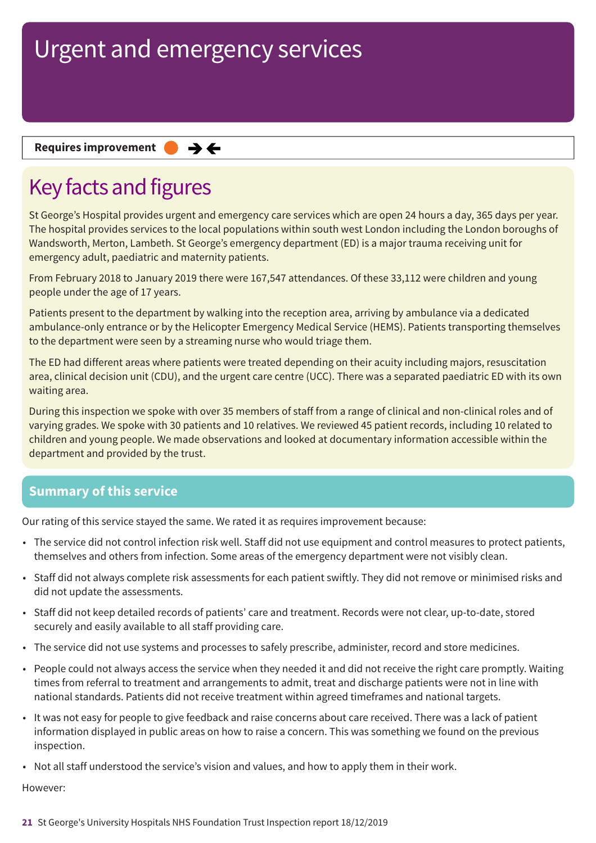#### **Requires improvement**  $\rightarrow$   $\leftarrow$

# Key facts and figures

St George's Hospital provides urgent and emergency care services which are open 24 hours a day, 365 days per year. The hospital provides services to the local populations within south west London including the London boroughs of Wandsworth, Merton, Lambeth. St George's emergency department (ED) is a major trauma receiving unit for emergency adult, paediatric and maternity patients.

From February 2018 to January 2019 there were 167,547 attendances. Of these 33,112 were children and young people under the age of 17 years.

Patients present to the department by walking into the reception area, arriving by ambulance via a dedicated ambulance-only entrance or by the Helicopter Emergency Medical Service (HEMS). Patients transporting themselves to the department were seen by a streaming nurse who would triage them.

The ED had different areas where patients were treated depending on their acuity including majors, resuscitation area, clinical decision unit (CDU), and the urgent care centre (UCC). There was a separated paediatric ED with its own waiting area.

During this inspection we spoke with over 35 members of staff from a range of clinical and non-clinical roles and of varying grades. We spoke with 30 patients and 10 relatives. We reviewed 45 patient records, including 10 related to children and young people. We made observations and looked at documentary information accessible within the department and provided by the trust.

### **Summary of this service**

Our rating of this service stayed the same. We rated it as requires improvement because:

- The service did not control infection risk well. Staff did not use equipment and control measures to protect patients, themselves and others from infection. Some areas of the emergency department were not visibly clean.
- Staff did not always complete risk assessments for each patient swiftly. They did not remove or minimised risks and did not update the assessments.
- Staff did not keep detailed records of patients' care and treatment. Records were not clear, up-to-date, stored securely and easily available to all staff providing care.
- The service did not use systems and processes to safely prescribe, administer, record and store medicines.
- People could not always access the service when they needed it and did not receive the right care promptly. Waiting times from referral to treatment and arrangements to admit, treat and discharge patients were not in line with national standards. Patients did not receive treatment within agreed timeframes and national targets.
- It was not easy for people to give feedback and raise concerns about care received. There was a lack of patient information displayed in public areas on how to raise a concern. This was something we found on the previous inspection.
- Not all staff understood the service's vision and values, and how to apply them in their work.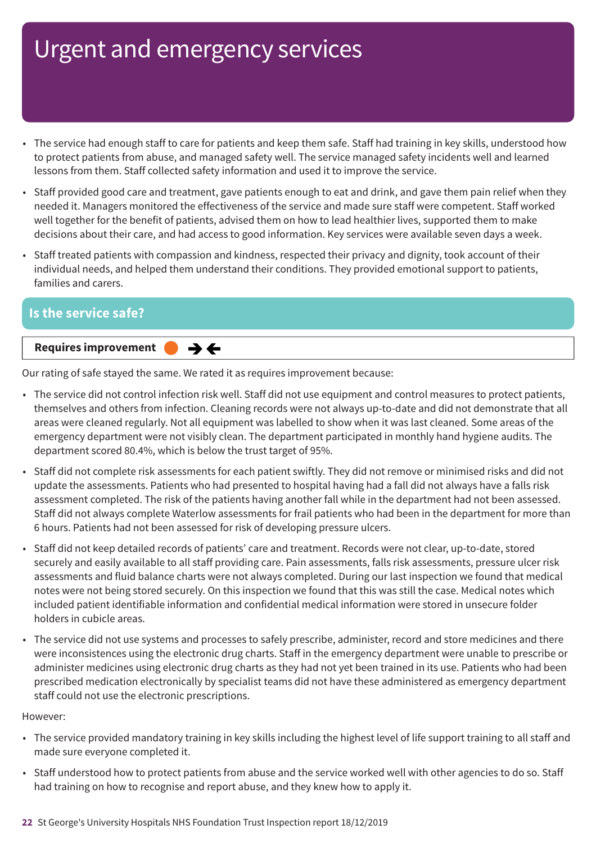- The service had enough staff to care for patients and keep them safe. Staff had training in key skills, understood how to protect patients from abuse, and managed safety well. The service managed safety incidents well and learned lessons from them. Staff collected safety information and used it to improve the service.
- Staff provided good care and treatment, gave patients enough to eat and drink, and gave them pain relief when they needed it. Managers monitored the effectiveness of the service and made sure staff were competent. Staff worked well together for the benefit of patients, advised them on how to lead healthier lives, supported them to make decisions about their care, and had access to good information. Key services were available seven days a week.
- Staff treated patients with compassion and kindness, respected their privacy and dignity, took account of their individual needs, and helped them understand their conditions. They provided emotional support to patients, families and carers.

### **Is the service safe? Same–––rating Requires improvement –––**  $\rightarrow \leftarrow$

Our rating of safe stayed the same. We rated it as requires improvement because:

- The service did not control infection risk well. Staff did not use equipment and control measures to protect patients, themselves and others from infection. Cleaning records were not always up-to-date and did not demonstrate that all areas were cleaned regularly. Not all equipment was labelled to show when it was last cleaned. Some areas of the emergency department were not visibly clean. The department participated in monthly hand hygiene audits. The department scored 80.4%, which is below the trust target of 95%.
- Staff did not complete risk assessments for each patient swiftly. They did not remove or minimised risks and did not update the assessments. Patients who had presented to hospital having had a fall did not always have a falls risk assessment completed. The risk of the patients having another fall while in the department had not been assessed. Staff did not always complete Waterlow assessments for frail patients who had been in the department for more than 6 hours. Patients had not been assessed for risk of developing pressure ulcers.
- Staff did not keep detailed records of patients' care and treatment. Records were not clear, up-to-date, stored securely and easily available to all staff providing care. Pain assessments, falls risk assessments, pressure ulcer risk assessments and fluid balance charts were not always completed. During our last inspection we found that medical notes were not being stored securely. On this inspection we found that this was still the case. Medical notes which included patient identifiable information and confidential medical information were stored in unsecure folder holders in cubicle areas.
- The service did not use systems and processes to safely prescribe, administer, record and store medicines and there were inconsistences using the electronic drug charts. Staff in the emergency department were unable to prescribe or administer medicines using electronic drug charts as they had not yet been trained in its use. Patients who had been prescribed medication electronically by specialist teams did not have these administered as emergency department staff could not use the electronic prescriptions.

- The service provided mandatory training in key skills including the highest level of life support training to all staff and made sure everyone completed it.
- Staff understood how to protect patients from abuse and the service worked well with other agencies to do so. Staff had training on how to recognise and report abuse, and they knew how to apply it.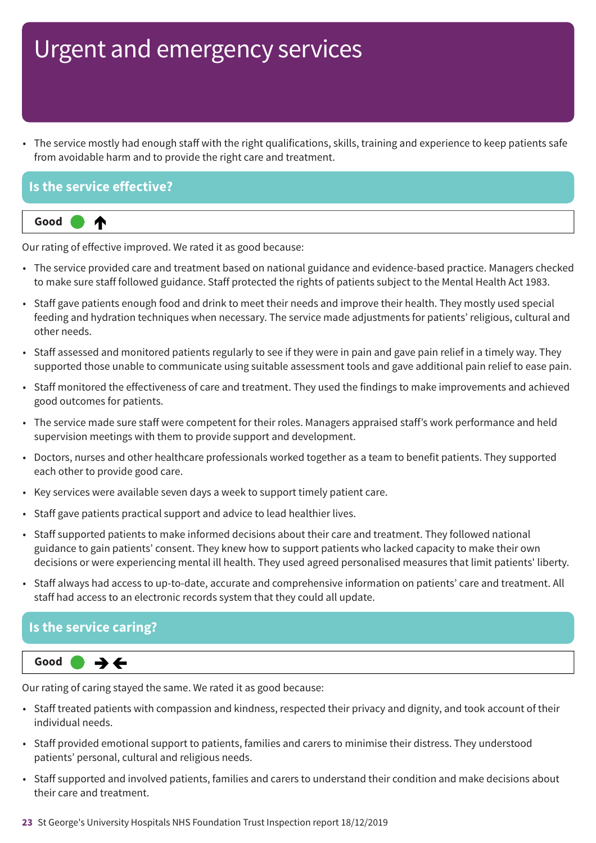• The service mostly had enough staff with the right qualifications, skills, training and experience to keep patients safe from avoidable harm and to provide the right care and treatment.

### **Is the service effective?**



Our rating of effective improved. We rated it as good because:

- The service provided care and treatment based on national guidance and evidence-based practice. Managers checked to make sure staff followed guidance. Staff protected the rights of patients subject to the Mental Health Act 1983.
- Staff gave patients enough food and drink to meet their needs and improve their health. They mostly used special feeding and hydration techniques when necessary. The service made adjustments for patients' religious, cultural and other needs.
- Staff assessed and monitored patients regularly to see if they were in pain and gave pain relief in a timely way. They supported those unable to communicate using suitable assessment tools and gave additional pain relief to ease pain.
- Staff monitored the effectiveness of care and treatment. They used the findings to make improvements and achieved good outcomes for patients.
- The service made sure staff were competent for their roles. Managers appraised staff's work performance and held supervision meetings with them to provide support and development.
- Doctors, nurses and other healthcare professionals worked together as a team to benefit patients. They supported each other to provide good care.
- Key services were available seven days a week to support timely patient care.
- Staff gave patients practical support and advice to lead healthier lives.
- Staff supported patients to make informed decisions about their care and treatment. They followed national guidance to gain patients' consent. They knew how to support patients who lacked capacity to make their own decisions or were experiencing mental ill health. They used agreed personalised measures that limit patients' liberty.
- Staff always had access to up-to-date, accurate and comprehensive information on patients' care and treatment. All staff had access to an electronic records system that they could all update.

### **Is the service caring?**



Our rating of caring stayed the same. We rated it as good because:

- Staff treated patients with compassion and kindness, respected their privacy and dignity, and took account of their individual needs.
- Staff provided emotional support to patients, families and carers to minimise their distress. They understood patients' personal, cultural and religious needs.
- Staff supported and involved patients, families and carers to understand their condition and make decisions about their care and treatment.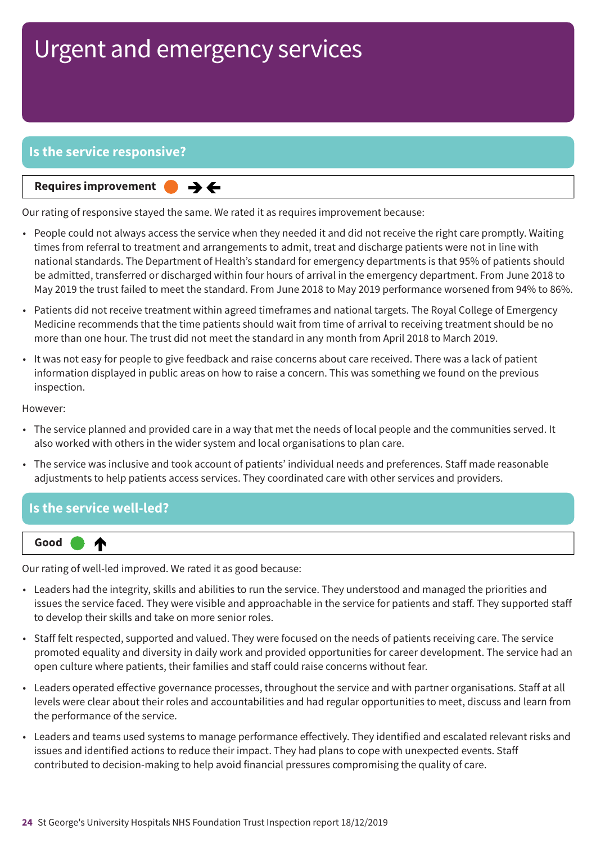### **Is the service responsive?**

**Requires improvement** 

Our rating of responsive stayed the same. We rated it as requires improvement because:

 $\rightarrow$   $\leftarrow$ 

- People could not always access the service when they needed it and did not receive the right care promptly. Waiting times from referral to treatment and arrangements to admit, treat and discharge patients were not in line with national standards. The Department of Health's standard for emergency departments is that 95% of patients should be admitted, transferred or discharged within four hours of arrival in the emergency department. From June 2018 to May 2019 the trust failed to meet the standard. From June 2018 to May 2019 performance worsened from 94% to 86%.
- Patients did not receive treatment within agreed timeframes and national targets. The Royal College of Emergency Medicine recommends that the time patients should wait from time of arrival to receiving treatment should be no more than one hour. The trust did not meet the standard in any month from April 2018 to March 2019.
- It was not easy for people to give feedback and raise concerns about care received. There was a lack of patient information displayed in public areas on how to raise a concern. This was something we found on the previous inspection.

However:

- The service planned and provided care in a way that met the needs of local people and the communities served. It also worked with others in the wider system and local organisations to plan care.
- The service was inclusive and took account of patients' individual needs and preferences. Staff made reasonable adjustments to help patients access services. They coordinated care with other services and providers.

### **Is the service well-led?**



Our rating of well-led improved. We rated it as good because:

- Leaders had the integrity, skills and abilities to run the service. They understood and managed the priorities and issues the service faced. They were visible and approachable in the service for patients and staff. They supported staff to develop their skills and take on more senior roles.
- Staff felt respected, supported and valued. They were focused on the needs of patients receiving care. The service promoted equality and diversity in daily work and provided opportunities for career development. The service had an open culture where patients, their families and staff could raise concerns without fear.
- Leaders operated effective governance processes, throughout the service and with partner organisations. Staff at all levels were clear about their roles and accountabilities and had regular opportunities to meet, discuss and learn from the performance of the service.
- Leaders and teams used systems to manage performance effectively. They identified and escalated relevant risks and issues and identified actions to reduce their impact. They had plans to cope with unexpected events. Staff contributed to decision-making to help avoid financial pressures compromising the quality of care.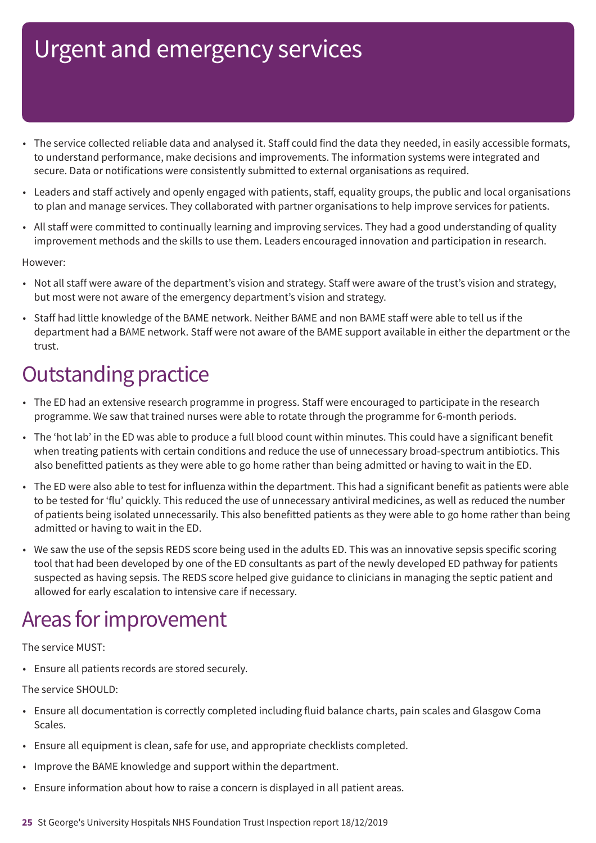- The service collected reliable data and analysed it. Staff could find the data they needed, in easily accessible formats, to understand performance, make decisions and improvements. The information systems were integrated and secure. Data or notifications were consistently submitted to external organisations as required.
- Leaders and staff actively and openly engaged with patients, staff, equality groups, the public and local organisations to plan and manage services. They collaborated with partner organisations to help improve services for patients.
- All staff were committed to continually learning and improving services. They had a good understanding of quality improvement methods and the skills to use them. Leaders encouraged innovation and participation in research.

#### However:

- Not all staff were aware of the department's vision and strategy. Staff were aware of the trust's vision and strategy, but most were not aware of the emergency department's vision and strategy.
- Staff had little knowledge of the BAME network. Neither BAME and non BAME staff were able to tell us if the department had a BAME network. Staff were not aware of the BAME support available in either the department or the trust.

### **Outstanding practice**

- The ED had an extensive research programme in progress. Staff were encouraged to participate in the research programme. We saw that trained nurses were able to rotate through the programme for 6-month periods.
- The 'hot lab' in the ED was able to produce a full blood count within minutes. This could have a significant benefit when treating patients with certain conditions and reduce the use of unnecessary broad-spectrum antibiotics. This also benefitted patients as they were able to go home rather than being admitted or having to wait in the ED.
- The ED were also able to test for influenza within the department. This had a significant benefit as patients were able to be tested for 'flu' quickly. This reduced the use of unnecessary antiviral medicines, as well as reduced the number of patients being isolated unnecessarily. This also benefitted patients as they were able to go home rather than being admitted or having to wait in the ED.
- We saw the use of the sepsis REDS score being used in the adults ED. This was an innovative sepsis specific scoring tool that had been developed by one of the ED consultants as part of the newly developed ED pathway for patients suspected as having sepsis. The REDS score helped give guidance to clinicians in managing the septic patient and allowed for early escalation to intensive care if necessary.

### Areas for improvement

The service MUST:

• Ensure all patients records are stored securely.

The service SHOULD:

- Ensure all documentation is correctly completed including fluid balance charts, pain scales and Glasgow Coma Scales.
- Ensure all equipment is clean, safe for use, and appropriate checklists completed.
- Improve the BAME knowledge and support within the department.
- Ensure information about how to raise a concern is displayed in all patient areas.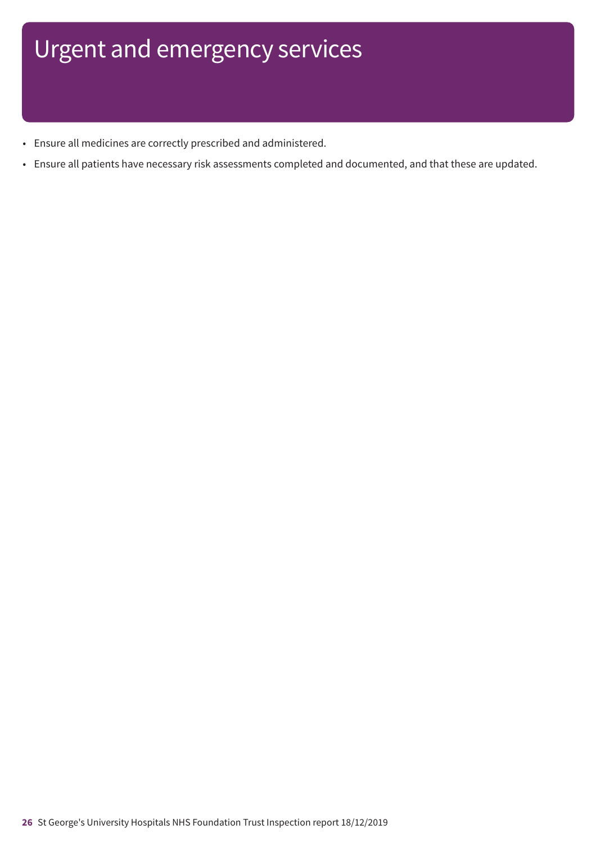- Ensure all medicines are correctly prescribed and administered.
- Ensure all patients have necessary risk assessments completed and documented, and that these are updated.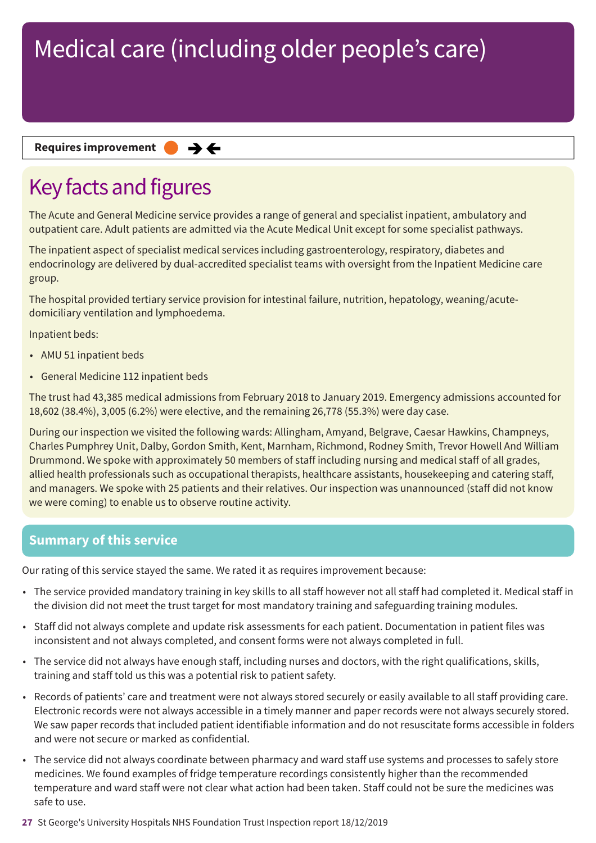#### **Requires improvement**  $\rightarrow$   $\leftarrow$

# Key facts and figures

The Acute and General Medicine service provides a range of general and specialist inpatient, ambulatory and outpatient care. Adult patients are admitted via the Acute Medical Unit except for some specialist pathways.

The inpatient aspect of specialist medical services including gastroenterology, respiratory, diabetes and endocrinology are delivered by dual-accredited specialist teams with oversight from the Inpatient Medicine care group.

The hospital provided tertiary service provision for intestinal failure, nutrition, hepatology, weaning/acutedomiciliary ventilation and lymphoedema.

Inpatient beds:

- AMU 51 inpatient beds
- General Medicine 112 inpatient beds

The trust had 43,385 medical admissions from February 2018 to January 2019. Emergency admissions accounted for 18,602 (38.4%), 3,005 (6.2%) were elective, and the remaining 26,778 (55.3%) were day case.

During our inspection we visited the following wards: Allingham, Amyand, Belgrave, Caesar Hawkins, Champneys, Charles Pumphrey Unit, Dalby, Gordon Smith, Kent, Marnham, Richmond, Rodney Smith, Trevor Howell And William Drummond. We spoke with approximately 50 members of staff including nursing and medical staff of all grades, allied health professionals such as occupational therapists, healthcare assistants, housekeeping and catering staff, and managers. We spoke with 25 patients and their relatives. Our inspection was unannounced (staff did not know we were coming) to enable us to observe routine activity.

### **Summary of this service**

Our rating of this service stayed the same. We rated it as requires improvement because:

- The service provided mandatory training in key skills to all staff however not all staff had completed it. Medical staff in the division did not meet the trust target for most mandatory training and safeguarding training modules.
- Staff did not always complete and update risk assessments for each patient. Documentation in patient files was inconsistent and not always completed, and consent forms were not always completed in full.
- The service did not always have enough staff, including nurses and doctors, with the right qualifications, skills, training and staff told us this was a potential risk to patient safety.
- Records of patients' care and treatment were not always stored securely or easily available to all staff providing care. Electronic records were not always accessible in a timely manner and paper records were not always securely stored. We saw paper records that included patient identifiable information and do not resuscitate forms accessible in folders and were not secure or marked as confidential.
- The service did not always coordinate between pharmacy and ward staff use systems and processes to safely store medicines. We found examples of fridge temperature recordings consistently higher than the recommended temperature and ward staff were not clear what action had been taken. Staff could not be sure the medicines was safe to use.
- **27** St George's University Hospitals NHS Foundation Trust Inspection report 18/12/2019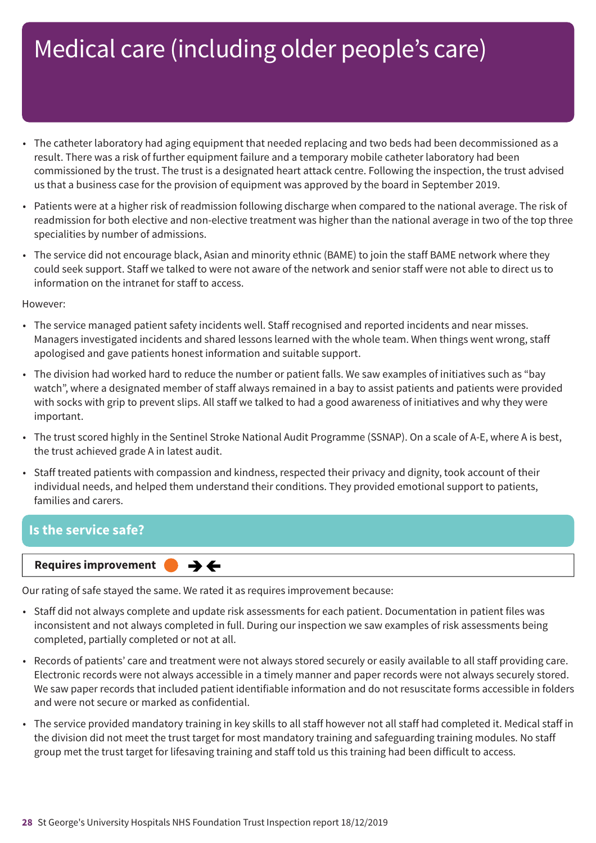- The catheter laboratory had aging equipment that needed replacing and two beds had been decommissioned as a result. There was a risk of further equipment failure and a temporary mobile catheter laboratory had been commissioned by the trust. The trust is a designated heart attack centre. Following the inspection, the trust advised us that a business case for the provision of equipment was approved by the board in September 2019.
- Patients were at a higher risk of readmission following discharge when compared to the national average. The risk of readmission for both elective and non-elective treatment was higher than the national average in two of the top three specialities by number of admissions.
- The service did not encourage black, Asian and minority ethnic (BAME) to join the staff BAME network where they could seek support. Staff we talked to were not aware of the network and senior staff were not able to direct us to information on the intranet for staff to access.

However:

- The service managed patient safety incidents well. Staff recognised and reported incidents and near misses. Managers investigated incidents and shared lessons learned with the whole team. When things went wrong, staff apologised and gave patients honest information and suitable support.
- The division had worked hard to reduce the number or patient falls. We saw examples of initiatives such as "bay watch", where a designated member of staff always remained in a bay to assist patients and patients were provided with socks with grip to prevent slips. All staff we talked to had a good awareness of initiatives and why they were important.
- The trust scored highly in the Sentinel Stroke National Audit Programme (SSNAP). On a scale of A-E, where A is best, the trust achieved grade A in latest audit.
- Staff treated patients with compassion and kindness, respected their privacy and dignity, took account of their individual needs, and helped them understand their conditions. They provided emotional support to patients, families and carers.

### **Is the service safe?**

#### **Requires improvement**  $\rightarrow$   $\leftarrow$

Our rating of safe stayed the same. We rated it as requires improvement because:

- Staff did not always complete and update risk assessments for each patient. Documentation in patient files was inconsistent and not always completed in full. During our inspection we saw examples of risk assessments being completed, partially completed or not at all.
- Records of patients' care and treatment were not always stored securely or easily available to all staff providing care. Electronic records were not always accessible in a timely manner and paper records were not always securely stored. We saw paper records that included patient identifiable information and do not resuscitate forms accessible in folders and were not secure or marked as confidential.
- The service provided mandatory training in key skills to all staff however not all staff had completed it. Medical staff in the division did not meet the trust target for most mandatory training and safeguarding training modules. No staff group met the trust target for lifesaving training and staff told us this training had been difficult to access.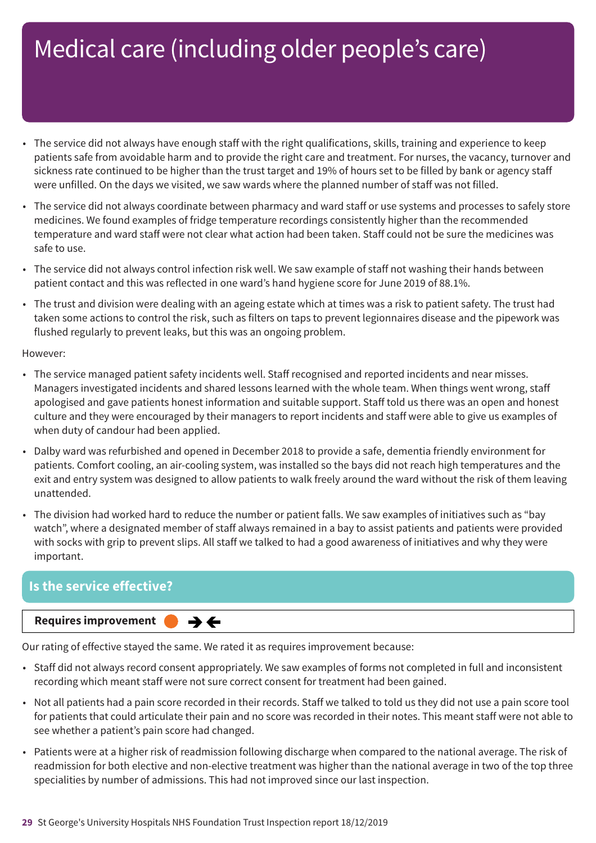- The service did not always have enough staff with the right qualifications, skills, training and experience to keep patients safe from avoidable harm and to provide the right care and treatment. For nurses, the vacancy, turnover and sickness rate continued to be higher than the trust target and 19% of hours set to be filled by bank or agency staff were unfilled. On the days we visited, we saw wards where the planned number of staff was not filled.
- The service did not always coordinate between pharmacy and ward staff or use systems and processes to safely store medicines. We found examples of fridge temperature recordings consistently higher than the recommended temperature and ward staff were not clear what action had been taken. Staff could not be sure the medicines was safe to use.
- The service did not always control infection risk well. We saw example of staff not washing their hands between patient contact and this was reflected in one ward's hand hygiene score for June 2019 of 88.1%.
- The trust and division were dealing with an ageing estate which at times was a risk to patient safety. The trust had taken some actions to control the risk, such as filters on taps to prevent legionnaires disease and the pipework was flushed regularly to prevent leaks, but this was an ongoing problem.

However:

- The service managed patient safety incidents well. Staff recognised and reported incidents and near misses. Managers investigated incidents and shared lessons learned with the whole team. When things went wrong, staff apologised and gave patients honest information and suitable support. Staff told us there was an open and honest culture and they were encouraged by their managers to report incidents and staff were able to give us examples of when duty of candour had been applied.
- Dalby ward was refurbished and opened in December 2018 to provide a safe, dementia friendly environment for patients. Comfort cooling, an air-cooling system, was installed so the bays did not reach high temperatures and the exit and entry system was designed to allow patients to walk freely around the ward without the risk of them leaving unattended.
- The division had worked hard to reduce the number or patient falls. We saw examples of initiatives such as "bay watch", where a designated member of staff always remained in a bay to assist patients and patients were provided with socks with grip to prevent slips. All staff we talked to had a good awareness of initiatives and why they were important.

### **Is the service effective?**

**Requires improvement** 

Our rating of effective stayed the same. We rated it as requires improvement because:

 $\rightarrow$   $\leftarrow$ 

- Staff did not always record consent appropriately. We saw examples of forms not completed in full and inconsistent recording which meant staff were not sure correct consent for treatment had been gained.
- Not all patients had a pain score recorded in their records. Staff we talked to told us they did not use a pain score tool for patients that could articulate their pain and no score was recorded in their notes. This meant staff were not able to see whether a patient's pain score had changed.
- Patients were at a higher risk of readmission following discharge when compared to the national average. The risk of readmission for both elective and non-elective treatment was higher than the national average in two of the top three specialities by number of admissions. This had not improved since our last inspection.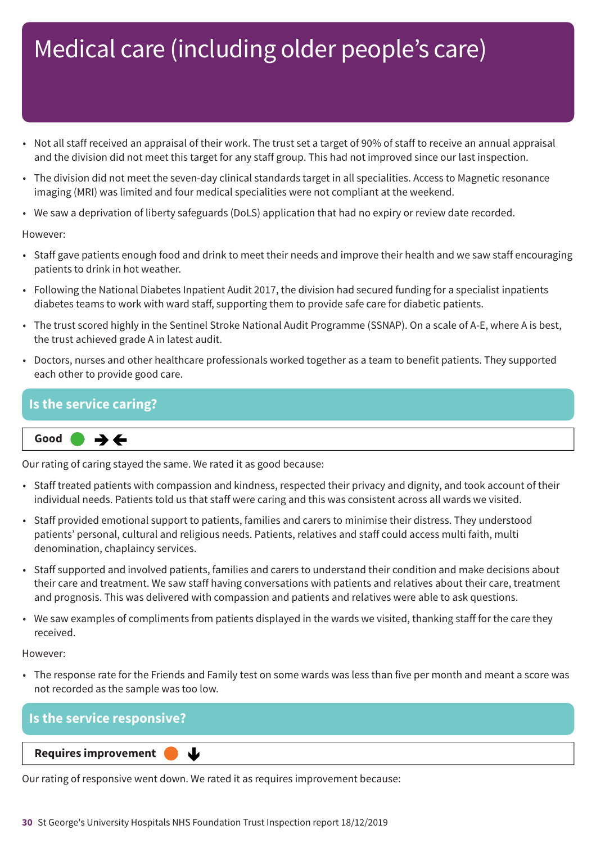- Not all staff received an appraisal of their work. The trust set a target of 90% of staff to receive an annual appraisal and the division did not meet this target for any staff group. This had not improved since our last inspection.
- The division did not meet the seven-day clinical standards target in all specialities. Access to Magnetic resonance imaging (MRI) was limited and four medical specialities were not compliant at the weekend.
- We saw a deprivation of liberty safeguards (DoLS) application that had no expiry or review date recorded.

#### However:

- Staff gave patients enough food and drink to meet their needs and improve their health and we saw staff encouraging patients to drink in hot weather.
- Following the National Diabetes Inpatient Audit 2017, the division had secured funding for a specialist inpatients diabetes teams to work with ward staff, supporting them to provide safe care for diabetic patients.
- The trust scored highly in the Sentinel Stroke National Audit Programme (SSNAP). On a scale of A-E, where A is best, the trust achieved grade A in latest audit.
- Doctors, nurses and other healthcare professionals worked together as a team to benefit patients. They supported each other to provide good care.

### **Is the service caring?**

**Same–––rating Good –––**

Our rating of caring stayed the same. We rated it as good because:

- Staff treated patients with compassion and kindness, respected their privacy and dignity, and took account of their individual needs. Patients told us that staff were caring and this was consistent across all wards we visited.
- Staff provided emotional support to patients, families and carers to minimise their distress. They understood patients' personal, cultural and religious needs. Patients, relatives and staff could access multi faith, multi denomination, chaplaincy services.
- Staff supported and involved patients, families and carers to understand their condition and make decisions about their care and treatment. We saw staff having conversations with patients and relatives about their care, treatment and prognosis. This was delivered with compassion and patients and relatives were able to ask questions.
- We saw examples of compliments from patients displayed in the wards we visited, thanking staff for the care they received.

#### However:

• The response rate for the Friends and Family test on some wards was less than five per month and meant a score was not recorded as the sample was too low.

### **Is the service responsive?**

**Downloaf Bouldings Requires improvement** 

Our rating of responsive went down. We rated it as requires improvement because:

J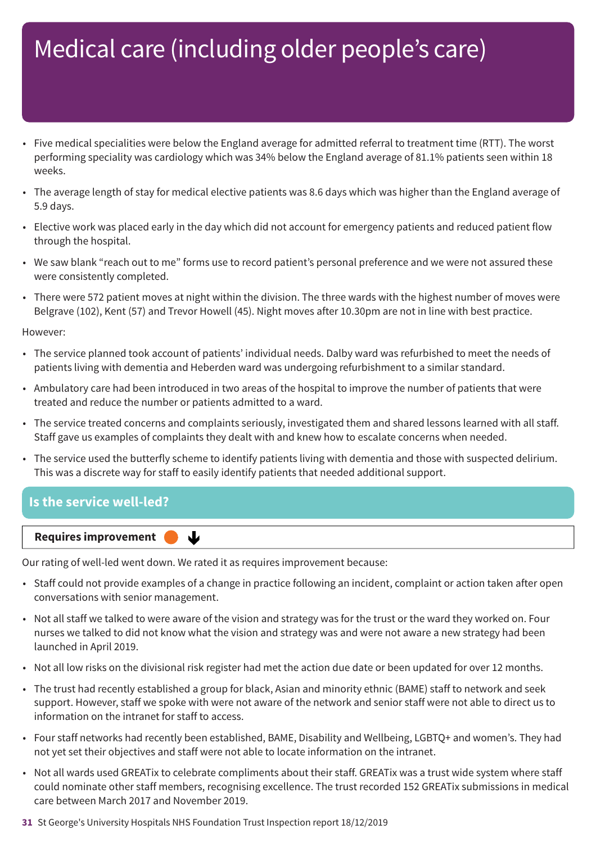- Five medical specialities were below the England average for admitted referral to treatment time (RTT). The worst performing speciality was cardiology which was 34% below the England average of 81.1% patients seen within 18 weeks.
- The average length of stay for medical elective patients was 8.6 days which was higher than the England average of 5.9 days.
- Elective work was placed early in the day which did not account for emergency patients and reduced patient flow through the hospital.
- We saw blank "reach out to me" forms use to record patient's personal preference and we were not assured these were consistently completed.
- There were 572 patient moves at night within the division. The three wards with the highest number of moves were Belgrave (102), Kent (57) and Trevor Howell (45). Night moves after 10.30pm are not in line with best practice.

However:

- The service planned took account of patients' individual needs. Dalby ward was refurbished to meet the needs of patients living with dementia and Heberden ward was undergoing refurbishment to a similar standard.
- Ambulatory care had been introduced in two areas of the hospital to improve the number of patients that were treated and reduce the number or patients admitted to a ward.
- The service treated concerns and complaints seriously, investigated them and shared lessons learned with all staff. Staff gave us examples of complaints they dealt with and knew how to escalate concerns when needed.
- The service used the butterfly scheme to identify patients living with dementia and those with suspected delirium. This was a discrete way for staff to easily identify patients that needed additional support.

### **Is the service well-led?**



Our rating of well-led went down. We rated it as requires improvement because:

ψ

- Staff could not provide examples of a change in practice following an incident, complaint or action taken after open conversations with senior management.
- Not all staff we talked to were aware of the vision and strategy was for the trust or the ward they worked on. Four nurses we talked to did not know what the vision and strategy was and were not aware a new strategy had been launched in April 2019.
- Not all low risks on the divisional risk register had met the action due date or been updated for over 12 months.
- The trust had recently established a group for black, Asian and minority ethnic (BAME) staff to network and seek support. However, staff we spoke with were not aware of the network and senior staff were not able to direct us to information on the intranet for staff to access.
- Four staff networks had recently been established, BAME, Disability and Wellbeing, LGBTQ+ and women's. They had not yet set their objectives and staff were not able to locate information on the intranet.
- Not all wards used GREATix to celebrate compliments about their staff. GREATix was a trust wide system where staff could nominate other staff members, recognising excellence. The trust recorded 152 GREATix submissions in medical care between March 2017 and November 2019.
- **31** St George's University Hospitals NHS Foundation Trust Inspection report 18/12/2019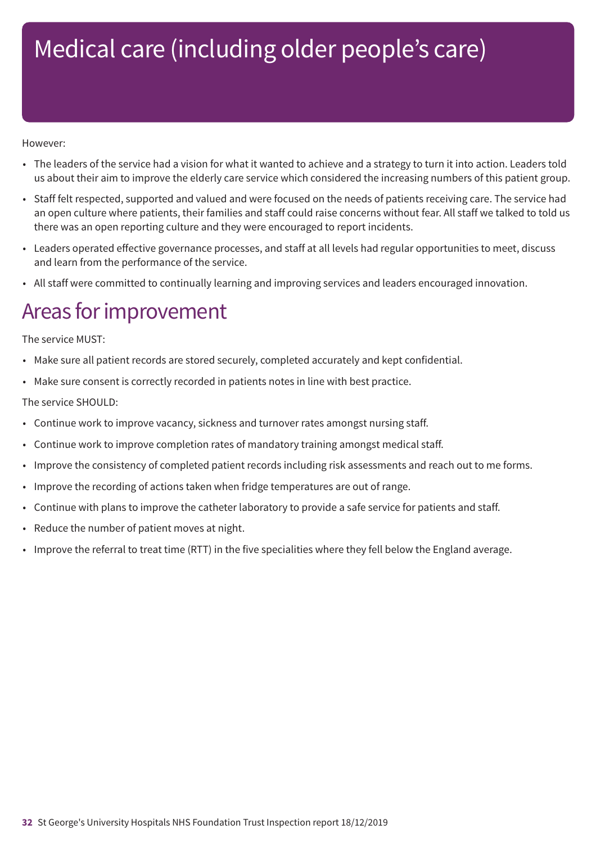#### However:

- The leaders of the service had a vision for what it wanted to achieve and a strategy to turn it into action. Leaders told us about their aim to improve the elderly care service which considered the increasing numbers of this patient group.
- Staff felt respected, supported and valued and were focused on the needs of patients receiving care. The service had an open culture where patients, their families and staff could raise concerns without fear. All staff we talked to told us there was an open reporting culture and they were encouraged to report incidents.
- Leaders operated effective governance processes, and staff at all levels had regular opportunities to meet, discuss and learn from the performance of the service.
- All staff were committed to continually learning and improving services and leaders encouraged innovation.

### Areas for improvement

#### The service MUST:

- Make sure all patient records are stored securely, completed accurately and kept confidential.
- Make sure consent is correctly recorded in patients notes in line with best practice.

#### The service SHOULD:

- Continue work to improve vacancy, sickness and turnover rates amongst nursing staff.
- Continue work to improve completion rates of mandatory training amongst medical staff.
- Improve the consistency of completed patient records including risk assessments and reach out to me forms.
- Improve the recording of actions taken when fridge temperatures are out of range.
- Continue with plans to improve the catheter laboratory to provide a safe service for patients and staff.
- Reduce the number of patient moves at night.
- Improve the referral to treat time (RTT) in the five specialities where they fell below the England average.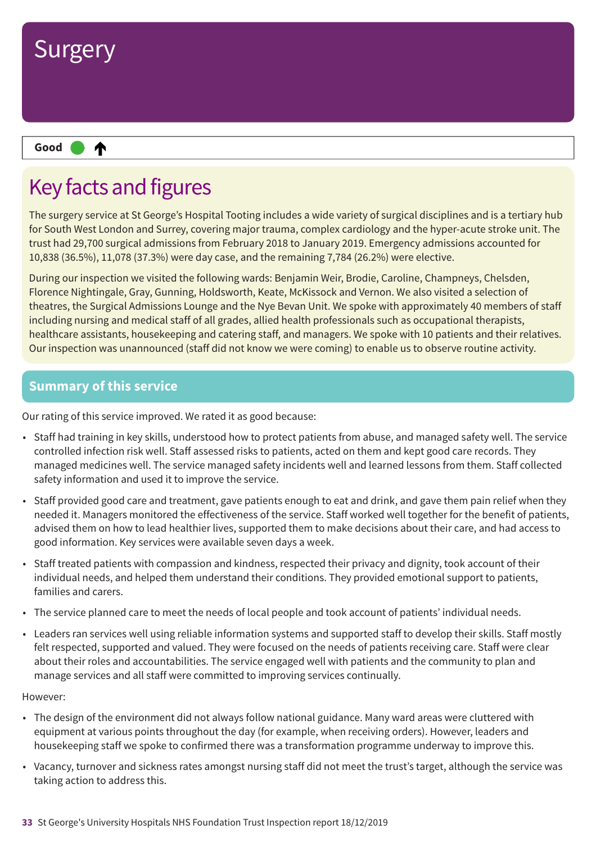

## Key facts and figures

The surgery service at St George's Hospital Tooting includes a wide variety of surgical disciplines and is a tertiary hub for South West London and Surrey, covering major trauma, complex cardiology and the hyper-acute stroke unit. The trust had 29,700 surgical admissions from February 2018 to January 2019. Emergency admissions accounted for 10,838 (36.5%), 11,078 (37.3%) were day case, and the remaining 7,784 (26.2%) were elective.

During our inspection we visited the following wards: Benjamin Weir, Brodie, Caroline, Champneys, Chelsden, Florence Nightingale, Gray, Gunning, Holdsworth, Keate, McKissock and Vernon. We also visited a selection of theatres, the Surgical Admissions Lounge and the Nye Bevan Unit. We spoke with approximately 40 members of staff including nursing and medical staff of all grades, allied health professionals such as occupational therapists, healthcare assistants, housekeeping and catering staff, and managers. We spoke with 10 patients and their relatives. Our inspection was unannounced (staff did not know we were coming) to enable us to observe routine activity.

### **Summary of this service**

Our rating of this service improved. We rated it as good because:

- Staff had training in key skills, understood how to protect patients from abuse, and managed safety well. The service controlled infection risk well. Staff assessed risks to patients, acted on them and kept good care records. They managed medicines well. The service managed safety incidents well and learned lessons from them. Staff collected safety information and used it to improve the service.
- Staff provided good care and treatment, gave patients enough to eat and drink, and gave them pain relief when they needed it. Managers monitored the effectiveness of the service. Staff worked well together for the benefit of patients, advised them on how to lead healthier lives, supported them to make decisions about their care, and had access to good information. Key services were available seven days a week.
- Staff treated patients with compassion and kindness, respected their privacy and dignity, took account of their individual needs, and helped them understand their conditions. They provided emotional support to patients, families and carers.
- The service planned care to meet the needs of local people and took account of patients' individual needs.
- Leaders ran services well using reliable information systems and supported staff to develop their skills. Staff mostly felt respected, supported and valued. They were focused on the needs of patients receiving care. Staff were clear about their roles and accountabilities. The service engaged well with patients and the community to plan and manage services and all staff were committed to improving services continually.

- The design of the environment did not always follow national guidance. Many ward areas were cluttered with equipment at various points throughout the day (for example, when receiving orders). However, leaders and housekeeping staff we spoke to confirmed there was a transformation programme underway to improve this.
- Vacancy, turnover and sickness rates amongst nursing staff did not meet the trust's target, although the service was taking action to address this.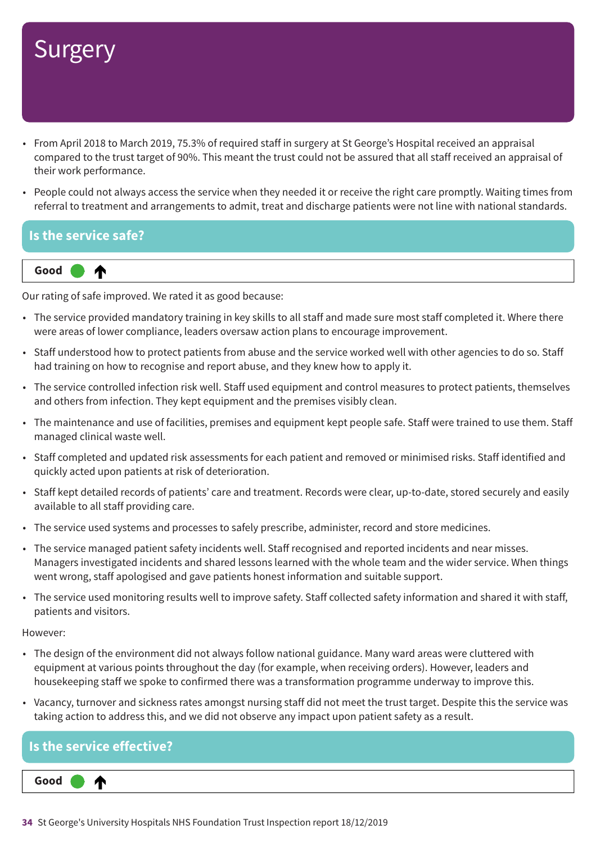- From April 2018 to March 2019, 75.3% of required staff in surgery at St George's Hospital received an appraisal compared to the trust target of 90%. This meant the trust could not be assured that all staff received an appraisal of their work performance.
- People could not always access the service when they needed it or receive the right care promptly. Waiting times from referral to treatment and arrangements to admit, treat and discharge patients were not line with national standards.

### **Is the service safe?**



Our rating of safe improved. We rated it as good because:

- The service provided mandatory training in key skills to all staff and made sure most staff completed it. Where there were areas of lower compliance, leaders oversaw action plans to encourage improvement.
- Staff understood how to protect patients from abuse and the service worked well with other agencies to do so. Staff had training on how to recognise and report abuse, and they knew how to apply it.
- The service controlled infection risk well. Staff used equipment and control measures to protect patients, themselves and others from infection. They kept equipment and the premises visibly clean.
- The maintenance and use of facilities, premises and equipment kept people safe. Staff were trained to use them. Staff managed clinical waste well.
- Staff completed and updated risk assessments for each patient and removed or minimised risks. Staff identified and quickly acted upon patients at risk of deterioration.
- Staff kept detailed records of patients' care and treatment. Records were clear, up-to-date, stored securely and easily available to all staff providing care.
- The service used systems and processes to safely prescribe, administer, record and store medicines.
- The service managed patient safety incidents well. Staff recognised and reported incidents and near misses. Managers investigated incidents and shared lessons learned with the whole team and the wider service. When things went wrong, staff apologised and gave patients honest information and suitable support.
- The service used monitoring results well to improve safety. Staff collected safety information and shared it with staff, patients and visitors.

- The design of the environment did not always follow national guidance. Many ward areas were cluttered with equipment at various points throughout the day (for example, when receiving orders). However, leaders and housekeeping staff we spoke to confirmed there was a transformation programme underway to improve this.
- Vacancy, turnover and sickness rates amongst nursing staff did not meet the trust target. Despite this the service was taking action to address this, and we did not observe any impact upon patient safety as a result.

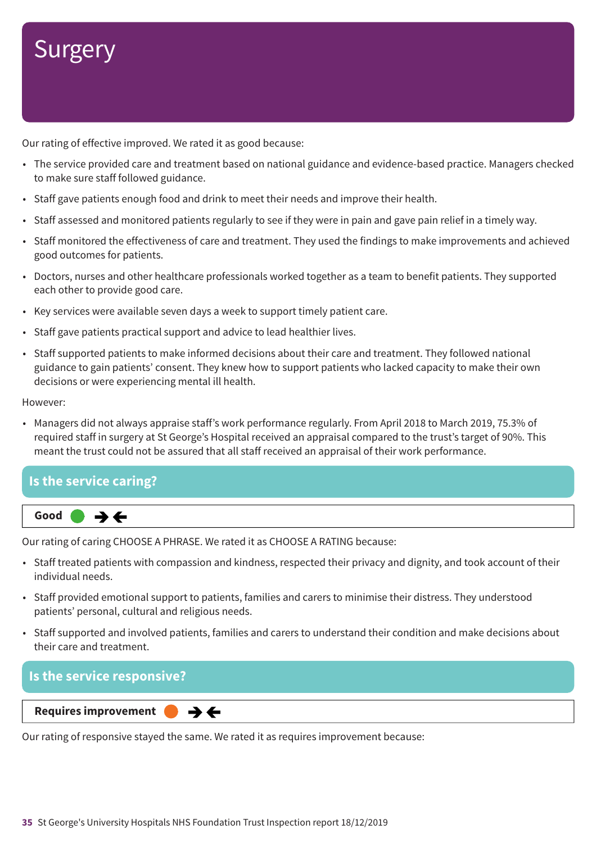Our rating of effective improved. We rated it as good because:

- The service provided care and treatment based on national guidance and evidence-based practice. Managers checked to make sure staff followed guidance.
- Staff gave patients enough food and drink to meet their needs and improve their health.
- Staff assessed and monitored patients regularly to see if they were in pain and gave pain relief in a timely way.
- Staff monitored the effectiveness of care and treatment. They used the findings to make improvements and achieved good outcomes for patients.
- Doctors, nurses and other healthcare professionals worked together as a team to benefit patients. They supported each other to provide good care.
- Key services were available seven days a week to support timely patient care.
- Staff gave patients practical support and advice to lead healthier lives.
- Staff supported patients to make informed decisions about their care and treatment. They followed national guidance to gain patients' consent. They knew how to support patients who lacked capacity to make their own decisions or were experiencing mental ill health.

However:

• Managers did not always appraise staff's work performance regularly. From April 2018 to March 2019, 75.3% of required staff in surgery at St George's Hospital received an appraisal compared to the trust's target of 90%. This meant the trust could not be assured that all staff received an appraisal of their work performance.

### **Is the service caring?**



Our rating of caring CHOOSE A PHRASE. We rated it as CHOOSE A RATING because:

- Staff treated patients with compassion and kindness, respected their privacy and dignity, and took account of their individual needs.
- Staff provided emotional support to patients, families and carers to minimise their distress. They understood patients' personal, cultural and religious needs.
- Staff supported and involved patients, families and carers to understand their condition and make decisions about their care and treatment.

### **Is the service responsive?**

#### **Same–––rating Requires improvement –––**

Our rating of responsive stayed the same. We rated it as requires improvement because:

 $\rightarrow$   $\leftarrow$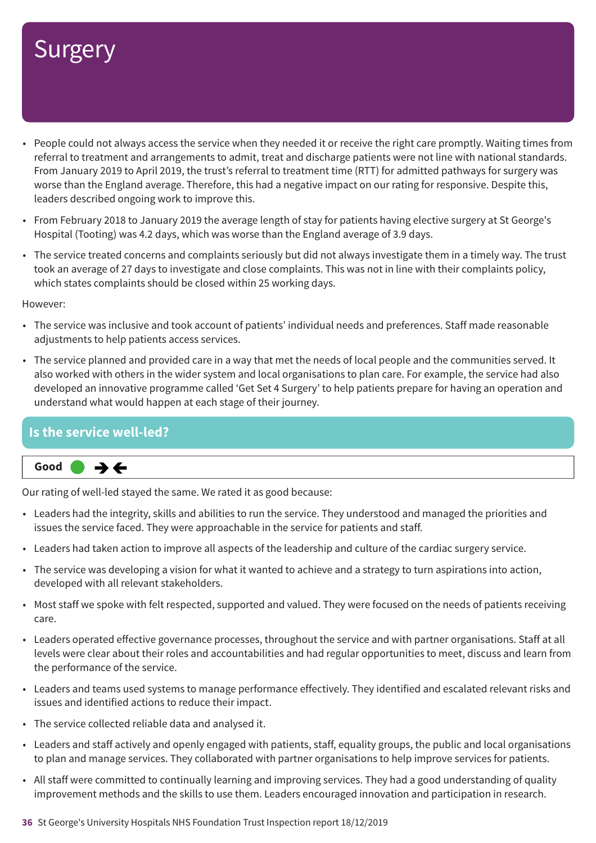- People could not always access the service when they needed it or receive the right care promptly. Waiting times from referral to treatment and arrangements to admit, treat and discharge patients were not line with national standards. From January 2019 to April 2019, the trust's referral to treatment time (RTT) for admitted pathways for surgery was worse than the England average. Therefore, this had a negative impact on our rating for responsive. Despite this, leaders described ongoing work to improve this.
- From February 2018 to January 2019 the average length of stay for patients having elective surgery at St George's Hospital (Tooting) was 4.2 days, which was worse than the England average of 3.9 days.
- The service treated concerns and complaints seriously but did not always investigate them in a timely way. The trust took an average of 27 days to investigate and close complaints. This was not in line with their complaints policy, which states complaints should be closed within 25 working days.

However:

- The service was inclusive and took account of patients' individual needs and preferences. Staff made reasonable adjustments to help patients access services.
- The service planned and provided care in a way that met the needs of local people and the communities served. It also worked with others in the wider system and local organisations to plan care. For example, the service had also developed an innovative programme called 'Get Set 4 Surgery' to help patients prepare for having an operation and understand what would happen at each stage of their journey.

### **Is the service well-led?**



Our rating of well-led stayed the same. We rated it as good because:

- Leaders had the integrity, skills and abilities to run the service. They understood and managed the priorities and issues the service faced. They were approachable in the service for patients and staff.
- Leaders had taken action to improve all aspects of the leadership and culture of the cardiac surgery service.
- The service was developing a vision for what it wanted to achieve and a strategy to turn aspirations into action, developed with all relevant stakeholders.
- Most staff we spoke with felt respected, supported and valued. They were focused on the needs of patients receiving care.
- Leaders operated effective governance processes, throughout the service and with partner organisations. Staff at all levels were clear about their roles and accountabilities and had regular opportunities to meet, discuss and learn from the performance of the service.
- Leaders and teams used systems to manage performance effectively. They identified and escalated relevant risks and issues and identified actions to reduce their impact.
- The service collected reliable data and analysed it.
- Leaders and staff actively and openly engaged with patients, staff, equality groups, the public and local organisations to plan and manage services. They collaborated with partner organisations to help improve services for patients.
- All staff were committed to continually learning and improving services. They had a good understanding of quality improvement methods and the skills to use them. Leaders encouraged innovation and participation in research.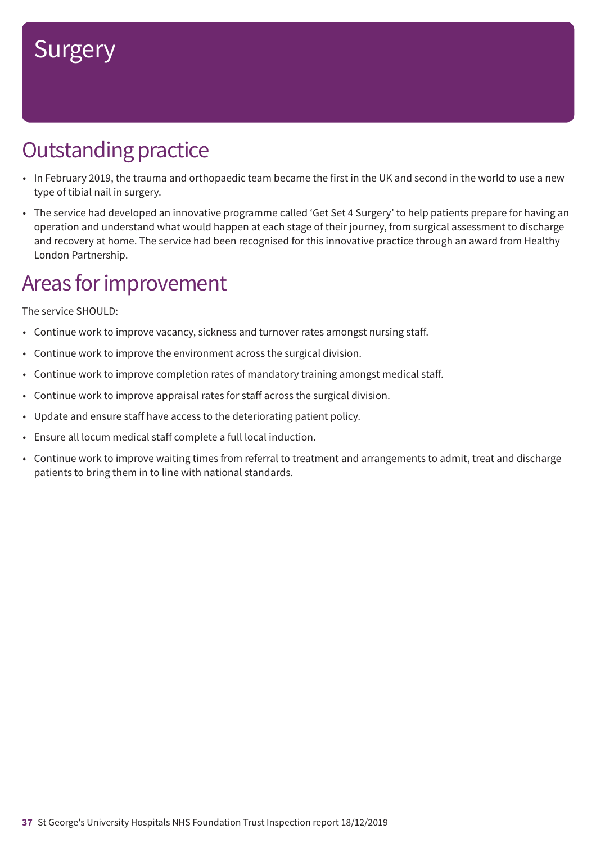# **Outstanding practice**

- In February 2019, the trauma and orthopaedic team became the first in the UK and second in the world to use a new type of tibial nail in surgery.
- The service had developed an innovative programme called 'Get Set 4 Surgery' to help patients prepare for having an operation and understand what would happen at each stage of their journey, from surgical assessment to discharge and recovery at home. The service had been recognised for this innovative practice through an award from Healthy London Partnership.

### Areas for improvement

The service SHOULD:

- Continue work to improve vacancy, sickness and turnover rates amongst nursing staff.
- Continue work to improve the environment across the surgical division.
- Continue work to improve completion rates of mandatory training amongst medical staff.
- Continue work to improve appraisal rates for staff across the surgical division.
- Update and ensure staff have access to the deteriorating patient policy.
- Ensure all locum medical staff complete a full local induction.
- Continue work to improve waiting times from referral to treatment and arrangements to admit, treat and discharge patients to bring them in to line with national standards.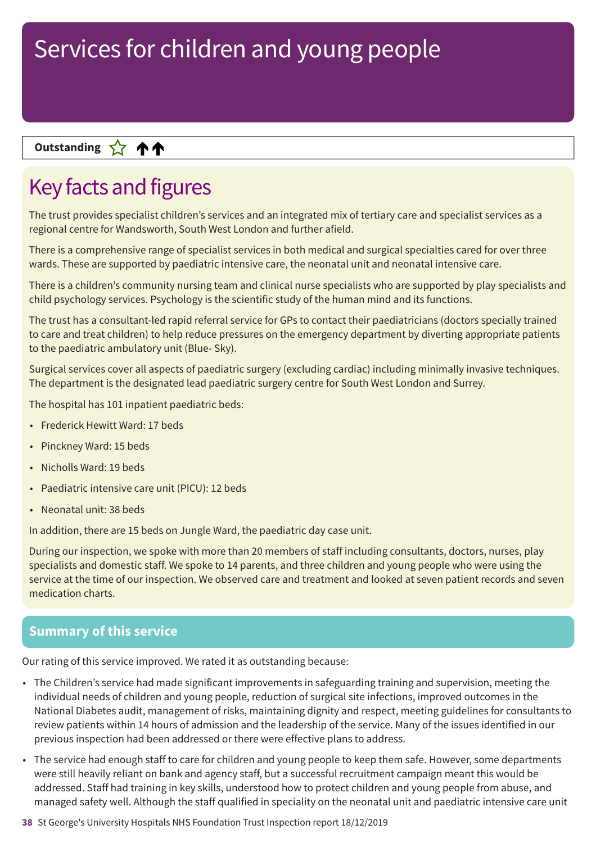### **Up––– two ratings Outstanding**

## Key facts and figures

The trust provides specialist children's services and an integrated mix of tertiary care and specialist services as a regional centre for Wandsworth, South West London and further afield.

There is a comprehensive range of specialist services in both medical and surgical specialties cared for over three wards. These are supported by paediatric intensive care, the neonatal unit and neonatal intensive care.

There is a children's community nursing team and clinical nurse specialists who are supported by play specialists and child psychology services. Psychology is the scientific study of the human mind and its functions.

The trust has a consultant-led rapid referral service for GPs to contact their paediatricians (doctors specially trained to care and treat children) to help reduce pressures on the emergency department by diverting appropriate patients to the paediatric ambulatory unit (Blue- Sky).

Surgical services cover all aspects of paediatric surgery (excluding cardiac) including minimally invasive techniques. The department is the designated lead paediatric surgery centre for South West London and Surrey.

The hospital has 101 inpatient paediatric beds:

- Frederick Hewitt Ward: 17 beds
- Pinckney Ward: 15 beds
- Nicholls Ward: 19 beds
- Paediatric intensive care unit (PICU): 12 beds
- Neonatal unit: 38 beds

In addition, there are 15 beds on Jungle Ward, the paediatric day case unit.

During our inspection, we spoke with more than 20 members of staff including consultants, doctors, nurses, play specialists and domestic staff. We spoke to 14 parents, and three children and young people who were using the service at the time of our inspection. We observed care and treatment and looked at seven patient records and seven medication charts.

### **Summary of this service**

Our rating of this service improved. We rated it as outstanding because:

- The Children's service had made significant improvements in safeguarding training and supervision, meeting the individual needs of children and young people, reduction of surgical site infections, improved outcomes in the National Diabetes audit, management of risks, maintaining dignity and respect, meeting guidelines for consultants to review patients within 14 hours of admission and the leadership of the service. Many of the issues identified in our previous inspection had been addressed or there were effective plans to address.
- The service had enough staff to care for children and young people to keep them safe. However, some departments were still heavily reliant on bank and agency staff, but a successful recruitment campaign meant this would be addressed. Staff had training in key skills, understood how to protect children and young people from abuse, and managed safety well. Although the staff qualified in speciality on the neonatal unit and paediatric intensive care unit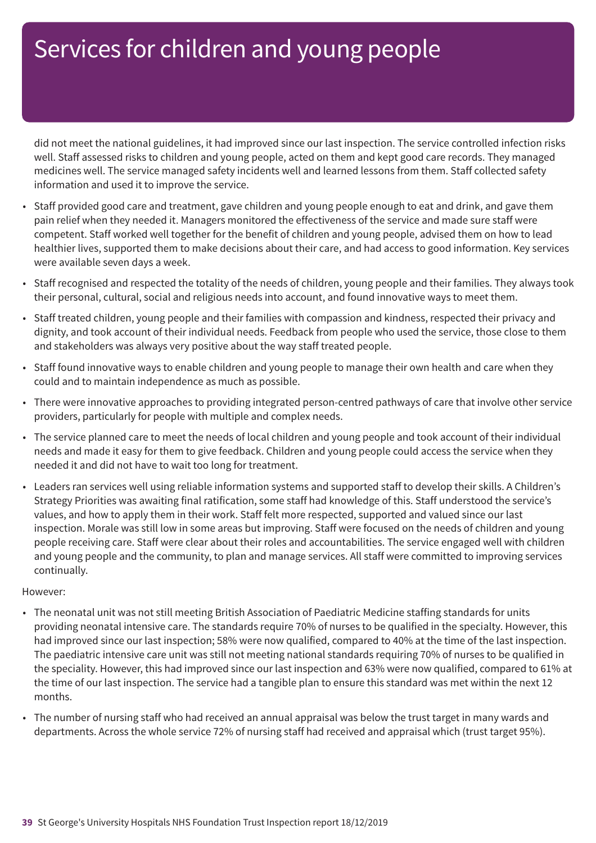did not meet the national guidelines, it had improved since our last inspection. The service controlled infection risks well. Staff assessed risks to children and young people, acted on them and kept good care records. They managed medicines well. The service managed safety incidents well and learned lessons from them. Staff collected safety information and used it to improve the service.

- Staff provided good care and treatment, gave children and young people enough to eat and drink, and gave them pain relief when they needed it. Managers monitored the effectiveness of the service and made sure staff were competent. Staff worked well together for the benefit of children and young people, advised them on how to lead healthier lives, supported them to make decisions about their care, and had access to good information. Key services were available seven days a week.
- Staff recognised and respected the totality of the needs of children, young people and their families. They always took their personal, cultural, social and religious needs into account, and found innovative ways to meet them.
- Staff treated children, young people and their families with compassion and kindness, respected their privacy and dignity, and took account of their individual needs. Feedback from people who used the service, those close to them and stakeholders was always very positive about the way staff treated people.
- Staff found innovative ways to enable children and young people to manage their own health and care when they could and to maintain independence as much as possible.
- There were innovative approaches to providing integrated person-centred pathways of care that involve other service providers, particularly for people with multiple and complex needs.
- The service planned care to meet the needs of local children and young people and took account of their individual needs and made it easy for them to give feedback. Children and young people could access the service when they needed it and did not have to wait too long for treatment.
- Leaders ran services well using reliable information systems and supported staff to develop their skills. A Children's Strategy Priorities was awaiting final ratification, some staff had knowledge of this. Staff understood the service's values, and how to apply them in their work. Staff felt more respected, supported and valued since our last inspection. Morale was still low in some areas but improving. Staff were focused on the needs of children and young people receiving care. Staff were clear about their roles and accountabilities. The service engaged well with children and young people and the community, to plan and manage services. All staff were committed to improving services continually.

- The neonatal unit was not still meeting British Association of Paediatric Medicine staffing standards for units providing neonatal intensive care. The standards require 70% of nurses to be qualified in the specialty. However, this had improved since our last inspection; 58% were now qualified, compared to 40% at the time of the last inspection. The paediatric intensive care unit was still not meeting national standards requiring 70% of nurses to be qualified in the speciality. However, this had improved since our last inspection and 63% were now qualified, compared to 61% at the time of our last inspection. The service had a tangible plan to ensure this standard was met within the next 12 months.
- The number of nursing staff who had received an annual appraisal was below the trust target in many wards and departments. Across the whole service 72% of nursing staff had received and appraisal which (trust target 95%).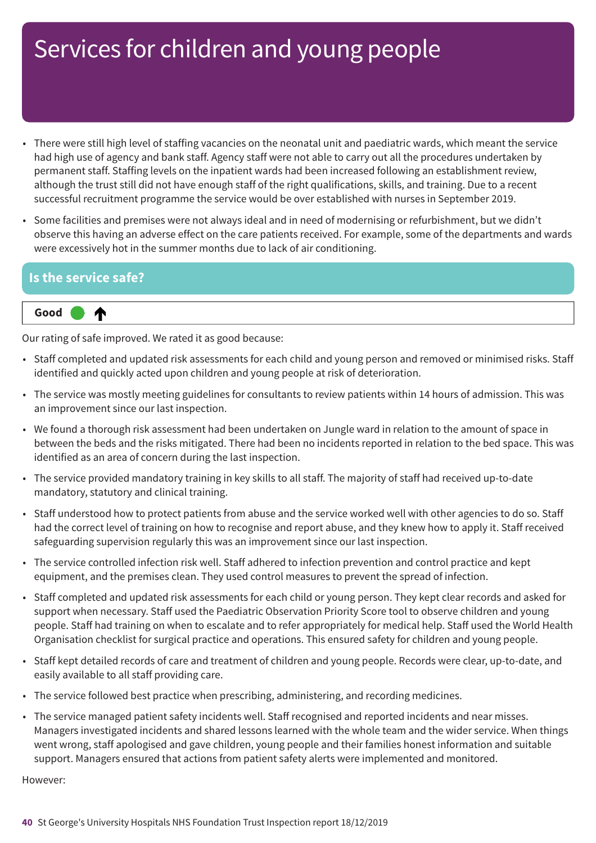- There were still high level of staffing vacancies on the neonatal unit and paediatric wards, which meant the service had high use of agency and bank staff. Agency staff were not able to carry out all the procedures undertaken by permanent staff. Staffing levels on the inpatient wards had been increased following an establishment review, although the trust still did not have enough staff of the right qualifications, skills, and training. Due to a recent successful recruitment programme the service would be over established with nurses in September 2019.
- Some facilities and premises were not always ideal and in need of modernising or refurbishment, but we didn't observe this having an adverse effect on the care patients received. For example, some of the departments and wards were excessively hot in the summer months due to lack of air conditioning.

### **Is the service safe?**

₳

### **Up one rating Good –––**

Our rating of safe improved. We rated it as good because:

- Staff completed and updated risk assessments for each child and young person and removed or minimised risks. Staff identified and quickly acted upon children and young people at risk of deterioration.
- The service was mostly meeting guidelines for consultants to review patients within 14 hours of admission. This was an improvement since our last inspection.
- We found a thorough risk assessment had been undertaken on Jungle ward in relation to the amount of space in between the beds and the risks mitigated. There had been no incidents reported in relation to the bed space. This was identified as an area of concern during the last inspection.
- The service provided mandatory training in key skills to all staff. The majority of staff had received up-to-date mandatory, statutory and clinical training.
- Staff understood how to protect patients from abuse and the service worked well with other agencies to do so. Staff had the correct level of training on how to recognise and report abuse, and they knew how to apply it. Staff received safeguarding supervision regularly this was an improvement since our last inspection.
- The service controlled infection risk well. Staff adhered to infection prevention and control practice and kept equipment, and the premises clean. They used control measures to prevent the spread of infection.
- Staff completed and updated risk assessments for each child or young person. They kept clear records and asked for support when necessary. Staff used the Paediatric Observation Priority Score tool to observe children and young people. Staff had training on when to escalate and to refer appropriately for medical help. Staff used the World Health Organisation checklist for surgical practice and operations. This ensured safety for children and young people.
- Staff kept detailed records of care and treatment of children and young people. Records were clear, up-to-date, and easily available to all staff providing care.
- The service followed best practice when prescribing, administering, and recording medicines.
- The service managed patient safety incidents well. Staff recognised and reported incidents and near misses. Managers investigated incidents and shared lessons learned with the whole team and the wider service. When things went wrong, staff apologised and gave children, young people and their families honest information and suitable support. Managers ensured that actions from patient safety alerts were implemented and monitored.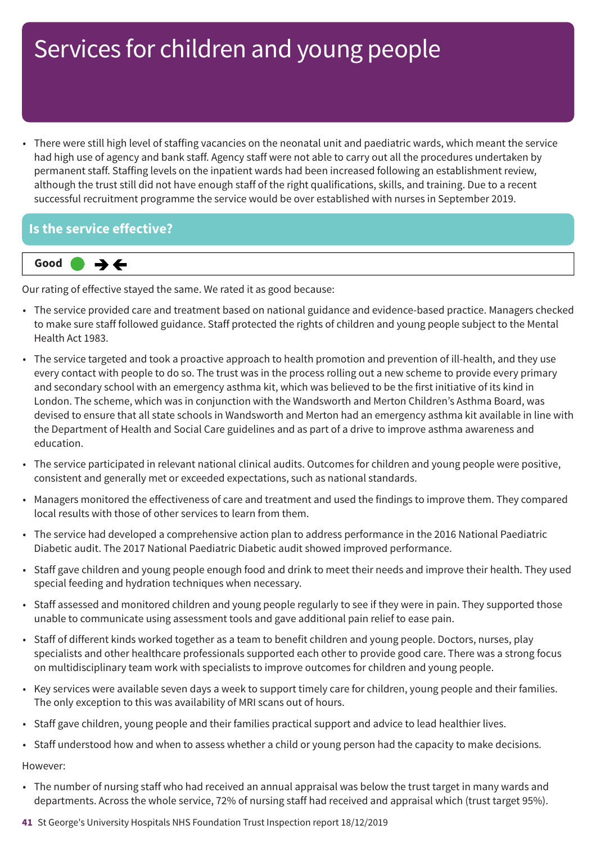• There were still high level of staffing vacancies on the neonatal unit and paediatric wards, which meant the service had high use of agency and bank staff. Agency staff were not able to carry out all the procedures undertaken by permanent staff. Staffing levels on the inpatient wards had been increased following an establishment review, although the trust still did not have enough staff of the right qualifications, skills, and training. Due to a recent successful recruitment programme the service would be over established with nurses in September 2019.

### **Is the service effective?**



Our rating of effective stayed the same. We rated it as good because:

- The service provided care and treatment based on national guidance and evidence-based practice. Managers checked to make sure staff followed guidance. Staff protected the rights of children and young people subject to the Mental Health Act 1983.
- The service targeted and took a proactive approach to health promotion and prevention of ill-health, and they use every contact with people to do so. The trust was in the process rolling out a new scheme to provide every primary and secondary school with an emergency asthma kit, which was believed to be the first initiative of its kind in London. The scheme, which was in conjunction with the Wandsworth and Merton Children's Asthma Board, was devised to ensure that all state schools in Wandsworth and Merton had an emergency asthma kit available in line with the Department of Health and Social Care guidelines and as part of a drive to improve asthma awareness and education.
- The service participated in relevant national clinical audits. Outcomes for children and young people were positive, consistent and generally met or exceeded expectations, such as national standards.
- Managers monitored the effectiveness of care and treatment and used the findings to improve them. They compared local results with those of other services to learn from them.
- The service had developed a comprehensive action plan to address performance in the 2016 National Paediatric Diabetic audit. The 2017 National Paediatric Diabetic audit showed improved performance.
- Staff gave children and young people enough food and drink to meet their needs and improve their health. They used special feeding and hydration techniques when necessary.
- Staff assessed and monitored children and young people regularly to see if they were in pain. They supported those unable to communicate using assessment tools and gave additional pain relief to ease pain.
- Staff of different kinds worked together as a team to benefit children and young people. Doctors, nurses, play specialists and other healthcare professionals supported each other to provide good care. There was a strong focus on multidisciplinary team work with specialists to improve outcomes for children and young people.
- Key services were available seven days a week to support timely care for children, young people and their families. The only exception to this was availability of MRI scans out of hours.
- Staff gave children, young people and their families practical support and advice to lead healthier lives.
- Staff understood how and when to assess whether a child or young person had the capacity to make decisions.

- The number of nursing staff who had received an annual appraisal was below the trust target in many wards and departments. Across the whole service, 72% of nursing staff had received and appraisal which (trust target 95%).
- **41** St George's University Hospitals NHS Foundation Trust Inspection report 18/12/2019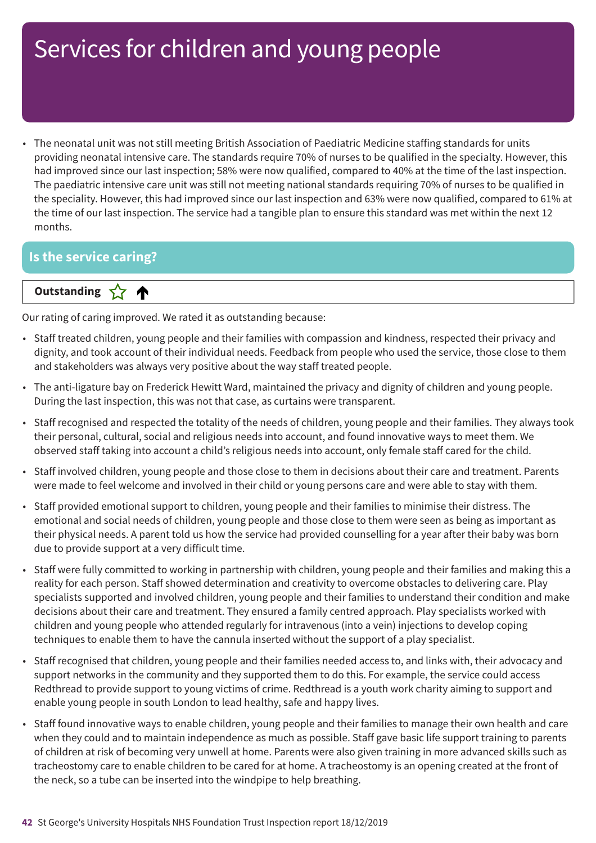• The neonatal unit was not still meeting British Association of Paediatric Medicine staffing standards for units providing neonatal intensive care. The standards require 70% of nurses to be qualified in the specialty. However, this had improved since our last inspection; 58% were now qualified, compared to 40% at the time of the last inspection. The paediatric intensive care unit was still not meeting national standards requiring 70% of nurses to be qualified in the speciality. However, this had improved since our last inspection and 63% were now qualified, compared to 61% at the time of our last inspection. The service had a tangible plan to ensure this standard was met within the next 12 months.

### **Is the service caring?**

### **Letter Cone Extending**

Our rating of caring improved. We rated it as outstanding because:

- Staff treated children, young people and their families with compassion and kindness, respected their privacy and dignity, and took account of their individual needs. Feedback from people who used the service, those close to them and stakeholders was always very positive about the way staff treated people.
- The anti-ligature bay on Frederick Hewitt Ward, maintained the privacy and dignity of children and young people. During the last inspection, this was not that case, as curtains were transparent.
- Staff recognised and respected the totality of the needs of children, young people and their families. They always took their personal, cultural, social and religious needs into account, and found innovative ways to meet them. We observed staff taking into account a child's religious needs into account, only female staff cared for the child.
- Staff involved children, young people and those close to them in decisions about their care and treatment. Parents were made to feel welcome and involved in their child or young persons care and were able to stay with them.
- Staff provided emotional support to children, young people and their families to minimise their distress. The emotional and social needs of children, young people and those close to them were seen as being as important as their physical needs. A parent told us how the service had provided counselling for a year after their baby was born due to provide support at a very difficult time.
- Staff were fully committed to working in partnership with children, young people and their families and making this a reality for each person. Staff showed determination and creativity to overcome obstacles to delivering care. Play specialists supported and involved children, young people and their families to understand their condition and make decisions about their care and treatment. They ensured a family centred approach. Play specialists worked with children and young people who attended regularly for intravenous (into a vein) injections to develop coping techniques to enable them to have the cannula inserted without the support of a play specialist.
- Staff recognised that children, young people and their families needed access to, and links with, their advocacy and support networks in the community and they supported them to do this. For example, the service could access Redthread to provide support to young victims of crime. Redthread is a youth work charity aiming to support and enable young people in south London to lead healthy, safe and happy lives.
- Staff found innovative ways to enable children, young people and their families to manage their own health and care when they could and to maintain independence as much as possible. Staff gave basic life support training to parents of children at risk of becoming very unwell at home. Parents were also given training in more advanced skills such as tracheostomy care to enable children to be cared for at home. A tracheostomy is an opening created at the front of the neck, so a tube can be inserted into the windpipe to help breathing.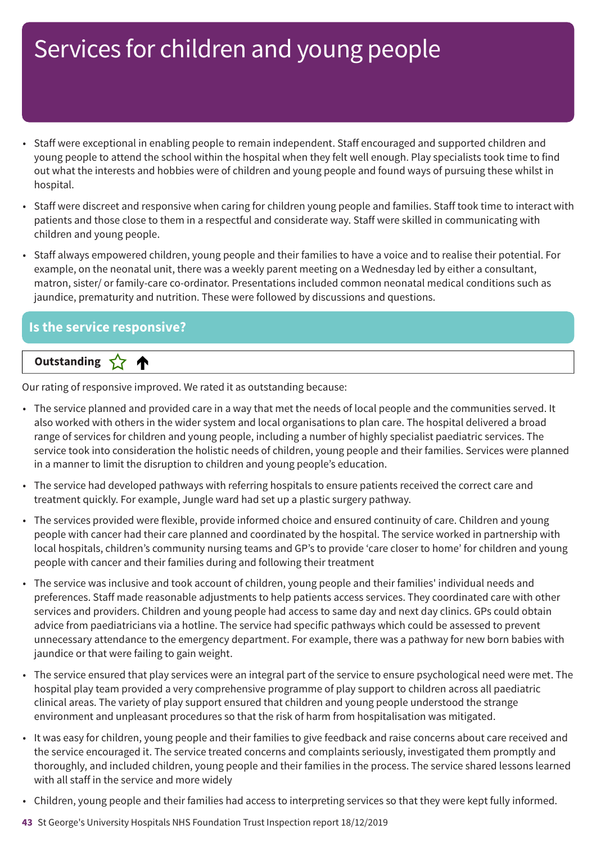- Staff were exceptional in enabling people to remain independent. Staff encouraged and supported children and young people to attend the school within the hospital when they felt well enough. Play specialists took time to find out what the interests and hobbies were of children and young people and found ways of pursuing these whilst in hospital.
- Staff were discreet and responsive when caring for children young people and families. Staff took time to interact with patients and those close to them in a respectful and considerate way. Staff were skilled in communicating with children and young people.
- Staff always empowered children, young people and their families to have a voice and to realise their potential. For example, on the neonatal unit, there was a weekly parent meeting on a Wednesday led by either a consultant, matron, sister/ or family-care co-ordinator. Presentations included common neonatal medical conditions such as jaundice, prematurity and nutrition. These were followed by discussions and questions.

### **Is the service responsive?**



Our rating of responsive improved. We rated it as outstanding because:

- The service planned and provided care in a way that met the needs of local people and the communities served. It also worked with others in the wider system and local organisations to plan care. The hospital delivered a broad range of services for children and young people, including a number of highly specialist paediatric services. The service took into consideration the holistic needs of children, young people and their families. Services were planned in a manner to limit the disruption to children and young people's education.
- The service had developed pathways with referring hospitals to ensure patients received the correct care and treatment quickly. For example, Jungle ward had set up a plastic surgery pathway.
- The services provided were flexible, provide informed choice and ensured continuity of care. Children and young people with cancer had their care planned and coordinated by the hospital. The service worked in partnership with local hospitals, children's community nursing teams and GP's to provide 'care closer to home' for children and young people with cancer and their families during and following their treatment
- The service was inclusive and took account of children, young people and their families' individual needs and preferences. Staff made reasonable adjustments to help patients access services. They coordinated care with other services and providers. Children and young people had access to same day and next day clinics. GPs could obtain advice from paediatricians via a hotline. The service had specific pathways which could be assessed to prevent unnecessary attendance to the emergency department. For example, there was a pathway for new born babies with jaundice or that were failing to gain weight.
- The service ensured that play services were an integral part of the service to ensure psychological need were met. The hospital play team provided a very comprehensive programme of play support to children across all paediatric clinical areas. The variety of play support ensured that children and young people understood the strange environment and unpleasant procedures so that the risk of harm from hospitalisation was mitigated.
- It was easy for children, young people and their families to give feedback and raise concerns about care received and the service encouraged it. The service treated concerns and complaints seriously, investigated them promptly and thoroughly, and included children, young people and their families in the process. The service shared lessons learned with all staff in the service and more widely
- Children, young people and their families had access to interpreting services so that they were kept fully informed.
- **43** St George's University Hospitals NHS Foundation Trust Inspection report 18/12/2019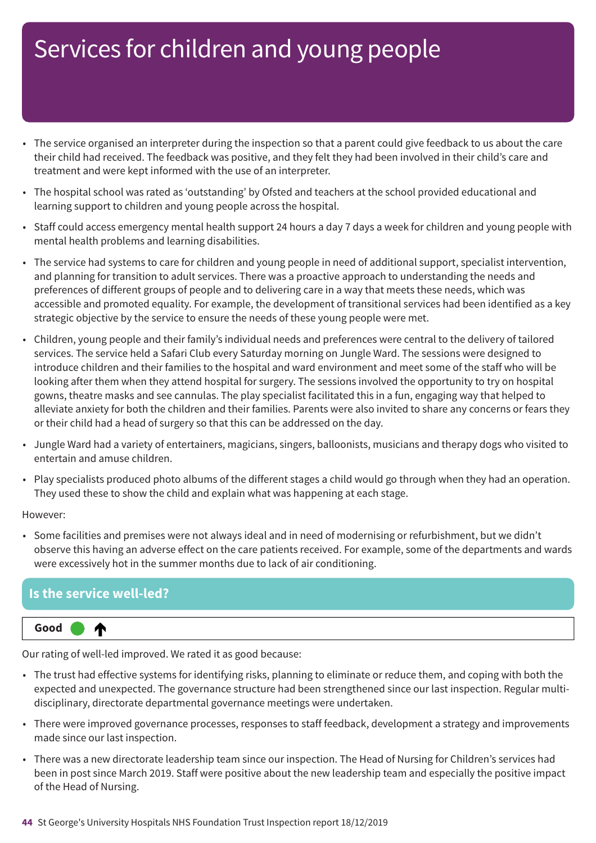- The service organised an interpreter during the inspection so that a parent could give feedback to us about the care their child had received. The feedback was positive, and they felt they had been involved in their child's care and treatment and were kept informed with the use of an interpreter.
- The hospital school was rated as 'outstanding' by Ofsted and teachers at the school provided educational and learning support to children and young people across the hospital.
- Staff could access emergency mental health support 24 hours a day 7 days a week for children and young people with mental health problems and learning disabilities.
- The service had systems to care for children and young people in need of additional support, specialist intervention, and planning for transition to adult services. There was a proactive approach to understanding the needs and preferences of different groups of people and to delivering care in a way that meets these needs, which was accessible and promoted equality. For example, the development of transitional services had been identified as a key strategic objective by the service to ensure the needs of these young people were met.
- Children, young people and their family's individual needs and preferences were central to the delivery of tailored services. The service held a Safari Club every Saturday morning on Jungle Ward. The sessions were designed to introduce children and their families to the hospital and ward environment and meet some of the staff who will be looking after them when they attend hospital for surgery. The sessions involved the opportunity to try on hospital gowns, theatre masks and see cannulas. The play specialist facilitated this in a fun, engaging way that helped to alleviate anxiety for both the children and their families. Parents were also invited to share any concerns or fears they or their child had a head of surgery so that this can be addressed on the day.
- Jungle Ward had a variety of entertainers, magicians, singers, balloonists, musicians and therapy dogs who visited to entertain and amuse children.
- Play specialists produced photo albums of the different stages a child would go through when they had an operation. They used these to show the child and explain what was happening at each stage.

#### However:

• Some facilities and premises were not always ideal and in need of modernising or refurbishment, but we didn't observe this having an adverse effect on the care patients received. For example, some of the departments and wards were excessively hot in the summer months due to lack of air conditioning.

### **Is the service well-led?**

⋔

#### **Up one rating Good –––**

Our rating of well-led improved. We rated it as good because:

- The trust had effective systems for identifying risks, planning to eliminate or reduce them, and coping with both the expected and unexpected. The governance structure had been strengthened since our last inspection. Regular multidisciplinary, directorate departmental governance meetings were undertaken.
- There were improved governance processes, responses to staff feedback, development a strategy and improvements made since our last inspection.
- There was a new directorate leadership team since our inspection. The Head of Nursing for Children's services had been in post since March 2019. Staff were positive about the new leadership team and especially the positive impact of the Head of Nursing.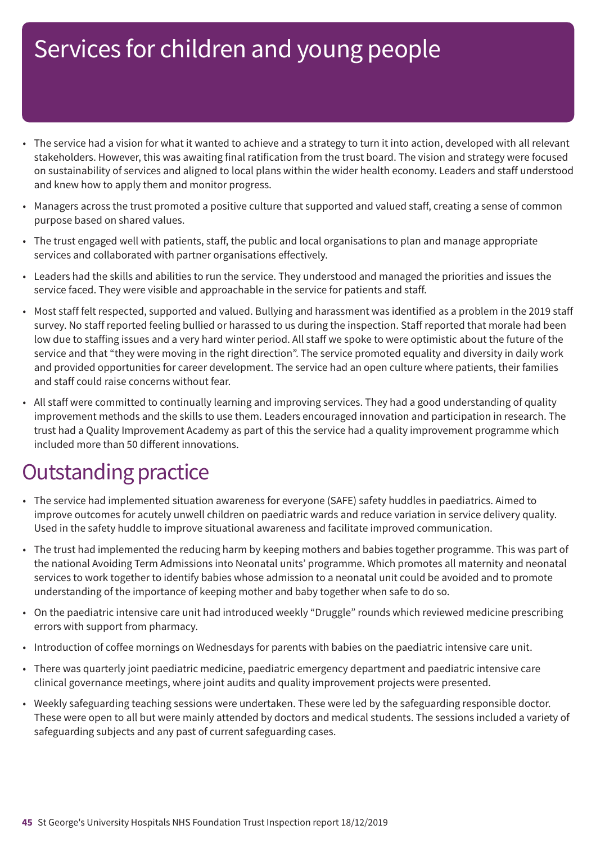- The service had a vision for what it wanted to achieve and a strategy to turn it into action, developed with all relevant stakeholders. However, this was awaiting final ratification from the trust board. The vision and strategy were focused on sustainability of services and aligned to local plans within the wider health economy. Leaders and staff understood and knew how to apply them and monitor progress.
- Managers across the trust promoted a positive culture that supported and valued staff, creating a sense of common purpose based on shared values.
- The trust engaged well with patients, staff, the public and local organisations to plan and manage appropriate services and collaborated with partner organisations effectively.
- Leaders had the skills and abilities to run the service. They understood and managed the priorities and issues the service faced. They were visible and approachable in the service for patients and staff.
- Most staff felt respected, supported and valued. Bullying and harassment was identified as a problem in the 2019 staff survey. No staff reported feeling bullied or harassed to us during the inspection. Staff reported that morale had been low due to staffing issues and a very hard winter period. All staff we spoke to were optimistic about the future of the service and that "they were moving in the right direction". The service promoted equality and diversity in daily work and provided opportunities for career development. The service had an open culture where patients, their families and staff could raise concerns without fear.
- All staff were committed to continually learning and improving services. They had a good understanding of quality improvement methods and the skills to use them. Leaders encouraged innovation and participation in research. The trust had a Quality Improvement Academy as part of this the service had a quality improvement programme which included more than 50 different innovations.

### **Outstanding practice**

- The service had implemented situation awareness for everyone (SAFE) safety huddles in paediatrics. Aimed to improve outcomes for acutely unwell children on paediatric wards and reduce variation in service delivery quality. Used in the safety huddle to improve situational awareness and facilitate improved communication.
- The trust had implemented the reducing harm by keeping mothers and babies together programme. This was part of the national Avoiding Term Admissions into Neonatal units' programme. Which promotes all maternity and neonatal services to work together to identify babies whose admission to a neonatal unit could be avoided and to promote understanding of the importance of keeping mother and baby together when safe to do so.
- On the paediatric intensive care unit had introduced weekly "Druggle" rounds which reviewed medicine prescribing errors with support from pharmacy.
- Introduction of coffee mornings on Wednesdays for parents with babies on the paediatric intensive care unit.
- There was quarterly joint paediatric medicine, paediatric emergency department and paediatric intensive care clinical governance meetings, where joint audits and quality improvement projects were presented.
- Weekly safeguarding teaching sessions were undertaken. These were led by the safeguarding responsible doctor. These were open to all but were mainly attended by doctors and medical students. The sessions included a variety of safeguarding subjects and any past of current safeguarding cases.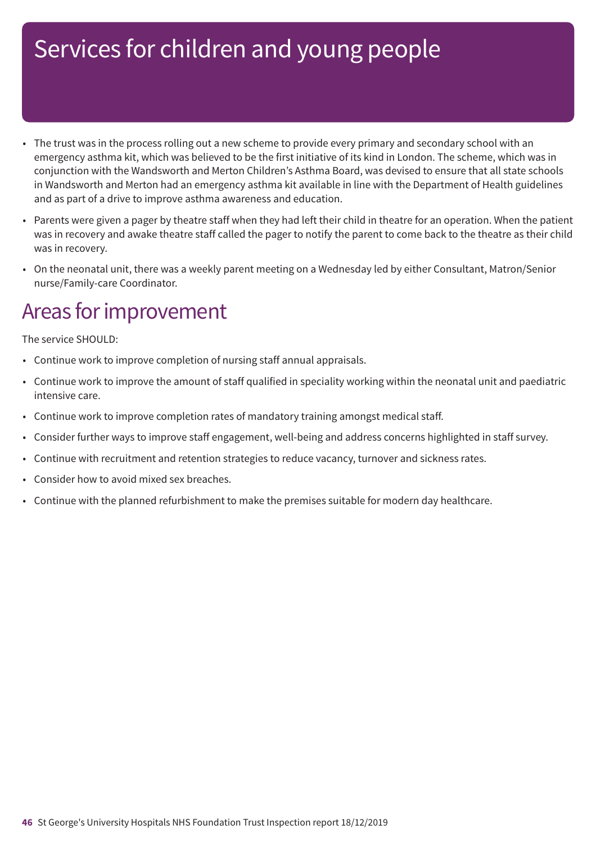- The trust was in the process rolling out a new scheme to provide every primary and secondary school with an emergency asthma kit, which was believed to be the first initiative of its kind in London. The scheme, which was in conjunction with the Wandsworth and Merton Children's Asthma Board, was devised to ensure that all state schools in Wandsworth and Merton had an emergency asthma kit available in line with the Department of Health guidelines and as part of a drive to improve asthma awareness and education.
- Parents were given a pager by theatre staff when they had left their child in theatre for an operation. When the patient was in recovery and awake theatre staff called the pager to notify the parent to come back to the theatre as their child was in recovery.
- On the neonatal unit, there was a weekly parent meeting on a Wednesday led by either Consultant, Matron/Senior nurse/Family-care Coordinator.

### Areas for improvement

The service SHOULD:

- Continue work to improve completion of nursing staff annual appraisals.
- Continue work to improve the amount of staff qualified in speciality working within the neonatal unit and paediatric intensive care.
- Continue work to improve completion rates of mandatory training amongst medical staff.
- Consider further ways to improve staff engagement, well-being and address concerns highlighted in staff survey.
- Continue with recruitment and retention strategies to reduce vacancy, turnover and sickness rates.
- Consider how to avoid mixed sex breaches.
- Continue with the planned refurbishment to make the premises suitable for modern day healthcare.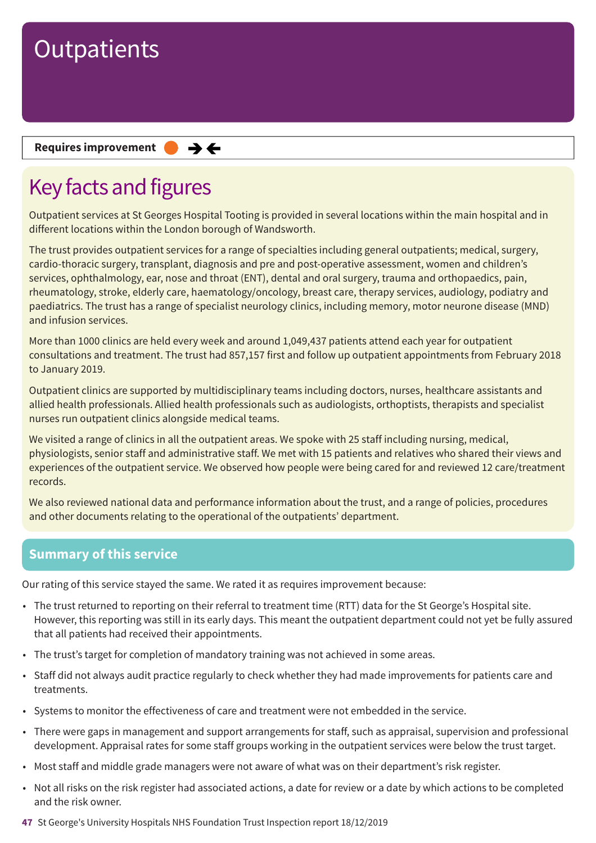#### **Requires improvement**  $\rightarrow$   $\leftarrow$

# Key facts and figures

Outpatient services at St Georges Hospital Tooting is provided in several locations within the main hospital and in different locations within the London borough of Wandsworth.

The trust provides outpatient services for a range of specialties including general outpatients; medical, surgery, cardio-thoracic surgery, transplant, diagnosis and pre and post-operative assessment, women and children's services, ophthalmology, ear, nose and throat (ENT), dental and oral surgery, trauma and orthopaedics, pain, rheumatology, stroke, elderly care, haematology/oncology, breast care, therapy services, audiology, podiatry and paediatrics. The trust has a range of specialist neurology clinics, including memory, motor neurone disease (MND) and infusion services.

More than 1000 clinics are held every week and around 1,049,437 patients attend each year for outpatient consultations and treatment. The trust had 857,157 first and follow up outpatient appointments from February 2018 to January 2019.

Outpatient clinics are supported by multidisciplinary teams including doctors, nurses, healthcare assistants and allied health professionals. Allied health professionals such as audiologists, orthoptists, therapists and specialist nurses run outpatient clinics alongside medical teams.

We visited a range of clinics in all the outpatient areas. We spoke with 25 staff including nursing, medical, physiologists, senior staff and administrative staff. We met with 15 patients and relatives who shared their views and experiences of the outpatient service. We observed how people were being cared for and reviewed 12 care/treatment records.

We also reviewed national data and performance information about the trust, and a range of policies, procedures and other documents relating to the operational of the outpatients' department.

### **Summary of this service**

Our rating of this service stayed the same. We rated it as requires improvement because:

- The trust returned to reporting on their referral to treatment time (RTT) data for the St George's Hospital site. However, this reporting was still in its early days. This meant the outpatient department could not yet be fully assured that all patients had received their appointments.
- The trust's target for completion of mandatory training was not achieved in some areas.
- Staff did not always audit practice regularly to check whether they had made improvements for patients care and treatments.
- Systems to monitor the effectiveness of care and treatment were not embedded in the service.
- There were gaps in management and support arrangements for staff, such as appraisal, supervision and professional development. Appraisal rates for some staff groups working in the outpatient services were below the trust target.
- Most staff and middle grade managers were not aware of what was on their department's risk register.
- Not all risks on the risk register had associated actions, a date for review or a date by which actions to be completed and the risk owner.
- **47** St George's University Hospitals NHS Foundation Trust Inspection report 18/12/2019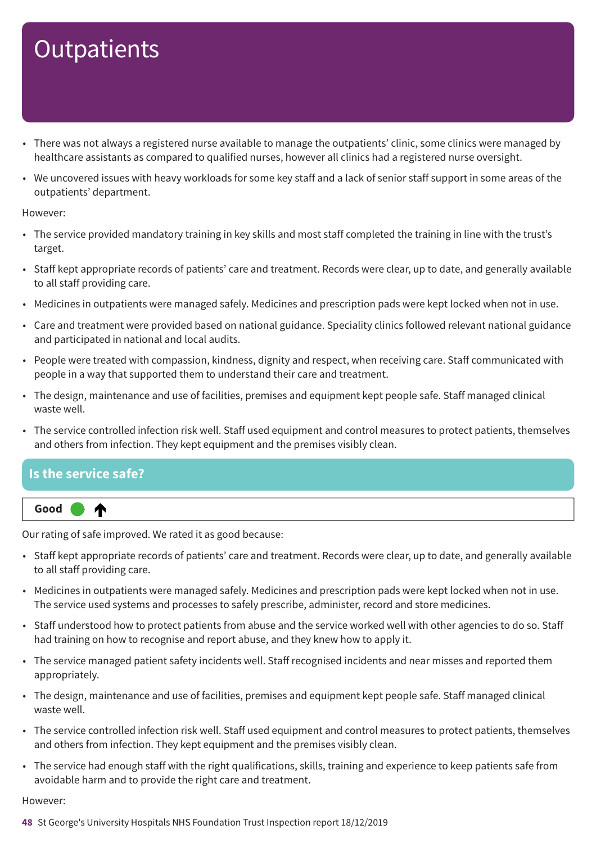- There was not always a registered nurse available to manage the outpatients' clinic, some clinics were managed by healthcare assistants as compared to qualified nurses, however all clinics had a registered nurse oversight.
- We uncovered issues with heavy workloads for some key staff and a lack of senior staff support in some areas of the outpatients' department.

However:

- The service provided mandatory training in key skills and most staff completed the training in line with the trust's target.
- Staff kept appropriate records of patients' care and treatment. Records were clear, up to date, and generally available to all staff providing care.
- Medicines in outpatients were managed safely. Medicines and prescription pads were kept locked when not in use.
- Care and treatment were provided based on national guidance. Speciality clinics followed relevant national guidance and participated in national and local audits.
- People were treated with compassion, kindness, dignity and respect, when receiving care. Staff communicated with people in a way that supported them to understand their care and treatment.
- The design, maintenance and use of facilities, premises and equipment kept people safe. Staff managed clinical waste well.
- The service controlled infection risk well. Staff used equipment and control measures to protect patients, themselves and others from infection. They kept equipment and the premises visibly clean.

### **Is the service safe?**

Our rating of safe improved. We rated it as good because:

- Staff kept appropriate records of patients' care and treatment. Records were clear, up to date, and generally available to all staff providing care.
- Medicines in outpatients were managed safely. Medicines and prescription pads were kept locked when not in use. The service used systems and processes to safely prescribe, administer, record and store medicines.
- Staff understood how to protect patients from abuse and the service worked well with other agencies to do so. Staff had training on how to recognise and report abuse, and they knew how to apply it.
- The service managed patient safety incidents well. Staff recognised incidents and near misses and reported them appropriately.
- The design, maintenance and use of facilities, premises and equipment kept people safe. Staff managed clinical waste well.
- The service controlled infection risk well. Staff used equipment and control measures to protect patients, themselves and others from infection. They kept equipment and the premises visibly clean.
- The service had enough staff with the right qualifications, skills, training and experience to keep patients safe from avoidable harm and to provide the right care and treatment.

However:

**48** St George's University Hospitals NHS Foundation Trust Inspection report 18/12/2019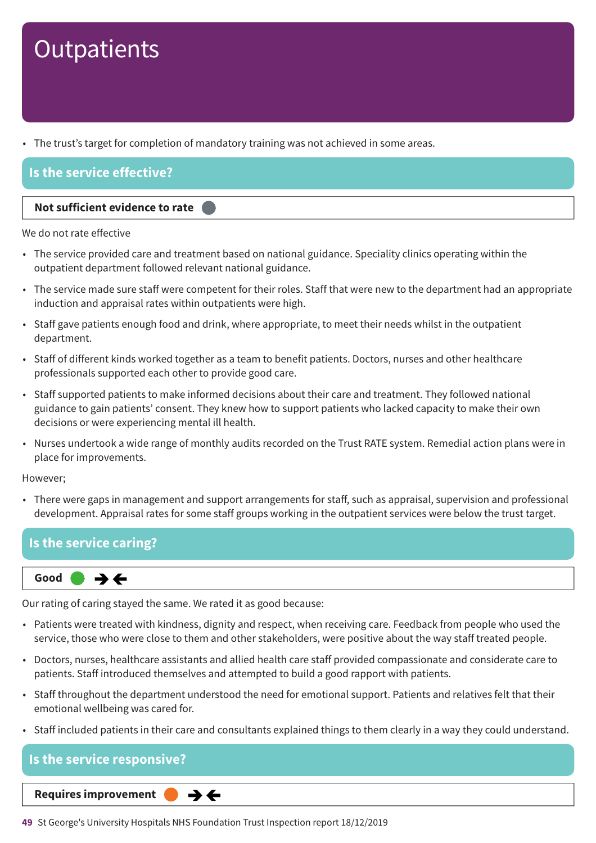• The trust's target for completion of mandatory training was not achieved in some areas.

### **Is the service effective?**

#### **Not sufficient evidence to rate –––**

We do not rate effective

- The service provided care and treatment based on national guidance. Speciality clinics operating within the outpatient department followed relevant national guidance.
- The service made sure staff were competent for their roles. Staff that were new to the department had an appropriate induction and appraisal rates within outpatients were high.
- Staff gave patients enough food and drink, where appropriate, to meet their needs whilst in the outpatient department.
- Staff of different kinds worked together as a team to benefit patients. Doctors, nurses and other healthcare professionals supported each other to provide good care.
- Staff supported patients to make informed decisions about their care and treatment. They followed national guidance to gain patients' consent. They knew how to support patients who lacked capacity to make their own decisions or were experiencing mental ill health.
- Nurses undertook a wide range of monthly audits recorded on the Trust RATE system. Remedial action plans were in place for improvements.

However;

• There were gaps in management and support arrangements for staff, such as appraisal, supervision and professional development. Appraisal rates for some staff groups working in the outpatient services were below the trust target.

### **Is the service caring?**

**Same–––rating Good –––**  $\rightarrow$   $\leftarrow$ 

Our rating of caring stayed the same. We rated it as good because:

- Patients were treated with kindness, dignity and respect, when receiving care. Feedback from people who used the service, those who were close to them and other stakeholders, were positive about the way staff treated people.
- Doctors, nurses, healthcare assistants and allied health care staff provided compassionate and considerate care to patients. Staff introduced themselves and attempted to build a good rapport with patients.
- Staff throughout the department understood the need for emotional support. Patients and relatives felt that their emotional wellbeing was cared for.
- Staff included patients in their care and consultants explained things to them clearly in a way they could understand.

**Is the service responsive?**  $\rightarrow$   $\leftarrow$ **Same–––rating Requires improvement –––**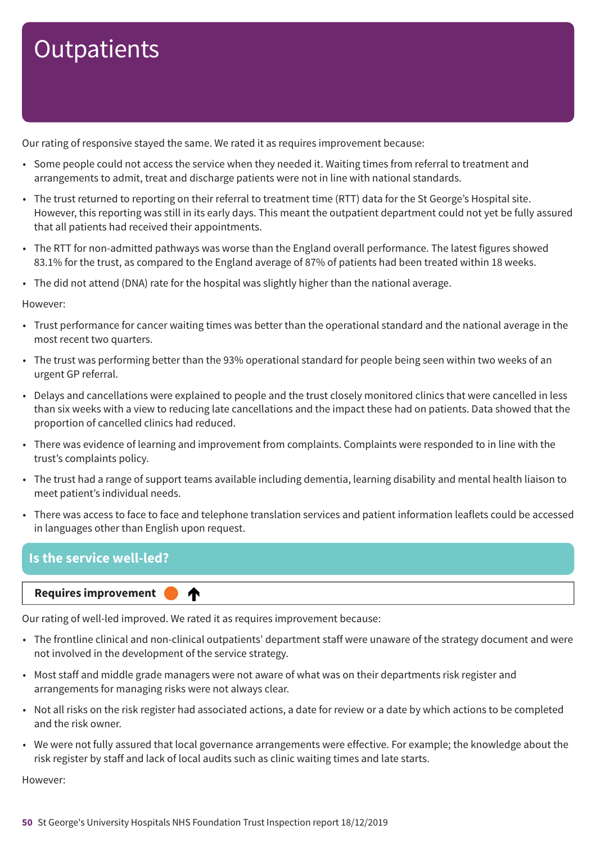Our rating of responsive stayed the same. We rated it as requires improvement because:

- Some people could not access the service when they needed it. Waiting times from referral to treatment and arrangements to admit, treat and discharge patients were not in line with national standards.
- The trust returned to reporting on their referral to treatment time (RTT) data for the St George's Hospital site. However, this reporting was still in its early days. This meant the outpatient department could not yet be fully assured that all patients had received their appointments.
- The RTT for non-admitted pathways was worse than the England overall performance. The latest figures showed 83.1% for the trust, as compared to the England average of 87% of patients had been treated within 18 weeks.
- The did not attend (DNA) rate for the hospital was slightly higher than the national average.

However:

- Trust performance for cancer waiting times was better than the operational standard and the national average in the most recent two quarters.
- The trust was performing better than the 93% operational standard for people being seen within two weeks of an urgent GP referral.
- Delays and cancellations were explained to people and the trust closely monitored clinics that were cancelled in less than six weeks with a view to reducing late cancellations and the impact these had on patients. Data showed that the proportion of cancelled clinics had reduced.
- There was evidence of learning and improvement from complaints. Complaints were responded to in line with the trust's complaints policy.
- The trust had a range of support teams available including dementia, learning disability and mental health liaison to meet patient's individual needs.
- There was access to face to face and telephone translation services and patient information leaflets could be accessed in languages other than English upon request.

### **Is the service well-led?**

#### **Requires improvement**

Our rating of well-led improved. We rated it as requires improvement because:

♠

- The frontline clinical and non-clinical outpatients' department staff were unaware of the strategy document and were not involved in the development of the service strategy.
- Most staff and middle grade managers were not aware of what was on their departments risk register and arrangements for managing risks were not always clear.
- Not all risks on the risk register had associated actions, a date for review or a date by which actions to be completed and the risk owner.
- We were not fully assured that local governance arrangements were effective. For example; the knowledge about the risk register by staff and lack of local audits such as clinic waiting times and late starts.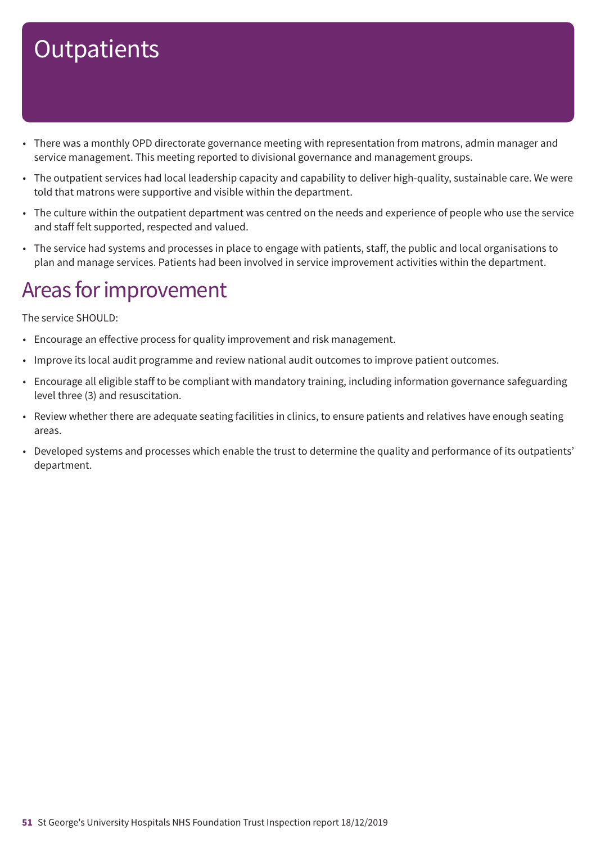- There was a monthly OPD directorate governance meeting with representation from matrons, admin manager and service management. This meeting reported to divisional governance and management groups.
- The outpatient services had local leadership capacity and capability to deliver high-quality, sustainable care. We were told that matrons were supportive and visible within the department.
- The culture within the outpatient department was centred on the needs and experience of people who use the service and staff felt supported, respected and valued.
- The service had systems and processes in place to engage with patients, staff, the public and local organisations to plan and manage services. Patients had been involved in service improvement activities within the department.

### Areas for improvement

The service SHOULD:

- Encourage an effective process for quality improvement and risk management.
- Improve its local audit programme and review national audit outcomes to improve patient outcomes.
- Encourage all eligible staff to be compliant with mandatory training, including information governance safeguarding level three (3) and resuscitation.
- Review whether there are adequate seating facilities in clinics, to ensure patients and relatives have enough seating areas.
- Developed systems and processes which enable the trust to determine the quality and performance of its outpatients' department.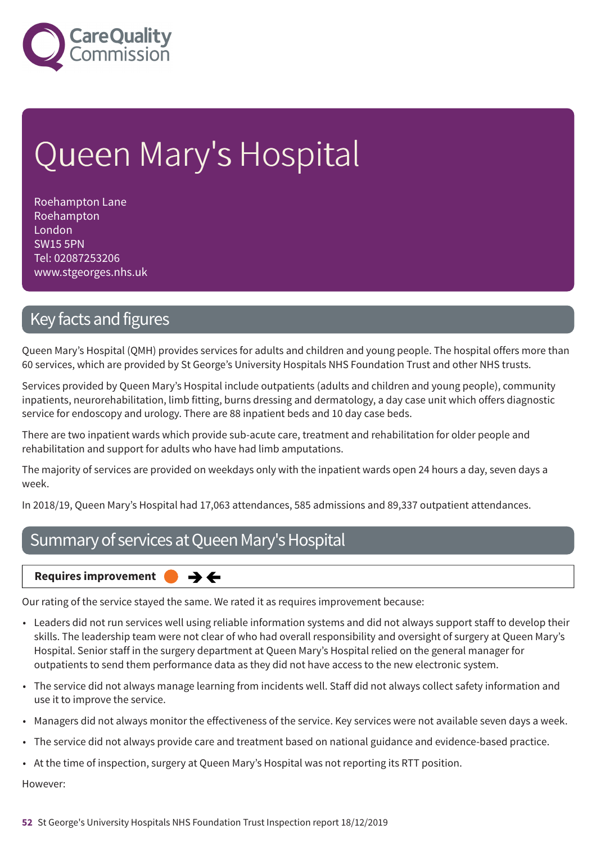

# Queen Mary's Hospital

Roehampton Lane Roehampton London SW15 5PN Tel: 02087253206 www.stgeorges.nhs.uk

### Key facts and figures

Queen Mary's Hospital (QMH) provides services for adults and children and young people. The hospital offers more than 60 services, which are provided by St George's University Hospitals NHS Foundation Trust and other NHS trusts.

Services provided by Queen Mary's Hospital include outpatients (adults and children and young people), community inpatients, neurorehabilitation, limb fitting, burns dressing and dermatology, a day case unit which offers diagnostic service for endoscopy and urology. There are 88 inpatient beds and 10 day case beds.

There are two inpatient wards which provide sub-acute care, treatment and rehabilitation for older people and rehabilitation and support for adults who have had limb amputations.

The majority of services are provided on weekdays only with the inpatient wards open 24 hours a day, seven days a week.

In 2018/19, Queen Mary's Hospital had 17,063 attendances, 585 admissions and 89,337 outpatient attendances.

### Summary of services at Queen Mary's Hospital

**Requires improvement**  $\rightarrow$   $\leftarrow$ 

Our rating of the service stayed the same. We rated it as requires improvement because:

- Leaders did not run services well using reliable information systems and did not always support staff to develop their skills. The leadership team were not clear of who had overall responsibility and oversight of surgery at Queen Mary's Hospital. Senior staff in the surgery department at Queen Mary's Hospital relied on the general manager for outpatients to send them performance data as they did not have access to the new electronic system.
- The service did not always manage learning from incidents well. Staff did not always collect safety information and use it to improve the service.
- Managers did not always monitor the effectiveness of the service. Key services were not available seven days a week.
- The service did not always provide care and treatment based on national guidance and evidence-based practice.
- At the time of inspection, surgery at Queen Mary's Hospital was not reporting its RTT position.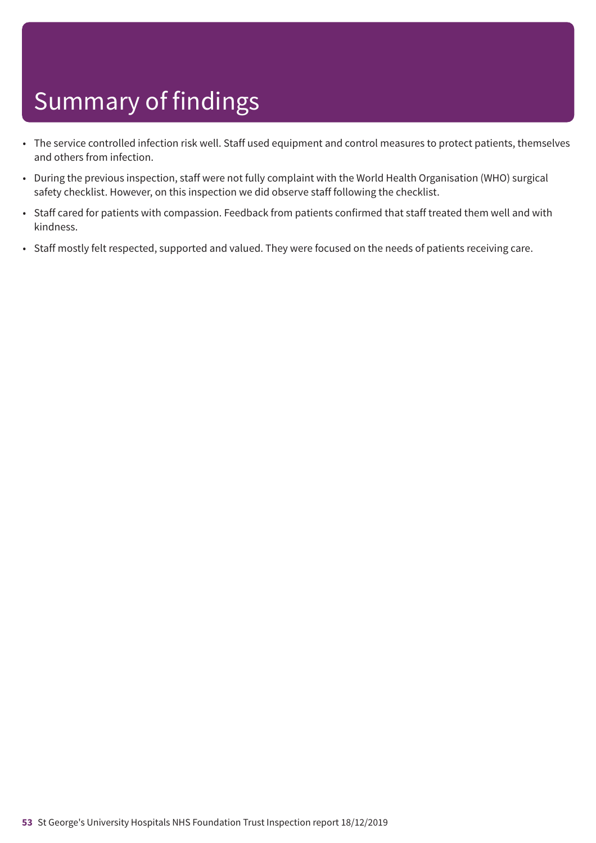- The service controlled infection risk well. Staff used equipment and control measures to protect patients, themselves and others from infection.
- During the previous inspection, staff were not fully complaint with the World Health Organisation (WHO) surgical safety checklist. However, on this inspection we did observe staff following the checklist.
- Staff cared for patients with compassion. Feedback from patients confirmed that staff treated them well and with kindness.
- Staff mostly felt respected, supported and valued. They were focused on the needs of patients receiving care.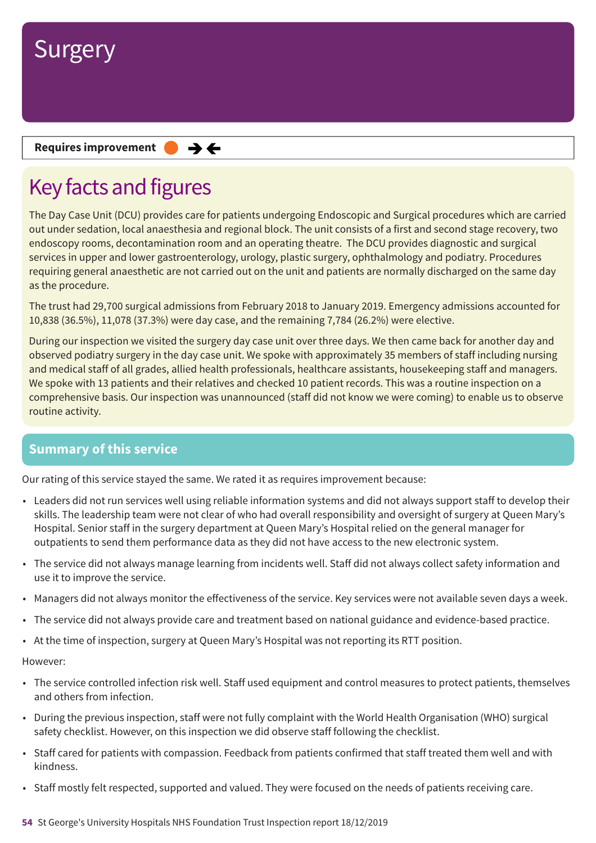

**Requires improvement**  $\rightarrow$   $\leftarrow$ 

# Key facts and figures

The Day Case Unit (DCU) provides care for patients undergoing Endoscopic and Surgical procedures which are carried out under sedation, local anaesthesia and regional block. The unit consists of a first and second stage recovery, two endoscopy rooms, decontamination room and an operating theatre. The DCU provides diagnostic and surgical services in upper and lower gastroenterology, urology, plastic surgery, ophthalmology and podiatry. Procedures requiring general anaesthetic are not carried out on the unit and patients are normally discharged on the same day as the procedure.

The trust had 29,700 surgical admissions from February 2018 to January 2019. Emergency admissions accounted for 10,838 (36.5%), 11,078 (37.3%) were day case, and the remaining 7,784 (26.2%) were elective.

During our inspection we visited the surgery day case unit over three days. We then came back for another day and observed podiatry surgery in the day case unit. We spoke with approximately 35 members of staff including nursing and medical staff of all grades, allied health professionals, healthcare assistants, housekeeping staff and managers. We spoke with 13 patients and their relatives and checked 10 patient records. This was a routine inspection on a comprehensive basis. Our inspection was unannounced (staff did not know we were coming) to enable us to observe routine activity.

### **Summary of this service**

Our rating of this service stayed the same. We rated it as requires improvement because:

- Leaders did not run services well using reliable information systems and did not always support staff to develop their skills. The leadership team were not clear of who had overall responsibility and oversight of surgery at Queen Mary's Hospital. Senior staff in the surgery department at Queen Mary's Hospital relied on the general manager for outpatients to send them performance data as they did not have access to the new electronic system.
- The service did not always manage learning from incidents well. Staff did not always collect safety information and use it to improve the service.
- Managers did not always monitor the effectiveness of the service. Key services were not available seven days a week.
- The service did not always provide care and treatment based on national guidance and evidence-based practice.
- At the time of inspection, surgery at Queen Mary's Hospital was not reporting its RTT position.

- The service controlled infection risk well. Staff used equipment and control measures to protect patients, themselves and others from infection.
- During the previous inspection, staff were not fully complaint with the World Health Organisation (WHO) surgical safety checklist. However, on this inspection we did observe staff following the checklist.
- Staff cared for patients with compassion. Feedback from patients confirmed that staff treated them well and with kindness.
- Staff mostly felt respected, supported and valued. They were focused on the needs of patients receiving care.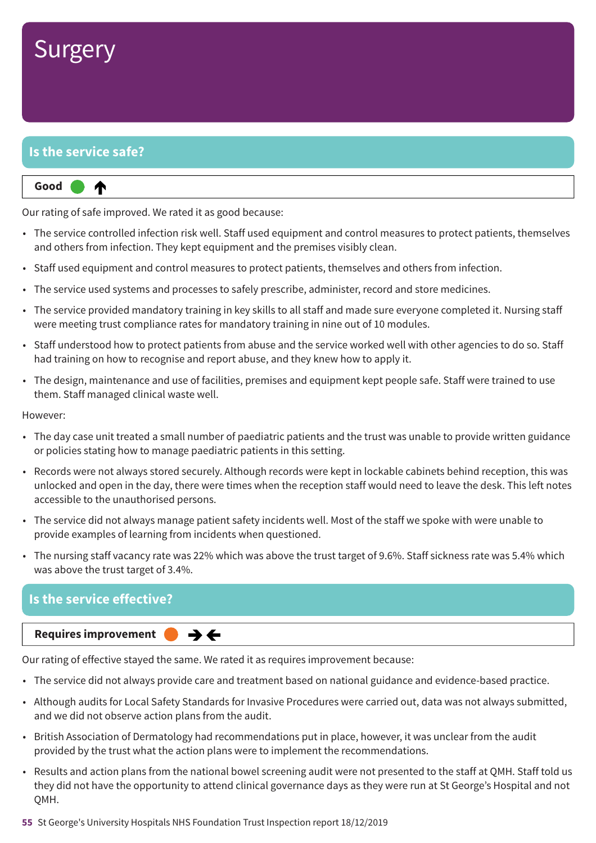

### **Is the service safe?**

⋔

**Up one rating Good –––**

Our rating of safe improved. We rated it as good because:

- The service controlled infection risk well. Staff used equipment and control measures to protect patients, themselves and others from infection. They kept equipment and the premises visibly clean.
- Staff used equipment and control measures to protect patients, themselves and others from infection.
- The service used systems and processes to safely prescribe, administer, record and store medicines.
- The service provided mandatory training in key skills to all staff and made sure everyone completed it. Nursing staff were meeting trust compliance rates for mandatory training in nine out of 10 modules.
- Staff understood how to protect patients from abuse and the service worked well with other agencies to do so. Staff had training on how to recognise and report abuse, and they knew how to apply it.
- The design, maintenance and use of facilities, premises and equipment kept people safe. Staff were trained to use them. Staff managed clinical waste well.

However:

- The day case unit treated a small number of paediatric patients and the trust was unable to provide written guidance or policies stating how to manage paediatric patients in this setting.
- Records were not always stored securely. Although records were kept in lockable cabinets behind reception, this was unlocked and open in the day, there were times when the reception staff would need to leave the desk. This left notes accessible to the unauthorised persons.
- The service did not always manage patient safety incidents well. Most of the staff we spoke with were unable to provide examples of learning from incidents when questioned.
- The nursing staff vacancy rate was 22% which was above the trust target of 9.6%. Staff sickness rate was 5.4% which was above the trust target of 3.4%.

### **Is the service effective?**



Our rating of effective stayed the same. We rated it as requires improvement because:

- The service did not always provide care and treatment based on national guidance and evidence-based practice.
- Although audits for Local Safety Standards for Invasive Procedures were carried out, data was not always submitted, and we did not observe action plans from the audit.
- British Association of Dermatology had recommendations put in place, however, it was unclear from the audit provided by the trust what the action plans were to implement the recommendations.
- Results and action plans from the national bowel screening audit were not presented to the staff at QMH. Staff told us they did not have the opportunity to attend clinical governance days as they were run at St George's Hospital and not OMH.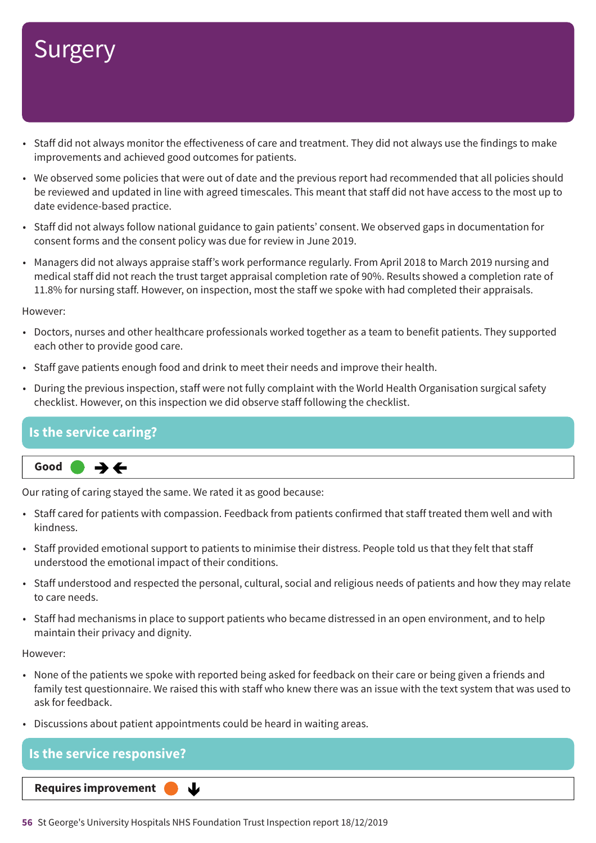- Staff did not always monitor the effectiveness of care and treatment. They did not always use the findings to make improvements and achieved good outcomes for patients.
- We observed some policies that were out of date and the previous report had recommended that all policies should be reviewed and updated in line with agreed timescales. This meant that staff did not have access to the most up to date evidence-based practice.
- Staff did not always follow national guidance to gain patients' consent. We observed gaps in documentation for consent forms and the consent policy was due for review in June 2019.
- Managers did not always appraise staff's work performance regularly. From April 2018 to March 2019 nursing and medical staff did not reach the trust target appraisal completion rate of 90%. Results showed a completion rate of 11.8% for nursing staff. However, on inspection, most the staff we spoke with had completed their appraisals.

However:

- Doctors, nurses and other healthcare professionals worked together as a team to benefit patients. They supported each other to provide good care.
- Staff gave patients enough food and drink to meet their needs and improve their health.
- During the previous inspection, staff were not fully complaint with the World Health Organisation surgical safety checklist. However, on this inspection we did observe staff following the checklist.

### **Is the service caring?**



Our rating of caring stayed the same. We rated it as good because:

- Staff cared for patients with compassion. Feedback from patients confirmed that staff treated them well and with kindness.
- Staff provided emotional support to patients to minimise their distress. People told us that they felt that staff understood the emotional impact of their conditions.
- Staff understood and respected the personal, cultural, social and religious needs of patients and how they may relate to care needs.
- Staff had mechanisms in place to support patients who became distressed in an open environment, and to help maintain their privacy and dignity.

However:

- None of the patients we spoke with reported being asked for feedback on their care or being given a friends and family test questionnaire. We raised this with staff who knew there was an issue with the text system that was used to ask for feedback.
- Discussions about patient appointments could be heard in waiting areas.

### **Is the service responsive? Requires improvement** ↓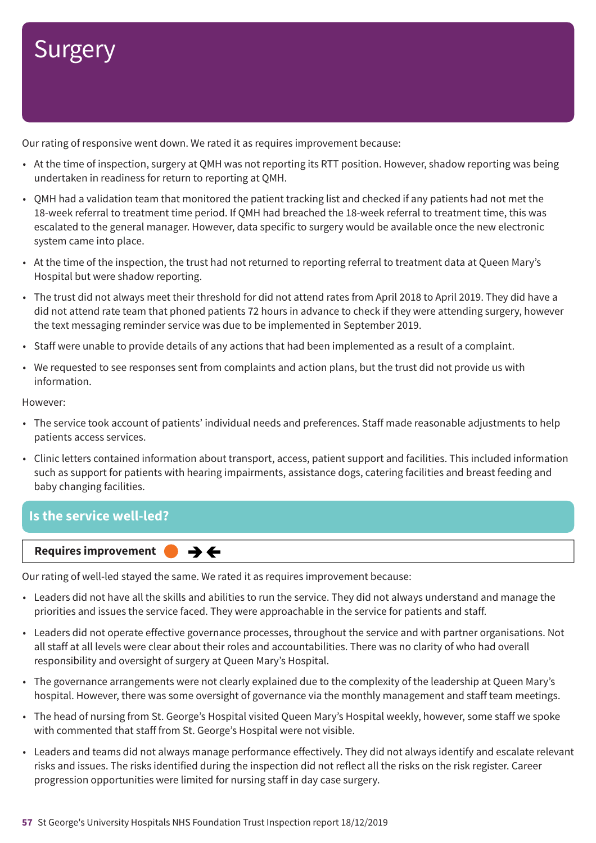Our rating of responsive went down. We rated it as requires improvement because:

- At the time of inspection, surgery at QMH was not reporting its RTT position. However, shadow reporting was being undertaken in readiness for return to reporting at QMH.
- QMH had a validation team that monitored the patient tracking list and checked if any patients had not met the 18-week referral to treatment time period. If QMH had breached the 18-week referral to treatment time, this was escalated to the general manager. However, data specific to surgery would be available once the new electronic system came into place.
- At the time of the inspection, the trust had not returned to reporting referral to treatment data at Queen Mary's Hospital but were shadow reporting.
- The trust did not always meet their threshold for did not attend rates from April 2018 to April 2019. They did have a did not attend rate team that phoned patients 72 hours in advance to check if they were attending surgery, however the text messaging reminder service was due to be implemented in September 2019.
- Staff were unable to provide details of any actions that had been implemented as a result of a complaint.
- We requested to see responses sent from complaints and action plans, but the trust did not provide us with information.

However:

- The service took account of patients' individual needs and preferences. Staff made reasonable adjustments to help patients access services.
- Clinic letters contained information about transport, access, patient support and facilities. This included information such as support for patients with hearing impairments, assistance dogs, catering facilities and breast feeding and baby changing facilities.

### **Is the service well-led?**



Our rating of well-led stayed the same. We rated it as requires improvement because:

- Leaders did not have all the skills and abilities to run the service. They did not always understand and manage the priorities and issues the service faced. They were approachable in the service for patients and staff.
- Leaders did not operate effective governance processes, throughout the service and with partner organisations. Not all staff at all levels were clear about their roles and accountabilities. There was no clarity of who had overall responsibility and oversight of surgery at Queen Mary's Hospital.
- The governance arrangements were not clearly explained due to the complexity of the leadership at Queen Mary's hospital. However, there was some oversight of governance via the monthly management and staff team meetings.
- The head of nursing from St. George's Hospital visited Queen Mary's Hospital weekly, however, some staff we spoke with commented that staff from St. George's Hospital were not visible.
- Leaders and teams did not always manage performance effectively. They did not always identify and escalate relevant risks and issues. The risks identified during the inspection did not reflect all the risks on the risk register. Career progression opportunities were limited for nursing staff in day case surgery.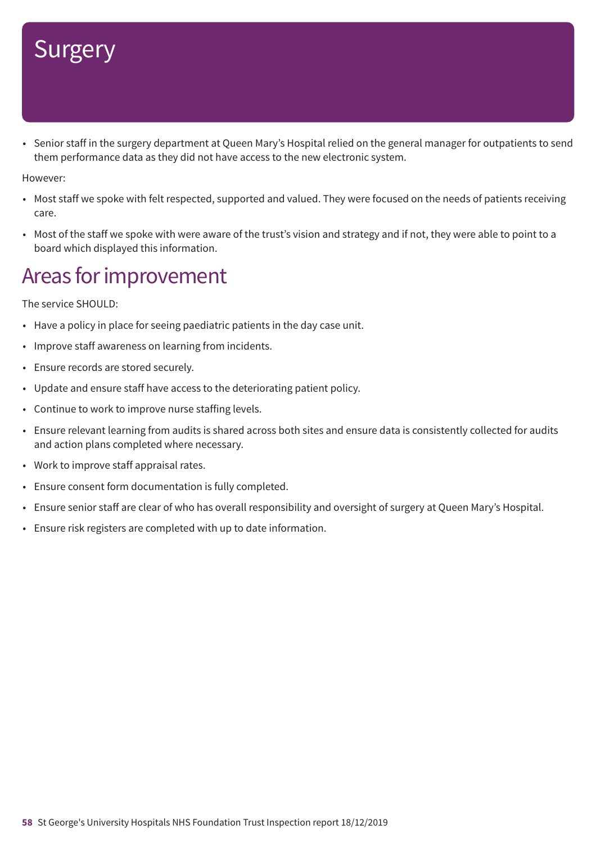• Senior staff in the surgery department at Queen Mary's Hospital relied on the general manager for outpatients to send them performance data as they did not have access to the new electronic system.

However:

- Most staff we spoke with felt respected, supported and valued. They were focused on the needs of patients receiving care.
- Most of the staff we spoke with were aware of the trust's vision and strategy and if not, they were able to point to a board which displayed this information.

### Areas for improvement

The service SHOULD:

- Have a policy in place for seeing paediatric patients in the day case unit.
- Improve staff awareness on learning from incidents.
- Ensure records are stored securely.
- Update and ensure staff have access to the deteriorating patient policy.
- Continue to work to improve nurse staffing levels.
- Ensure relevant learning from audits is shared across both sites and ensure data is consistently collected for audits and action plans completed where necessary.
- Work to improve staff appraisal rates.
- Ensure consent form documentation is fully completed.
- Ensure senior staff are clear of who has overall responsibility and oversight of surgery at Queen Mary's Hospital.
- Ensure risk registers are completed with up to date information.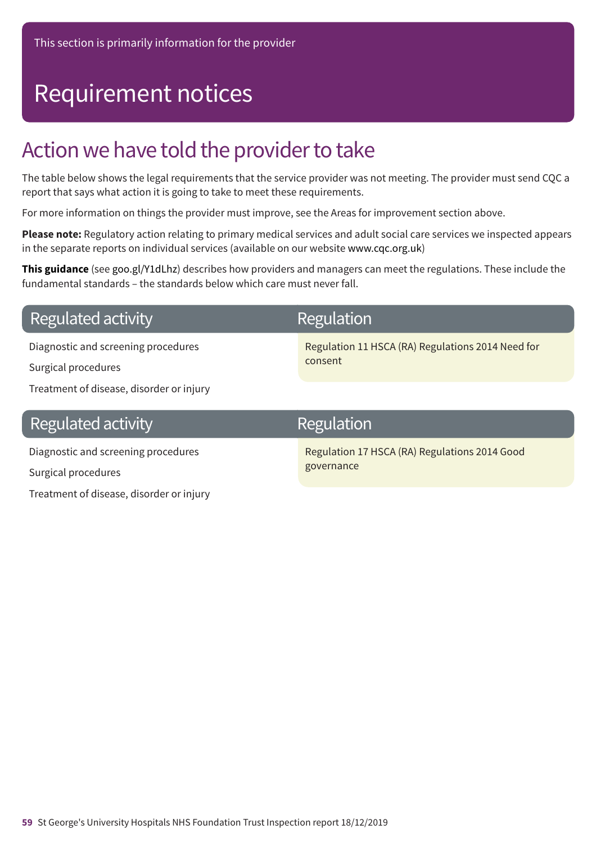# Requirement notices

### Action we have told the provider to take

The table below shows the legal requirements that the service provider was not meeting. The provider must send CQC a report that says what action it is going to take to meet these requirements.

For more information on things the provider must improve, see the Areas for improvement section above.

**Please note:** Regulatory action relating to primary medical services and adult social care services we inspected appears in the separate reports on individual services (available on our website www.cqc.org.uk)

**This guidance** (see goo.gl/Y1dLhz) describes how providers and managers can meet the regulations. These include the fundamental standards – the standards below which care must never fall.

### **Regulated activity**

Diagnostic and screening procedures

Surgical procedures

Treatment of disease, disorder or injury

### **Regulated activity**

Diagnostic and screening procedures Surgical procedures Treatment of disease, disorder or injury

### **Regulation**

Regulation 11 HSCA (RA) Regulations 2014 Need for consent

### Regulation

Regulation 17 HSCA (RA) Regulations 2014 Good governance